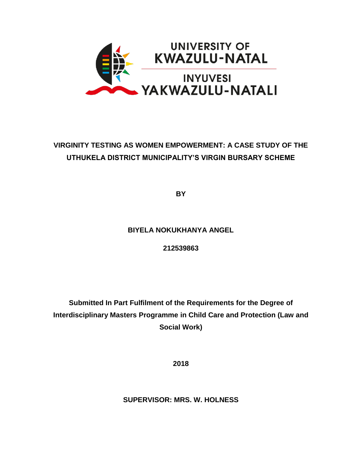

# **VIRGINITY TESTING AS WOMEN EMPOWERMENT: A CASE STUDY OF THE UTHUKELA DISTRICT MUNICIPALITY'S VIRGIN BURSARY SCHEME**

**BY** 

# **BIYELA NOKUKHANYA ANGEL**

### **212539863**

**Submitted In Part Fulfilment of the Requirements for the Degree of Interdisciplinary Masters Programme in Child Care and Protection (Law and Social Work)** 

**2018**

**SUPERVISOR: MRS. W. HOLNESS**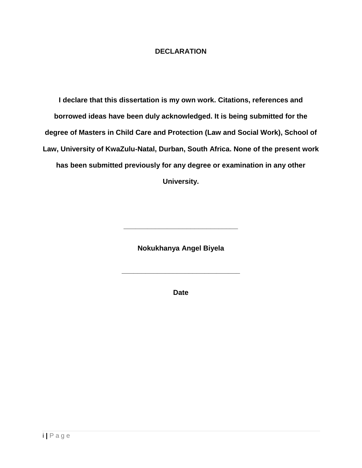### **DECLARATION**

<span id="page-1-0"></span>**I declare that this dissertation is my own work. Citations, references and borrowed ideas have been duly acknowledged. It is being submitted for the degree of Masters in Child Care and Protection (Law and Social Work), School of Law, University of KwaZulu-Natal, Durban, South Africa. None of the present work has been submitted previously for any degree or examination in any other University.**

**Nokukhanya Angel Biyela**

**\_\_\_\_\_\_\_\_\_\_\_\_\_\_\_\_\_\_\_\_\_\_\_\_\_\_\_\_\_**

**Date**

**\_\_\_\_\_\_\_\_\_\_\_\_\_\_\_\_\_\_\_\_\_\_\_\_\_\_\_\_\_\_**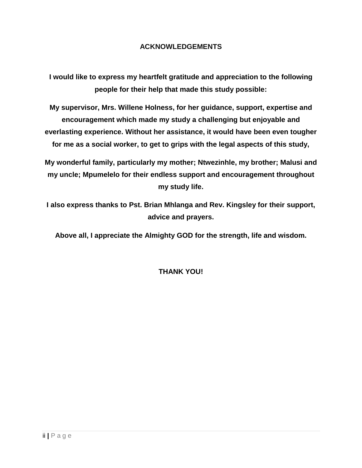### **ACKNOWLEDGEMENTS**

<span id="page-2-0"></span>**I would like to express my heartfelt gratitude and appreciation to the following people for their help that made this study possible:** 

**My supervisor, Mrs. Willene Holness, for her guidance, support, expertise and encouragement which made my study a challenging but enjoyable and everlasting experience. Without her assistance, it would have been even tougher for me as a social worker, to get to grips with the legal aspects of this study,** 

**My wonderful family, particularly my mother; Ntwezinhle, my brother; Malusi and my uncle; Mpumelelo for their endless support and encouragement throughout my study life.**

**I also express thanks to Pst. Brian Mhlanga and Rev. Kingsley for their support, advice and prayers.**

**Above all, I appreciate the Almighty GOD for the strength, life and wisdom.**

## **THANK YOU!**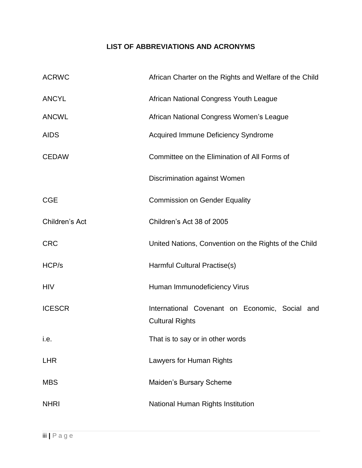# **LIST OF ABBREVIATIONS AND ACRONYMS**

<span id="page-3-0"></span>

| <b>ACRWC</b>   | African Charter on the Rights and Welfare of the Child                   |
|----------------|--------------------------------------------------------------------------|
| <b>ANCYL</b>   | African National Congress Youth League                                   |
| <b>ANCWL</b>   | African National Congress Women's League                                 |
| <b>AIDS</b>    | <b>Acquired Immune Deficiency Syndrome</b>                               |
| <b>CEDAW</b>   | Committee on the Elimination of All Forms of                             |
|                | Discrimination against Women                                             |
| <b>CGE</b>     | <b>Commission on Gender Equality</b>                                     |
| Children's Act | Children's Act 38 of 2005                                                |
| <b>CRC</b>     | United Nations, Convention on the Rights of the Child                    |
| HCP/s          | Harmful Cultural Practise(s)                                             |
| <b>HIV</b>     | Human Immunodeficiency Virus                                             |
| <b>ICESCR</b>  | International Covenant on Economic, Social and<br><b>Cultural Rights</b> |
| i.e.           | That is to say or in other words                                         |
| <b>LHR</b>     | Lawyers for Human Rights                                                 |
| <b>MBS</b>     | Maiden's Bursary Scheme                                                  |
| <b>NHRI</b>    | National Human Rights Institution                                        |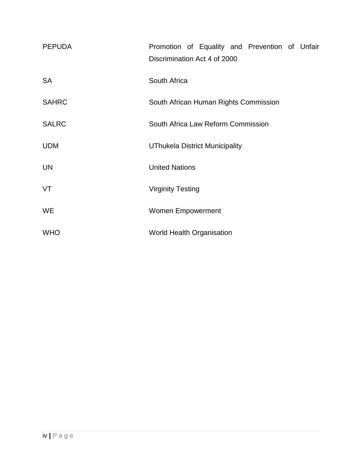| <b>PEPUDA</b> | Promotion of Equality and Prevention of Unfair<br>Discrimination Act 4 of 2000 |
|---------------|--------------------------------------------------------------------------------|
| <b>SA</b>     | South Africa                                                                   |
| <b>SAHRC</b>  | South African Human Rights Commission                                          |
| <b>SALRC</b>  | South Africa Law Reform Commission                                             |
| <b>UDM</b>    | <b>UThukela District Municipality</b>                                          |
| <b>UN</b>     | <b>United Nations</b>                                                          |
| VT            | <b>Virginity Testing</b>                                                       |
| <b>WE</b>     | <b>Women Empowerment</b>                                                       |
| <b>WHO</b>    | <b>World Health Organisation</b>                                               |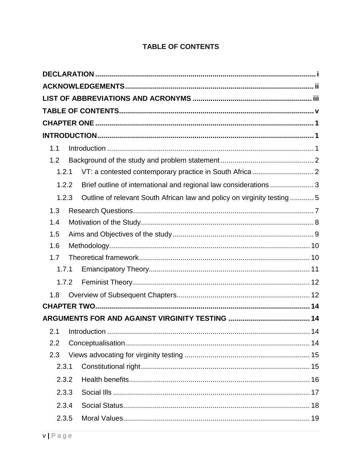# **TABLE OF CONTENTS**

<span id="page-5-0"></span>

| 1.1   |                                                                          |
|-------|--------------------------------------------------------------------------|
| 1.2   |                                                                          |
| 1.2.1 |                                                                          |
| 1.2.2 | Brief outline of international and regional law considerations  3        |
| 1.2.3 | Outline of relevant South African law and policy on virginity testing  5 |
| 1.3   |                                                                          |
| 1.4   |                                                                          |
| 1.5   |                                                                          |
| 1.6   |                                                                          |
| 1.7   |                                                                          |
| 1.7.1 |                                                                          |
| 1.7.2 |                                                                          |
| 1.8   |                                                                          |
|       |                                                                          |
|       |                                                                          |
| 2.1   |                                                                          |
| 2.2   |                                                                          |
| 2.3   |                                                                          |
| 2.3.1 |                                                                          |
| 2.3.2 |                                                                          |
| 2.3.3 |                                                                          |
| 2.3.4 |                                                                          |
| 2.3.5 |                                                                          |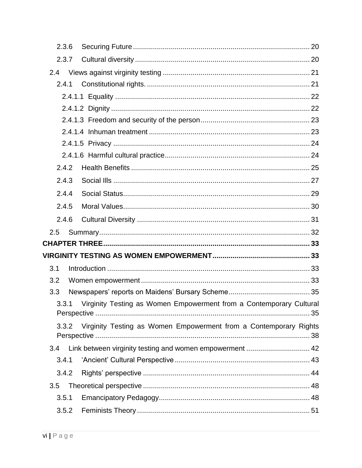| 2.3.6 |                                                                     |  |
|-------|---------------------------------------------------------------------|--|
| 2.3.7 |                                                                     |  |
| 2.4   |                                                                     |  |
| 2.4.1 |                                                                     |  |
|       |                                                                     |  |
|       |                                                                     |  |
|       |                                                                     |  |
|       |                                                                     |  |
|       |                                                                     |  |
|       |                                                                     |  |
| 2.4.2 |                                                                     |  |
| 2.4.3 |                                                                     |  |
| 2.4.4 |                                                                     |  |
| 2.4.5 |                                                                     |  |
| 2.4.6 |                                                                     |  |
| 2.5   |                                                                     |  |
|       |                                                                     |  |
|       |                                                                     |  |
| 3.1   |                                                                     |  |
| 3.2   |                                                                     |  |
| 3.3   |                                                                     |  |
| 3.3.1 | Virginity Testing as Women Empowerment from a Contemporary Cultural |  |
| 3.3.2 | Virginity Testing as Women Empowerment from a Contemporary Rights   |  |
| 3.4   |                                                                     |  |
| 3.4.1 |                                                                     |  |
| 3.4.2 |                                                                     |  |
| 3.5   |                                                                     |  |
| 3.5.1 |                                                                     |  |
| 3.5.2 |                                                                     |  |
|       |                                                                     |  |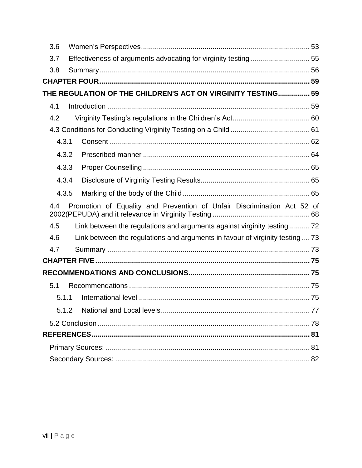| 3.6   |                                                                               |  |
|-------|-------------------------------------------------------------------------------|--|
| 3.7   | Effectiveness of arguments advocating for virginity testing55                 |  |
| 3.8   |                                                                               |  |
|       |                                                                               |  |
|       | THE REGULATION OF THE CHILDREN'S ACT ON VIRGINITY TESTING 59                  |  |
| 4.1   |                                                                               |  |
| 4.2   |                                                                               |  |
|       |                                                                               |  |
| 4.3.1 |                                                                               |  |
| 4.3.2 |                                                                               |  |
| 4.3.3 |                                                                               |  |
| 4.3.4 |                                                                               |  |
| 4.3.5 |                                                                               |  |
| 4.4   | Promotion of Equality and Prevention of Unfair Discrimination Act 52 of       |  |
| 4.5   | Link between the regulations and arguments against virginity testing  72      |  |
| 4.6   | Link between the regulations and arguments in favour of virginity testing  73 |  |
| 4.7   |                                                                               |  |
|       |                                                                               |  |
|       |                                                                               |  |
| 5.1   |                                                                               |  |
| 5.1.1 |                                                                               |  |
| 5.1.2 |                                                                               |  |
|       |                                                                               |  |
|       |                                                                               |  |
|       |                                                                               |  |
|       |                                                                               |  |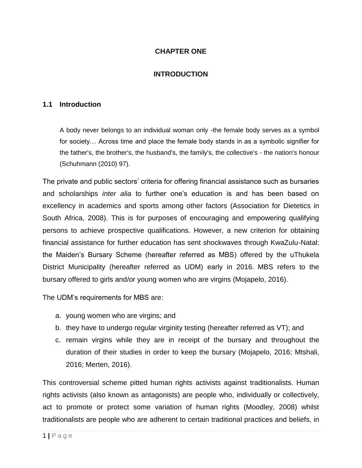### **CHAPTER ONE**

### **INTRODUCTION**

#### <span id="page-8-2"></span><span id="page-8-1"></span><span id="page-8-0"></span>**1.1 Introduction**

A body never belongs to an individual woman only -the female body serves as a symbol for society… Across time and place the female body stands in as a symbolic signifier for the father's, the brother's, the husband's, the family's, the collective's - the nation's honour (Schuhmann (2010) 97).

The private and public sectors' criteria for offering financial assistance such as bursaries and scholarships *inter alia* to further one's education is and has been based on excellency in academics and sports among other factors (Association for Dietetics in South Africa, 2008). This is for purposes of encouraging and empowering qualifying persons to achieve prospective qualifications. However, a new criterion for obtaining financial assistance for further education has sent shockwaves through KwaZulu-Natal: the Maiden's Bursary Scheme (hereafter referred as MBS) offered by the uThukela District Municipality (hereafter referred as UDM) early in 2016. MBS refers to the bursary offered to girls and/or young women who are virgins (Mojapelo, 2016).

The UDM's requirements for MBS are:

- a. young women who are virgins; and
- b. they have to undergo regular virginity testing (hereafter referred as VT); and
- c. remain virgins while they are in receipt of the bursary and throughout the duration of their studies in order to keep the bursary (Mojapelo, 2016; Mtshali, 2016; Merten, 2016).

This controversial scheme pitted human rights activists against traditionalists. Human rights activists (also known as antagonists) are people who, individually or collectively, act to promote or protect some variation of human rights (Moodley, 2008) whilst traditionalists are people who are adherent to certain traditional practices and beliefs, in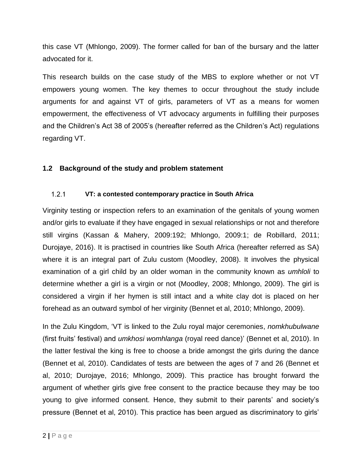this case VT (Mhlongo, 2009). The former called for ban of the bursary and the latter advocated for it.

This research builds on the case study of the MBS to explore whether or not VT empowers young women. The key themes to occur throughout the study include arguments for and against VT of girls, parameters of VT as a means for women empowerment, the effectiveness of VT advocacy arguments in fulfilling their purposes and the Children's Act 38 of 2005's (hereafter referred as the Children's Act) regulations regarding VT.

# <span id="page-9-0"></span>**1.2 Background of the study and problem statement**

#### <span id="page-9-1"></span> $1.2.1$ **VT: a contested contemporary practice in South Africa**

Virginity testing or inspection refers to an examination of the genitals of young women and/or girls to evaluate if they have engaged in sexual relationships or not and therefore still virgins (Kassan & Mahery, 2009:192; Mhlongo, 2009:1; de Robillard, 2011; Durojaye, 2016). It is practised in countries like South Africa (hereafter referred as SA) where it is an integral part of Zulu custom (Moodley, 2008). It involves the physical examination of a girl child by an older woman in the community known as *umhloli* to determine whether a girl is a virgin or not (Moodley, 2008; Mhlongo, 2009). The girl is considered a virgin if her hymen is still intact and a white clay dot is placed on her forehead as an outward symbol of her virginity (Bennet et al, 2010; Mhlongo, 2009).

In the Zulu Kingdom, 'VT is linked to the Zulu royal major ceremonies, *nomkhubulwane* (first fruits' festival) and *umkhosi womhlanga* (royal reed dance)' (Bennet et al, 2010). In the latter festival the king is free to choose a bride amongst the girls during the dance (Bennet et al, 2010). Candidates of tests are between the ages of 7 and 26 (Bennet et al, 2010; Durojaye, 2016; Mhlongo, 2009). This practice has brought forward the argument of whether girls give free consent to the practice because they may be too young to give informed consent. Hence, they submit to their parents' and society's pressure (Bennet et al, 2010). This practice has been argued as discriminatory to girls'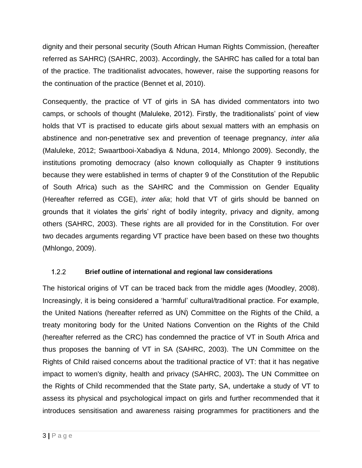dignity and their personal security (South African Human Rights Commission, (hereafter referred as SAHRC) (SAHRC, 2003). Accordingly, the SAHRC has called for a total ban of the practice. The traditionalist advocates, however, raise the supporting reasons for the continuation of the practice (Bennet et al, 2010).

Consequently, the practice of VT of girls in SA has divided commentators into two camps, or schools of thought (Maluleke, 2012). Firstly, the traditionalists' point of view holds that VT is practised to educate girls about sexual matters with an emphasis on abstinence and non-penetrative sex and prevention of teenage pregnancy, *inter alia* (Maluleke, 2012; Swaartbooi-Xabadiya & Nduna, 2014, Mhlongo 2009). Secondly, the institutions promoting democracy (also known colloquially as Chapter 9 institutions because they were established in terms of chapter 9 of the Constitution of the Republic of South Africa) such as the SAHRC and the Commission on Gender Equality (Hereafter referred as CGE), *inter alia*; hold that VT of girls should be banned on grounds that it violates the girls' right of bodily integrity, privacy and dignity, among others (SAHRC, 2003). These rights are all provided for in the Constitution. For over two decades arguments regarding VT practice have been based on these two thoughts (Mhlongo, 2009).

#### <span id="page-10-0"></span> $1.2.2$ **Brief outline of international and regional law considerations**

The historical origins of VT can be traced back from the middle ages (Moodley, 2008). Increasingly, it is being considered a 'harmful' cultural/traditional practice. For example, the United Nations (hereafter referred as UN) Committee on the Rights of the Child, a treaty monitoring body for the United Nations Convention on the Rights of the Child (hereafter referred as the CRC) has condemned the practice of VT in South Africa and thus proposes the banning of VT in SA (SAHRC, 2003). The UN Committee on the Rights of Child raised concerns about the traditional practice of VT: that it has negative impact to women's dignity, health and privacy (SAHRC, 2003)**.** The UN Committee on the Rights of Child recommended that the State party, SA, undertake a study of VT to assess its physical and psychological impact on girls and further recommended that it introduces sensitisation and awareness raising programmes for practitioners and the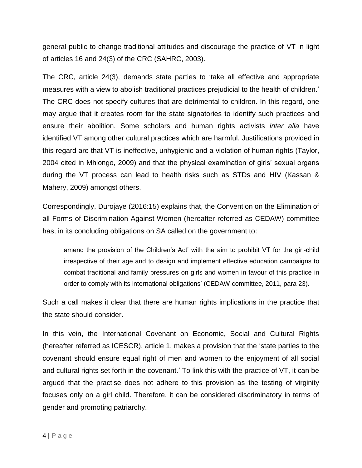general public to change traditional attitudes and discourage the practice of VT in light of articles 16 and 24(3) of the CRC (SAHRC, 2003).

The CRC, article 24(3), demands state parties to 'take all effective and appropriate measures with a view to abolish traditional practices prejudicial to the health of children.' The CRC does not specify cultures that are detrimental to children. In this regard, one may argue that it creates room for the state signatories to identify such practices and ensure their abolition. Some scholars and human rights activists *inter alia* have identified VT among other cultural practices which are harmful. Justifications provided in this regard are that VT is ineffective, unhygienic and a violation of human rights (Taylor, 2004 cited in Mhlongo, 2009) and that the physical examination of girls' sexual organs during the VT process can lead to health risks such as STDs and HIV (Kassan & Mahery, 2009) amongst others.

Correspondingly, Durojaye (2016:15) explains that, the Convention on the Elimination of all Forms of Discrimination Against Women (hereafter referred as CEDAW) committee has, in its concluding obligations on SA called on the government to:

amend the provision of the Children's Act' with the aim to prohibit VT for the girl-child irrespective of their age and to design and implement effective education campaigns to combat traditional and family pressures on girls and women in favour of this practice in order to comply with its international obligations' (CEDAW committee, 2011, para 23).

Such a call makes it clear that there are human rights implications in the practice that the state should consider.

In this vein, the International Covenant on Economic, Social and Cultural Rights (hereafter referred as ICESCR), article 1, makes a provision that the 'state parties to the covenant should ensure equal right of men and women to the enjoyment of all social and cultural rights set forth in the covenant.' To link this with the practice of VT, it can be argued that the practise does not adhere to this provision as the testing of virginity focuses only on a girl child. Therefore, it can be considered discriminatory in terms of gender and promoting patriarchy.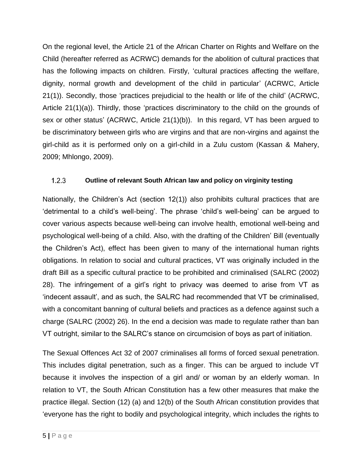On the regional level, the Article 21 of the African Charter on Rights and Welfare on the Child (hereafter referred as ACRWC) demands for the abolition of cultural practices that has the following impacts on children. Firstly, 'cultural practices affecting the welfare, dignity, normal growth and development of the child in particular' (ACRWC, Article 21(1)). Secondly, those 'practices prejudicial to the health or life of the child' (ACRWC, Article 21(1)(a)). Thirdly, those 'practices discriminatory to the child on the grounds of sex or other status' (ACRWC, Article 21(1)(b)). In this regard, VT has been argued to be discriminatory between girls who are virgins and that are non-virgins and against the girl-child as it is performed only on a girl-child in a Zulu custom (Kassan & Mahery, 2009; Mhlongo, 2009).

#### <span id="page-12-0"></span> $1.2.3$ **Outline of relevant South African law and policy on virginity testing**

Nationally, the Children's Act (section 12(1)) also prohibits cultural practices that are 'detrimental to a child's well-being'. The phrase 'child's well-being' can be argued to cover various aspects because well-being can involve health, emotional well-being and psychological well-being of a child. Also, with the drafting of the Children' Bill (eventually the Children's Act), effect has been given to many of the international human rights obligations. In relation to social and cultural practices, VT was originally included in the draft Bill as a specific cultural practice to be prohibited and criminalised (SALRC (2002) 28). The infringement of a girl's right to privacy was deemed to arise from VT as 'indecent assault', and as such, the SALRC had recommended that VT be criminalised, with a concomitant banning of cultural beliefs and practices as a defence against such a charge (SALRC (2002) 26). In the end a decision was made to regulate rather than ban VT outright, similar to the SALRC's stance on circumcision of boys as part of initiation.

The Sexual Offences Act 32 of 2007 criminalises all forms of forced sexual penetration. This includes digital penetration, such as a finger. This can be argued to include VT because it involves the inspection of a girl and/ or woman by an elderly woman. In relation to VT, the South African Constitution has a few other measures that make the practice illegal. Section (12) (a) and 12(b) of the South African constitution provides that 'everyone has the right to bodily and psychological integrity, which includes the rights to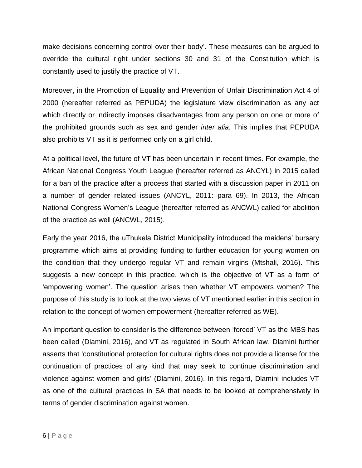make decisions concerning control over their body'. These measures can be argued to override the cultural right under sections 30 and 31 of the Constitution which is constantly used to justify the practice of VT.

Moreover, in the Promotion of Equality and Prevention of Unfair Discrimination Act 4 of 2000 (hereafter referred as PEPUDA) the legislature view discrimination as any act which directly or indirectly imposes disadvantages from any person on one or more of the prohibited grounds such as sex and gender *inter alia*. This implies that PEPUDA also prohibits VT as it is performed only on a girl child.

At a political level, the future of VT has been uncertain in recent times. For example, the African National Congress Youth League (hereafter referred as ANCYL) in 2015 called for a ban of the practice after a process that started with a discussion paper in 2011 on a number of gender related issues (ANCYL, 2011: para 69). In 2013, the African National Congress Women's League (hereafter referred as ANCWL) called for abolition of the practice as well (ANCWL, 2015).

Early the year 2016, the uThukela District Municipality introduced the maidens' bursary programme which aims at providing funding to further education for young women on the condition that they undergo regular VT and remain virgins (Mtshali, 2016). This suggests a new concept in this practice, which is the objective of VT as a form of 'empowering women'. The question arises then whether VT empowers women? The purpose of this study is to look at the two views of VT mentioned earlier in this section in relation to the concept of women empowerment (hereafter referred as WE).

An important question to consider is the difference between 'forced' VT as the MBS has been called (Dlamini, 2016), and VT as regulated in South African law. Dlamini further asserts that 'constitutional protection for cultural rights does not provide a license for the continuation of practices of any kind that may seek to continue discrimination and violence against women and girls' (Dlamini, 2016). In this regard, Dlamini includes VT as one of the cultural practices in SA that needs to be looked at comprehensively in terms of gender discrimination against women.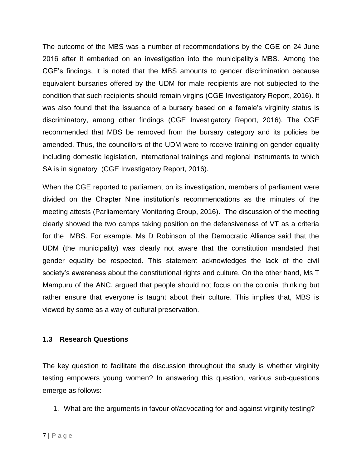The outcome of the MBS was a number of recommendations by the CGE on 24 June 2016 after it embarked on an investigation into the municipality's MBS. Among the CGE's findings, it is noted that the MBS amounts to gender discrimination because equivalent bursaries offered by the UDM for male recipients are not subjected to the condition that such recipients should remain virgins (CGE Investigatory Report, 2016). It was also found that the issuance of a bursary based on a female's virginity status is discriminatory, among other findings (CGE Investigatory Report, 2016). The CGE recommended that MBS be removed from the bursary category and its policies be amended. Thus, the councillors of the UDM were to receive training on gender equality including domestic legislation, international trainings and regional instruments to which SA is in signatory (CGE Investigatory Report, 2016).

When the CGE reported to parliament on its investigation, members of parliament were divided on the Chapter Nine institution's recommendations as the minutes of the meeting attests (Parliamentary Monitoring Group, 2016). The discussion of the meeting clearly showed the two camps taking position on the defensiveness of VT as a criteria for the MBS. For example, Ms D Robinson of the Democratic Alliance said that the UDM (the municipality) was clearly not aware that the constitution mandated that gender equality be respected. This statement acknowledges the lack of the civil society's awareness about the constitutional rights and culture. On the other hand, Ms T Mampuru of the ANC, argued that people should not focus on the colonial thinking but rather ensure that everyone is taught about their culture. This implies that, MBS is viewed by some as a way of cultural preservation.

### <span id="page-14-0"></span>**1.3 Research Questions**

The key question to facilitate the discussion throughout the study is whether virginity testing empowers young women? In answering this question, various sub-questions emerge as follows:

1. What are the arguments in favour of/advocating for and against virginity testing?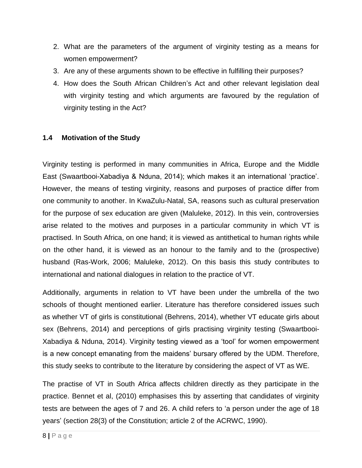- 2. What are the parameters of the argument of virginity testing as a means for women empowerment?
- 3. Are any of these arguments shown to be effective in fulfilling their purposes?
- 4. How does the South African Children's Act and other relevant legislation deal with virginity testing and which arguments are favoured by the regulation of virginity testing in the Act?

# <span id="page-15-0"></span>**1.4 Motivation of the Study**

Virginity testing is performed in many communities in Africa, Europe and the Middle East (Swaartbooi-Xabadiya & Nduna, 2014); which makes it an international 'practice'. However, the means of testing virginity, reasons and purposes of practice differ from one community to another. In KwaZulu-Natal, SA, reasons such as cultural preservation for the purpose of sex education are given (Maluleke, 2012). In this vein, controversies arise related to the motives and purposes in a particular community in which VT is practised. In South Africa, on one hand; it is viewed as antithetical to human rights while on the other hand, it is viewed as an honour to the family and to the (prospective) husband (Ras-Work, 2006; Maluleke, 2012). On this basis this study contributes to international and national dialogues in relation to the practice of VT.

Additionally, arguments in relation to VT have been under the umbrella of the two schools of thought mentioned earlier. Literature has therefore considered issues such as whether VT of girls is constitutional (Behrens, 2014), whether VT educate girls about sex (Behrens, 2014) and perceptions of girls practising virginity testing (Swaartbooi-Xabadiya & Nduna, 2014). Virginity testing viewed as a 'tool' for women empowerment is a new concept emanating from the maidens' bursary offered by the UDM. Therefore, this study seeks to contribute to the literature by considering the aspect of VT as WE.

The practise of VT in South Africa affects children directly as they participate in the practice. Bennet et al, (2010) emphasises this by asserting that candidates of virginity tests are between the ages of 7 and 26. A child refers to 'a person under the age of 18 years' (section 28(3) of the Constitution; article 2 of the ACRWC, 1990).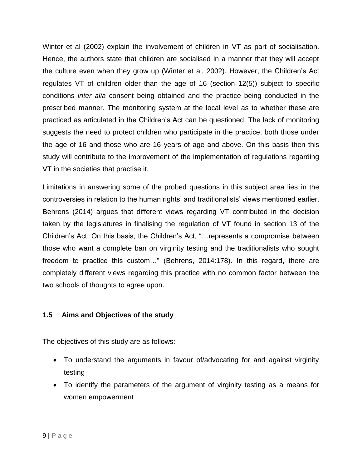Winter et al (2002) explain the involvement of children in VT as part of socialisation. Hence, the authors state that children are socialised in a manner that they will accept the culture even when they grow up (Winter et al, 2002). However, the Children's Act regulates VT of children older than the age of 16 (section 12(5)) subject to specific conditions *inter alia* consent being obtained and the practice being conducted in the prescribed manner. The monitoring system at the local level as to whether these are practiced as articulated in the Children's Act can be questioned. The lack of monitoring suggests the need to protect children who participate in the practice, both those under the age of 16 and those who are 16 years of age and above. On this basis then this study will contribute to the improvement of the implementation of regulations regarding VT in the societies that practise it.

Limitations in answering some of the probed questions in this subject area lies in the controversies in relation to the human rights' and traditionalists' views mentioned earlier. Behrens (2014) argues that different views regarding VT contributed in the decision taken by the legislatures in finalising the regulation of VT found in section 13 of the Children's Act. On this basis, the Children's Act, "…represents a compromise between those who want a complete ban on virginity testing and the traditionalists who sought freedom to practice this custom…" (Behrens, 2014:178). In this regard, there are completely different views regarding this practice with no common factor between the two schools of thoughts to agree upon.

# <span id="page-16-0"></span>**1.5 Aims and Objectives of the study**

The objectives of this study are as follows:

- To understand the arguments in favour of/advocating for and against virginity testing
- To identify the parameters of the argument of virginity testing as a means for women empowerment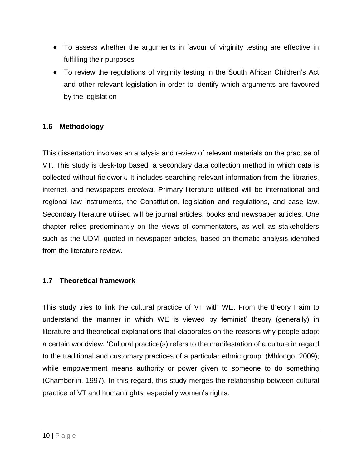- To assess whether the arguments in favour of virginity testing are effective in fulfilling their purposes
- To review the regulations of virginity testing in the South African Children's Act and other relevant legislation in order to identify which arguments are favoured by the legislation

# <span id="page-17-0"></span>**1.6 Methodology**

This dissertation involves an analysis and review of relevant materials on the practise of VT. This study is desk-top based, a secondary data collection method in which data is collected without fieldwork**.** It includes searching relevant information from the libraries, internet, and newspapers *etcetera*. Primary literature utilised will be international and regional law instruments, the Constitution, legislation and regulations, and case law. Secondary literature utilised will be journal articles, books and newspaper articles. One chapter relies predominantly on the views of commentators, as well as stakeholders such as the UDM, quoted in newspaper articles, based on thematic analysis identified from the literature review.

### <span id="page-17-1"></span>**1.7 Theoretical framework**

This study tries to link the cultural practice of VT with WE. From the theory I aim to understand the manner in which WE is viewed by feminist' theory (generally) in literature and theoretical explanations that elaborates on the reasons why people adopt a certain worldview. 'Cultural practice(s) refers to the manifestation of a culture in regard to the traditional and customary practices of a particular ethnic group' (Mhlongo, 2009); while empowerment means authority or power given to someone to do something (Chamberlin, 1997)**.** In this regard, this study merges the relationship between cultural practice of VT and human rights, especially women's rights.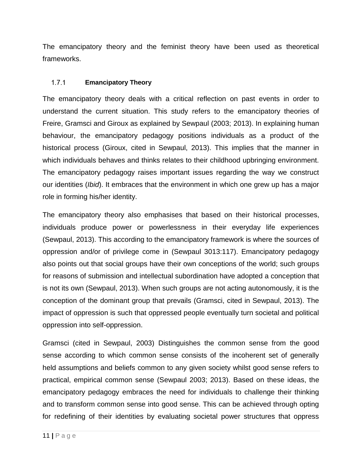The emancipatory theory and the feminist theory have been used as theoretical frameworks.

#### <span id="page-18-0"></span> $1.7.1$ **Emancipatory Theory**

The emancipatory theory deals with a critical reflection on past events in order to understand the current situation. This study refers to the emancipatory theories of Freire, Gramsci and Giroux as explained by Sewpaul (2003; 2013). In explaining human behaviour, the emancipatory pedagogy positions individuals as a product of the historical process (Giroux, cited in Sewpaul, 2013). This implies that the manner in which individuals behaves and thinks relates to their childhood upbringing environment. The emancipatory pedagogy raises important issues regarding the way we construct our identities (*Ibid*). It embraces that the environment in which one grew up has a major role in forming his/her identity.

The emancipatory theory also emphasises that based on their historical processes, individuals produce power or powerlessness in their everyday life experiences (Sewpaul, 2013). This according to the emancipatory framework is where the sources of oppression and/or of privilege come in (Sewpaul 3013:117). Emancipatory pedagogy also points out that social groups have their own conceptions of the world; such groups for reasons of submission and intellectual subordination have adopted a conception that is not its own (Sewpaul, 2013). When such groups are not acting autonomously, it is the conception of the dominant group that prevails (Gramsci, cited in Sewpaul, 2013). The impact of oppression is such that oppressed people eventually turn societal and political oppression into self-oppression.

Gramsci (cited in Sewpaul, 2003) Distinguishes the common sense from the good sense according to which common sense consists of the incoherent set of generally held assumptions and beliefs common to any given society whilst good sense refers to practical, empirical common sense (Sewpaul 2003; 2013). Based on these ideas, the emancipatory pedagogy embraces the need for individuals to challenge their thinking and to transform common sense into good sense. This can be achieved through opting for redefining of their identities by evaluating societal power structures that oppress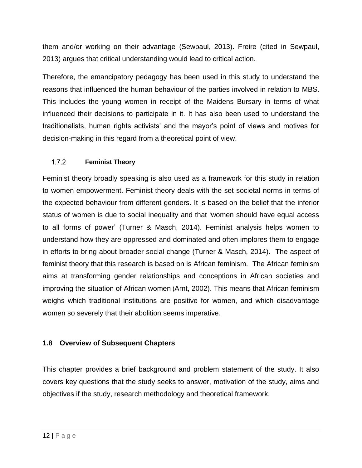them and/or working on their advantage (Sewpaul, 2013). Freire (cited in Sewpaul, 2013) argues that critical understanding would lead to critical action.

Therefore, the emancipatory pedagogy has been used in this study to understand the reasons that influenced the human behaviour of the parties involved in relation to MBS. This includes the young women in receipt of the Maidens Bursary in terms of what influenced their decisions to participate in it. It has also been used to understand the traditionalists, human rights activists' and the mayor's point of views and motives for decision-making in this regard from a theoretical point of view.

#### <span id="page-19-0"></span> $1.7.2$ **Feminist Theory**

Feminist theory broadly speaking is also used as a framework for this study in relation to women empowerment. Feminist theory deals with the set societal norms in terms of the expected behaviour from different genders. It is based on the belief that the inferior status of women is due to social inequality and that 'women should have equal access to all forms of power' (Turner & Masch, 2014). Feminist analysis helps women to understand how they are oppressed and dominated and often implores them to engage in efforts to bring about broader social change (Turner & Masch, 2014). The aspect of feminist theory that this research is based on is African feminism. The African feminism aims at transforming gender relationships and conceptions in African societies and improving the situation of African women (Arnt, 2002). This means that African feminism weighs which traditional institutions are positive for women, and which disadvantage women so severely that their abolition seems imperative.

### <span id="page-19-1"></span>**1.8 Overview of Subsequent Chapters**

This chapter provides a brief background and problem statement of the study. It also covers key questions that the study seeks to answer, motivation of the study, aims and objectives if the study, research methodology and theoretical framework.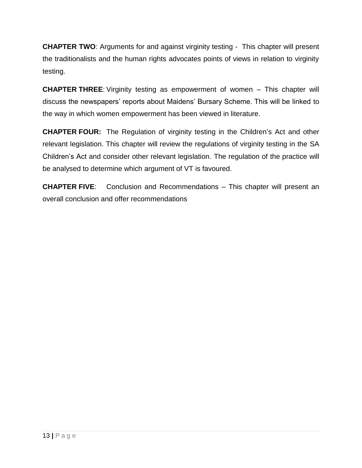**CHAPTER TWO**: Arguments for and against virginity testing - This chapter will present the traditionalists and the human rights advocates points of views in relation to virginity testing.

**CHAPTER THREE**: Virginity testing as empowerment of women – This chapter will discuss the newspapers' reports about Maidens' Bursary Scheme. This will be linked to the way in which women empowerment has been viewed in literature.

**CHAPTER FOUR:** The Regulation of virginity testing in the Children's Act and other relevant legislation. This chapter will review the regulations of virginity testing in the SA Children's Act and consider other relevant legislation. The regulation of the practice will be analysed to determine which argument of VT is favoured.

**CHAPTER FIVE**: Conclusion and Recommendations – This chapter will present an overall conclusion and offer recommendations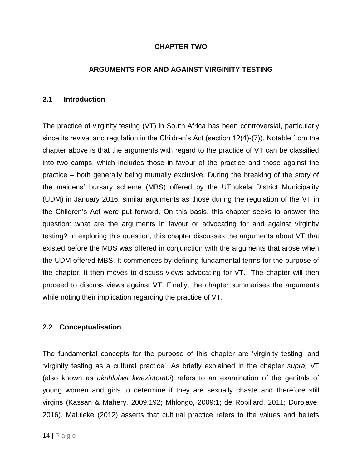### **CHAPTER TWO**

### <span id="page-21-0"></span>**ARGUMENTS FOR AND AGAINST VIRGINITY TESTING**

#### <span id="page-21-2"></span><span id="page-21-1"></span>**2.1 Introduction**

The practice of virginity testing (VT) in South Africa has been controversial, particularly since its revival and regulation in the Children's Act (section 12(4)-(7)). Notable from the chapter above is that the arguments with regard to the practice of VT can be classified into two camps, which includes those in favour of the practice and those against the practice – both generally being mutually exclusive. During the breaking of the story of the maidens' bursary scheme (MBS) offered by the UThukela District Municipality (UDM) in January 2016, similar arguments as those during the regulation of the VT in the Children's Act were put forward. On this basis, this chapter seeks to answer the question: what are the arguments in favour or advocating for and against virginity testing? In exploring this question, this chapter discusses the arguments about VT that existed before the MBS was offered in conjunction with the arguments that arose when the UDM offered MBS. It commences by defining fundamental terms for the purpose of the chapter. It then moves to discuss views advocating for VT. The chapter will then proceed to discuss views against VT. Finally, the chapter summarises the arguments while noting their implication regarding the practice of VT.

### <span id="page-21-3"></span>**2.2 Conceptualisation**

The fundamental concepts for the purpose of this chapter are 'virginity testing' and 'virginity testing as a cultural practice'. As briefly explained in the chapter *supra,* VT (also known as *ukuhlolwa kwezintombi*) refers to an examination of the genitals of young women and girls to determine if they are sexually chaste and therefore still virgins (Kassan & Mahery, 2009:192; Mhlongo, 2009:1; de Robillard, 2011; Durojaye, 2016). Maluleke (2012) asserts that cultural practice refers to the values and beliefs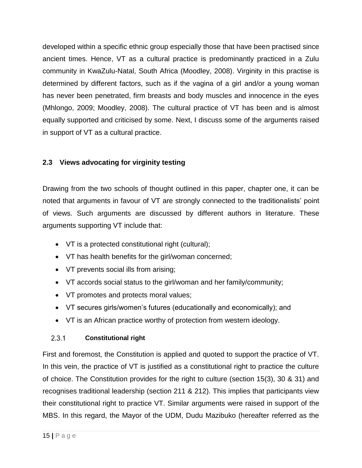developed within a specific ethnic group especially those that have been practised since ancient times. Hence, VT as a cultural practice is predominantly practiced in a Zulu community in KwaZulu-Natal, South Africa (Moodley, 2008). Virginity in this practise is determined by different factors, such as if the vagina of a girl and/or a young woman has never been penetrated, firm breasts and body muscles and innocence in the eyes (Mhlongo, 2009; Moodley, 2008). The cultural practice of VT has been and is almost equally supported and criticised by some. Next, I discuss some of the arguments raised in support of VT as a cultural practice.

# <span id="page-22-0"></span>**2.3 Views advocating for virginity testing**

Drawing from the two schools of thought outlined in this paper, chapter one, it can be noted that arguments in favour of VT are strongly connected to the traditionalists' point of views. Such arguments are discussed by different authors in literature. These arguments supporting VT include that:

- VT is a protected constitutional right (cultural);
- VT has health benefits for the girl/woman concerned;
- VT prevents social ills from arising;
- VT accords social status to the girl/woman and her family/community;
- VT promotes and protects moral values;
- VT secures girls/women's futures (educationally and economically); and
- <span id="page-22-1"></span>VT is an African practice worthy of protection from western ideology.

#### $2.3.1$ **Constitutional right**

First and foremost, the Constitution is applied and quoted to support the practice of VT. In this vein, the practice of VT is justified as a constitutional right to practice the culture of choice. The Constitution provides for the right to culture (section 15(3), 30 & 31) and recognises traditional leadership (section 211 & 212). This implies that participants view their constitutional right to practice VT. Similar arguments were raised in support of the MBS. In this regard, the Mayor of the UDM, Dudu Mazibuko (hereafter referred as the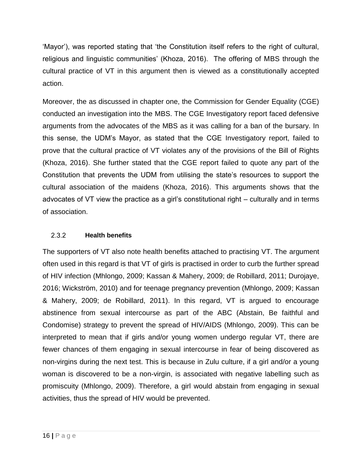'Mayor'), was reported stating that 'the Constitution itself refers to the right of cultural, religious and linguistic communities' (Khoza, 2016). The offering of MBS through the cultural practice of VT in this argument then is viewed as a constitutionally accepted action.

Moreover, the as discussed in chapter one, the Commission for Gender Equality (CGE) conducted an investigation into the MBS. The CGE Investigatory report faced defensive arguments from the advocates of the MBS as it was calling for a ban of the bursary. In this sense, the UDM's Mayor, as stated that the CGE Investigatory report, failed to prove that the cultural practice of VT violates any of the provisions of the Bill of Rights (Khoza, 2016). She further stated that the CGE report failed to quote any part of the Constitution that prevents the UDM from utilising the state's resources to support the cultural association of the maidens (Khoza, 2016). This arguments shows that the advocates of VT view the practice as a girl's constitutional right – culturally and in terms of association.

#### <span id="page-23-0"></span> $2.3.2$ **Health benefits**

The supporters of VT also note health benefits attached to practising VT. The argument often used in this regard is that VT of girls is practised in order to curb the further spread of HIV infection (Mhlongo, 2009; Kassan & Mahery, 2009; de Robillard, 2011; Durojaye, 2016; Wickström, 2010) and for teenage pregnancy prevention (Mhlongo, 2009; Kassan & Mahery, 2009; de Robillard, 2011). In this regard, VT is argued to encourage abstinence from sexual intercourse as part of the ABC (Abstain, Be faithful and Condomise) strategy to prevent the spread of HIV/AIDS (Mhlongo, 2009). This can be interpreted to mean that if girls and/or young women undergo regular VT, there are fewer chances of them engaging in sexual intercourse in fear of being discovered as non-virgins during the next test. This is because in Zulu culture, if a girl and/or a young woman is discovered to be a non-virgin, is associated with negative labelling such as promiscuity (Mhlongo, 2009). Therefore, a girl would abstain from engaging in sexual activities, thus the spread of HIV would be prevented.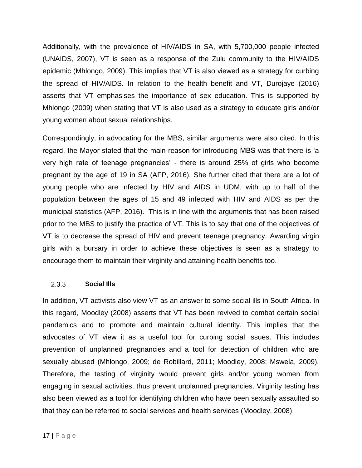Additionally, with the prevalence of HIV/AIDS in SA, with 5,700,000 people infected (UNAIDS, 2007), VT is seen as a response of the Zulu community to the HIV/AIDS epidemic (Mhlongo, 2009). This implies that VT is also viewed as a strategy for curbing the spread of HIV/AIDS. In relation to the health benefit and VT, Durojaye (2016) asserts that VT emphasises the importance of sex education. This is supported by Mhlongo (2009) when stating that VT is also used as a strategy to educate girls and/or young women about sexual relationships.

Correspondingly, in advocating for the MBS, similar arguments were also cited. In this regard, the Mayor stated that the main reason for introducing MBS was that there is 'a very high rate of teenage pregnancies' - there is around 25% of girls who become pregnant by the age of 19 in SA (AFP, 2016). She further cited that there are a lot of young people who are infected by HIV and AIDS in UDM, with up to half of the population between the ages of 15 and 49 infected with HIV and AIDS as per the municipal statistics (AFP, 2016). This is in line with the arguments that has been raised prior to the MBS to justify the practice of VT. This is to say that one of the objectives of VT is to decrease the spread of HIV and prevent teenage pregnancy. Awarding virgin girls with a bursary in order to achieve these objectives is seen as a strategy to encourage them to maintain their virginity and attaining health benefits too.

#### <span id="page-24-0"></span> $2.3.3$ **Social Ills**

In addition, VT activists also view VT as an answer to some social ills in South Africa. In this regard, Moodley (2008) asserts that VT has been revived to combat certain social pandemics and to promote and maintain cultural identity. This implies that the advocates of VT view it as a useful tool for curbing social issues. This includes prevention of unplanned pregnancies and a tool for detection of children who are sexually abused (Mhlongo, 2009; de Robillard, 2011; Moodley, 2008; Mswela, 2009). Therefore, the testing of virginity would prevent girls and/or young women from engaging in sexual activities, thus prevent unplanned pregnancies. Virginity testing has also been viewed as a tool for identifying children who have been sexually assaulted so that they can be referred to social services and health services (Moodley, 2008).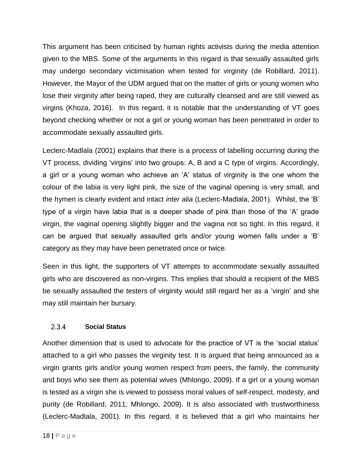This argument has been criticised by human rights activists during the media attention given to the MBS. Some of the arguments in this regard is that sexually assaulted girls may undergo secondary victimisation when tested for virginity (de Robillard, 2011). However, the Mayor of the UDM argued that on the matter of girls or young women who lose their virginity after being raped, they are culturally cleansed and are still viewed as virgins (Khoza, 2016). In this regard, it is notable that the understanding of VT goes beyond checking whether or not a girl or young woman has been penetrated in order to accommodate sexually assaulted girls.

Leclerc-Madlala (2001) explains that there is a process of labelling occurring during the VT process, dividing 'virgins' into two groups: A, B and a C type of virgins. Accordingly, a girl or a young woman who achieve an 'A' status of virginity is the one whom the colour of the labia is very light pink, the size of the vaginal opening is very small, and the hymen is clearly evident and intact *inter alia* (Leclerc-Madlala, 2001). Whilst, the 'B' type of a virgin have labia that is a deeper shade of pink than those of the 'A' grade virgin, the vaginal opening slightly bigger and the vagina not so tight. In this regard, it can be argued that sexually assaulted girls and/or young women falls under a 'B' category as they may have been penetrated once or twice.

Seen in this light, the supporters of VT attempts to accommodate sexually assaulted girls who are discovered as non-virgins. This implies that should a recipient of the MBS be sexually assaulted the testers of virginity would still regard her as a 'virgin' and she may still maintain her bursary.

#### <span id="page-25-0"></span> $2.3.4$ **Social Status**

Another dimension that is used to advocate for the practice of VT is the 'social status' attached to a girl who passes the virginity test. It is argued that being announced as a virgin grants girls and/or young women respect from peers, the family, the community and boys who see them as potential wives (Mhlongo, 2009). If a girl or a young woman is tested as a virgin she is viewed to possess moral values of self-respect, modesty, and purity (de Robillard, 2011; Mhlongo, 2009). It is also associated with trustworthiness (Leclerc-Madlala, 2001). In this regard, it is believed that a girl who maintains her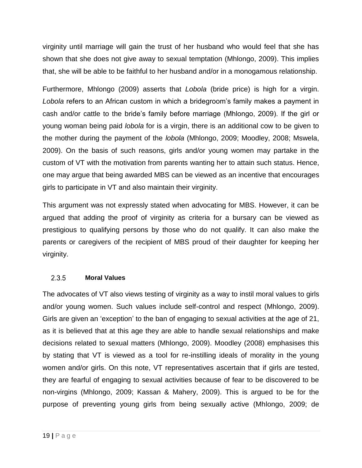virginity until marriage will gain the trust of her husband who would feel that she has shown that she does not give away to sexual temptation (Mhlongo, 2009). This implies that, she will be able to be faithful to her husband and/or in a monogamous relationship.

Furthermore, Mhlongo (2009) asserts that *Lobola* (bride price) is high for a virgin. *Lobola* refers to an African custom in which a bridegroom's family makes a payment in cash and/or cattle to the bride's family before marriage (Mhlongo, 2009). If the girl or young woman being paid *lobola* for is a virgin, there is an additional cow to be given to the mother during the payment of the *lobola* (Mhlongo, 2009; Moodley, 2008; Mswela, 2009). On the basis of such reasons, girls and/or young women may partake in the custom of VT with the motivation from parents wanting her to attain such status. Hence, one may argue that being awarded MBS can be viewed as an incentive that encourages girls to participate in VT and also maintain their virginity.

This argument was not expressly stated when advocating for MBS. However, it can be argued that adding the proof of virginity as criteria for a bursary can be viewed as prestigious to qualifying persons by those who do not qualify. It can also make the parents or caregivers of the recipient of MBS proud of their daughter for keeping her virginity.

#### <span id="page-26-0"></span>2.3.5 **Moral Values**

The advocates of VT also views testing of virginity as a way to instil moral values to girls and/or young women. Such values include self-control and respect (Mhlongo, 2009). Girls are given an 'exception' to the ban of engaging to sexual activities at the age of 21, as it is believed that at this age they are able to handle sexual relationships and make decisions related to sexual matters (Mhlongo, 2009). Moodley (2008) emphasises this by stating that VT is viewed as a tool for re-instilling ideals of morality in the young women and/or girls. On this note, VT representatives ascertain that if girls are tested, they are fearful of engaging to sexual activities because of fear to be discovered to be non-virgins (Mhlongo, 2009; Kassan & Mahery, 2009). This is argued to be for the purpose of preventing young girls from being sexually active (Mhlongo, 2009; de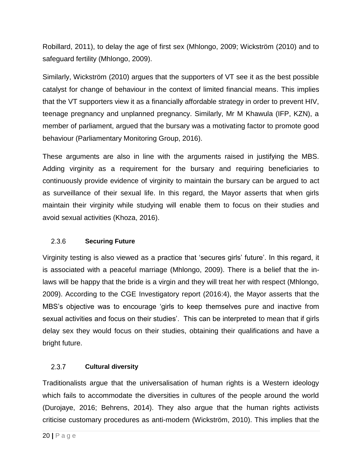Robillard, 2011), to delay the age of first sex (Mhlongo, 2009; Wickström (2010) and to safeguard fertility (Mhlongo, 2009).

Similarly, Wickström (2010) argues that the supporters of VT see it as the best possible catalyst for change of behaviour in the context of limited financial means. This implies that the VT supporters view it as a financially affordable strategy in order to prevent HIV, teenage pregnancy and unplanned pregnancy. Similarly, Mr M Khawula (IFP, KZN), a member of parliament, argued that the bursary was a motivating factor to promote good behaviour (Parliamentary Monitoring Group, 2016).

These arguments are also in line with the arguments raised in justifying the MBS. Adding virginity as a requirement for the bursary and requiring beneficiaries to continuously provide evidence of virginity to maintain the bursary can be argued to act as surveillance of their sexual life. In this regard, the Mayor asserts that when girls maintain their virginity while studying will enable them to focus on their studies and avoid sexual activities (Khoza, 2016).

#### <span id="page-27-0"></span>2.3.6 **Securing Future**

Virginity testing is also viewed as a practice that 'secures girls' future'. In this regard, it is associated with a peaceful marriage (Mhlongo, 2009). There is a belief that the inlaws will be happy that the bride is a virgin and they will treat her with respect (Mhlongo, 2009). According to the CGE Investigatory report (2016:4), the Mayor asserts that the MBS's objective was to encourage 'girls to keep themselves pure and inactive from sexual activities and focus on their studies'. This can be interpreted to mean that if girls delay sex they would focus on their studies, obtaining their qualifications and have a bright future.

#### <span id="page-27-1"></span> $2.3.7$ **Cultural diversity**

Traditionalists argue that the universalisation of human rights is a Western ideology which fails to accommodate the diversities in cultures of the people around the world (Durojaye, 2016; Behrens, 2014). They also argue that the human rights activists criticise customary procedures as anti-modern (Wickström, 2010). This implies that the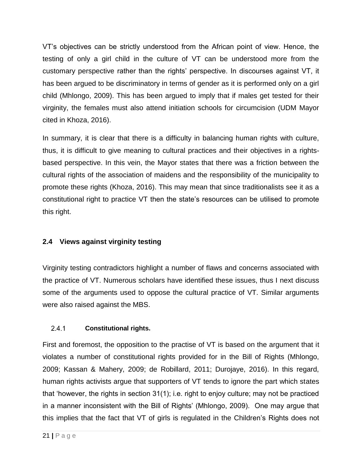VT's objectives can be strictly understood from the African point of view. Hence, the testing of only a girl child in the culture of VT can be understood more from the customary perspective rather than the rights' perspective. In discourses against VT, it has been argued to be discriminatory in terms of gender as it is performed only on a girl child (Mhlongo, 2009). This has been argued to imply that if males get tested for their virginity, the females must also attend initiation schools for circumcision (UDM Mayor cited in Khoza, 2016).

In summary, it is clear that there is a difficulty in balancing human rights with culture, thus, it is difficult to give meaning to cultural practices and their objectives in a rightsbased perspective. In this vein, the Mayor states that there was a friction between the cultural rights of the association of maidens and the responsibility of the municipality to promote these rights (Khoza, 2016). This may mean that since traditionalists see it as a constitutional right to practice VT then the state's resources can be utilised to promote this right.

# <span id="page-28-0"></span>**2.4 Views against virginity testing**

Virginity testing contradictors highlight a number of flaws and concerns associated with the practice of VT. Numerous scholars have identified these issues, thus I next discuss some of the arguments used to oppose the cultural practice of VT. Similar arguments were also raised against the MBS.

#### <span id="page-28-1"></span> $2.4.1$ **Constitutional rights.**

First and foremost, the opposition to the practise of VT is based on the argument that it violates a number of constitutional rights provided for in the Bill of Rights (Mhlongo, 2009; Kassan & Mahery, 2009; de Robillard, 2011; Durojaye, 2016). In this regard, human rights activists argue that supporters of VT tends to ignore the part which states that 'however, the rights in section 31(1); i.e. right to enjoy culture; may not be practiced in a manner inconsistent with the Bill of Rights' (Mhlongo, 2009). One may argue that this implies that the fact that VT of girls is regulated in the Children's Rights does not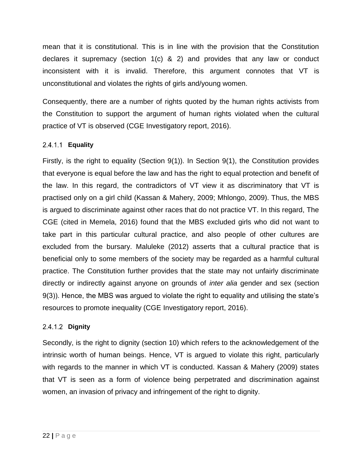mean that it is constitutional. This is in line with the provision that the Constitution declares it supremacy (section 1(c) & 2) and provides that any law or conduct inconsistent with it is invalid. Therefore, this argument connotes that VT is unconstitutional and violates the rights of girls and/young women.

Consequently, there are a number of rights quoted by the human rights activists from the Constitution to support the argument of human rights violated when the cultural practice of VT is observed (CGE Investigatory report, 2016).

## <span id="page-29-0"></span>**Equality**

Firstly, is the right to equality (Section 9(1)). In Section 9(1), the Constitution provides that everyone is equal before the law and has the right to equal protection and benefit of the law. In this regard, the contradictors of VT view it as discriminatory that VT is practised only on a girl child (Kassan & Mahery, 2009; Mhlongo, 2009). Thus, the MBS is argued to discriminate against other races that do not practice VT. In this regard, The CGE (cited in Memela, 2016) found that the MBS excluded girls who did not want to take part in this particular cultural practice, and also people of other cultures are excluded from the bursary. Maluleke (2012) asserts that a cultural practice that is beneficial only to some members of the society may be regarded as a harmful cultural practice. The Constitution further provides that the state may not unfairly discriminate directly or indirectly against anyone on grounds of *inter alia* gender and sex (section 9(3)). Hence, the MBS was argued to violate the right to equality and utilising the state's resources to promote inequality (CGE Investigatory report, 2016).

### <span id="page-29-1"></span>**Dignity**

Secondly, is the right to dignity (section 10) which refers to the acknowledgement of the intrinsic worth of human beings. Hence, VT is argued to violate this right, particularly with regards to the manner in which VT is conducted. Kassan & Mahery (2009) states that VT is seen as a form of violence being perpetrated and discrimination against women, an invasion of privacy and infringement of the right to dignity.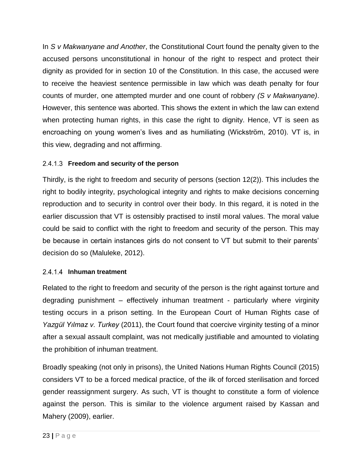In *S v Makwanyane and Another*, the Constitutional Court found the penalty given to the accused persons unconstitutional in honour of the right to respect and protect their dignity as provided for in section 10 of the Constitution. In this case, the accused were to receive the heaviest sentence permissible in law which was death penalty for four counts of murder, one attempted murder and one count of robbery *(S v Makwanyane)*. However, this sentence was aborted. This shows the extent in which the law can extend when protecting human rights, in this case the right to dignity. Hence, VT is seen as encroaching on young women's lives and as humiliating (Wickström, 2010). VT is, in this view, degrading and not affirming.

## <span id="page-30-0"></span>**Freedom and security of the person**

Thirdly, is the right to freedom and security of persons (section 12(2)). This includes the right to bodily integrity, psychological integrity and rights to make decisions concerning reproduction and to security in control over their body. In this regard, it is noted in the earlier discussion that VT is ostensibly practised to instil moral values. The moral value could be said to conflict with the right to freedom and security of the person. This may be because in certain instances girls do not consent to VT but submit to their parents' decision do so (Maluleke, 2012).

### <span id="page-30-1"></span>2.4.1.4 Inhuman treatment

Related to the right to freedom and security of the person is the right against torture and degrading punishment – effectively inhuman treatment - particularly where virginity testing occurs in a prison setting. In the European Court of Human Rights case of *Yazgül Yılmaz v. Turkey* (2011), the Court found that coercive virginity testing of a minor after a sexual assault complaint, was not medically justifiable and amounted to violating the prohibition of inhuman treatment.

Broadly speaking (not only in prisons), the United Nations Human Rights Council (2015) considers VT to be a forced medical practice, of the ilk of forced sterilisation and forced gender reassignment surgery. As such, VT is thought to constitute a form of violence against the person. This is similar to the violence argument raised by Kassan and Mahery (2009), earlier.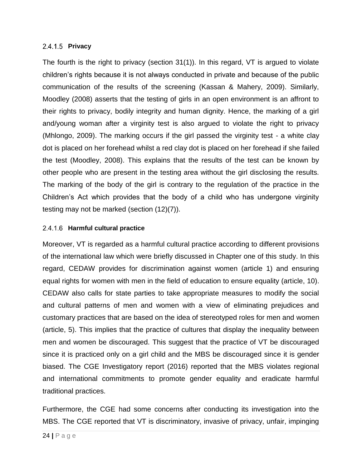### <span id="page-31-0"></span>2.4.1.5 **Privacy**

The fourth is the right to privacy (section 31(1)). In this regard, VT is argued to violate children's rights because it is not always conducted in private and because of the public communication of the results of the screening (Kassan & Mahery, 2009). Similarly, Moodley (2008) asserts that the testing of girls in an open environment is an affront to their rights to privacy, bodily integrity and human dignity. Hence, the marking of a girl and/young woman after a virginity test is also argued to violate the right to privacy (Mhlongo, 2009). The marking occurs if the girl passed the virginity test - a white clay dot is placed on her forehead whilst a red clay dot is placed on her forehead if she failed the test (Moodley, 2008). This explains that the results of the test can be known by other people who are present in the testing area without the girl disclosing the results. The marking of the body of the girl is contrary to the regulation of the practice in the Children's Act which provides that the body of a child who has undergone virginity testing may not be marked (section (12)(7)).

### <span id="page-31-1"></span>**Harmful cultural practice**

Moreover, VT is regarded as a harmful cultural practice according to different provisions of the international law which were briefly discussed in Chapter one of this study. In this regard, CEDAW provides for discrimination against women (article 1) and ensuring equal rights for women with men in the field of education to ensure equality (article, 10). CEDAW also calls for state parties to take appropriate measures to modify the social and cultural patterns of men and women with a view of eliminating prejudices and customary practices that are based on the idea of stereotyped roles for men and women (article, 5). This implies that the practice of cultures that display the inequality between men and women be discouraged. This suggest that the practice of VT be discouraged since it is practiced only on a girl child and the MBS be discouraged since it is gender biased. The CGE Investigatory report (2016) reported that the MBS violates regional and international commitments to promote gender equality and eradicate harmful traditional practices.

Furthermore, the CGE had some concerns after conducting its investigation into the MBS. The CGE reported that VT is discriminatory, invasive of privacy, unfair, impinging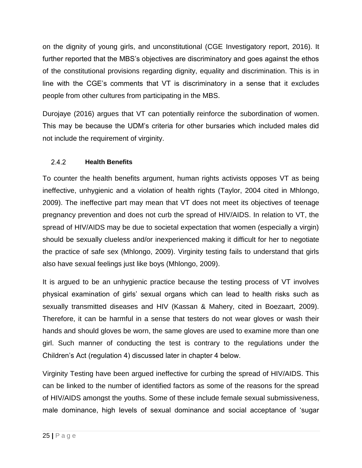on the dignity of young girls, and unconstitutional (CGE Investigatory report, 2016). It further reported that the MBS's objectives are discriminatory and goes against the ethos of the constitutional provisions regarding dignity, equality and discrimination. This is in line with the CGE's comments that VT is discriminatory in a sense that it excludes people from other cultures from participating in the MBS.

Durojaye (2016) argues that VT can potentially reinforce the subordination of women. This may be because the UDM's criteria for other bursaries which included males did not include the requirement of virginity.

#### <span id="page-32-0"></span> $2.4.2$ **Health Benefits**

To counter the health benefits argument, human rights activists opposes VT as being ineffective, unhygienic and a violation of health rights (Taylor, 2004 cited in Mhlongo, 2009). The ineffective part may mean that VT does not meet its objectives of teenage pregnancy prevention and does not curb the spread of HIV/AIDS. In relation to VT, the spread of HIV/AIDS may be due to societal expectation that women (especially a virgin) should be sexually clueless and/or inexperienced making it difficult for her to negotiate the practice of safe sex (Mhlongo, 2009). Virginity testing fails to understand that girls also have sexual feelings just like boys (Mhlongo, 2009).

It is argued to be an unhygienic practice because the testing process of VT involves physical examination of girls' sexual organs which can lead to health risks such as sexually transmitted diseases and HIV (Kassan & Mahery, cited in Boezaart, 2009). Therefore, it can be harmful in a sense that testers do not wear gloves or wash their hands and should gloves be worn, the same gloves are used to examine more than one girl. Such manner of conducting the test is contrary to the regulations under the Children's Act (regulation 4) discussed later in chapter 4 below.

Virginity Testing have been argued ineffective for curbing the spread of HIV/AIDS. This can be linked to the number of identified factors as some of the reasons for the spread of HIV/AIDS amongst the youths. Some of these include female sexual submissiveness, male dominance, high levels of sexual dominance and social acceptance of 'sugar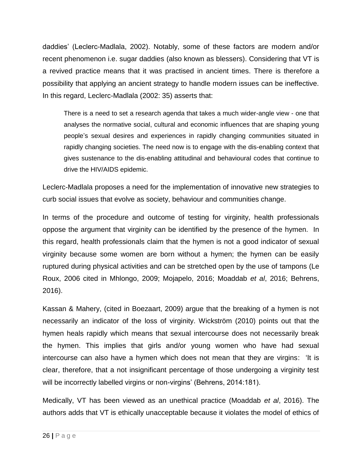daddies' (Leclerc-Madlala, 2002). Notably, some of these factors are modern and/or recent phenomenon i.e. sugar daddies (also known as blessers). Considering that VT is a revived practice means that it was practised in ancient times. There is therefore a possibility that applying an ancient strategy to handle modern issues can be ineffective. In this regard, Leclerc-Madlala (2002: 35) asserts that:

There is a need to set a research agenda that takes a much wider-angle view - one that analyses the normative social, cultural and economic influences that are shaping young people's sexual desires and experiences in rapidly changing communities situated in rapidly changing societies. The need now is to engage with the dis-enabling context that gives sustenance to the dis-enabling attitudinal and behavioural codes that continue to drive the HIV/AIDS epidemic.

Leclerc-Madlala proposes a need for the implementation of innovative new strategies to curb social issues that evolve as society, behaviour and communities change.

In terms of the procedure and outcome of testing for virginity, health professionals oppose the argument that virginity can be identified by the presence of the hymen. In this regard, health professionals claim that the hymen is not a good indicator of sexual virginity because some women are born without a hymen; the hymen can be easily ruptured during physical activities and can be stretched open by the use of tampons (Le Roux, 2006 cited in Mhlongo, 2009; Mojapelo, 2016; Moaddab *et al*, 2016; Behrens, 2016).

Kassan & Mahery, (cited in Boezaart, 2009) argue that the breaking of a hymen is not necessarily an indicator of the loss of virginity. Wickström (2010) points out that the hymen heals rapidly which means that sexual intercourse does not necessarily break the hymen. This implies that girls and/or young women who have had sexual intercourse can also have a hymen which does not mean that they are virgins: 'It is clear, therefore, that a not insignificant percentage of those undergoing a virginity test will be incorrectly labelled virgins or non-virgins' (Behrens, 2014:181).

Medically, VT has been viewed as an unethical practice (Moaddab *et al*, 2016). The authors adds that VT is ethically unacceptable because it violates the model of ethics of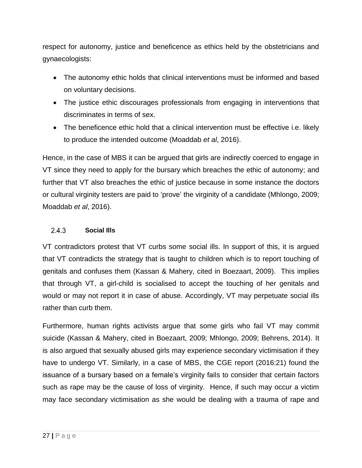respect for autonomy, justice and beneficence as ethics held by the obstetricians and gynaecologists:

- The autonomy ethic holds that clinical interventions must be informed and based on voluntary decisions.
- The justice ethic discourages professionals from engaging in interventions that discriminates in terms of sex.
- The beneficence ethic hold that a clinical intervention must be effective i.e. likely to produce the intended outcome (Moaddab *et al*, 2016).

Hence, in the case of MBS it can be argued that girls are indirectly coerced to engage in VT since they need to apply for the bursary which breaches the ethic of autonomy; and further that VT also breaches the ethic of justice because in some instance the doctors or cultural virginity testers are paid to 'prove' the virginity of a candidate (Mhlongo, 2009; Moaddab *et al*, 2016).

#### <span id="page-34-0"></span> $2.4.3$ **Social Ills**

VT contradictors protest that VT curbs some social ills. In support of this, it is argued that VT contradicts the strategy that is taught to children which is to report touching of genitals and confuses them (Kassan & Mahery, cited in Boezaart, 2009). This implies that through VT, a girl-child is socialised to accept the touching of her genitals and would or may not report it in case of abuse. Accordingly, VT may perpetuate social ills rather than curb them.

Furthermore, human rights activists argue that some girls who fail VT may commit suicide (Kassan & Mahery, cited in Boezaart, 2009; Mhlongo, 2009; Behrens, 2014). It is also argued that sexually abused girls may experience secondary victimisation if they have to undergo VT. Similarly, in a case of MBS, the CGE report (2016:21) found the issuance of a bursary based on a female's virginity fails to consider that certain factors such as rape may be the cause of loss of virginity. Hence, if such may occur a victim may face secondary victimisation as she would be dealing with a trauma of rape and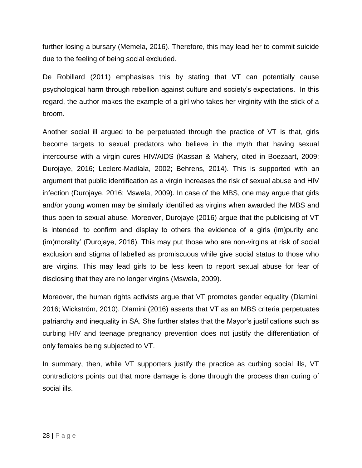further losing a bursary (Memela, 2016). Therefore, this may lead her to commit suicide due to the feeling of being social excluded.

De Robillard (2011) emphasises this by stating that VT can potentially cause psychological harm through rebellion against culture and society's expectations. In this regard, the author makes the example of a girl who takes her virginity with the stick of a broom.

Another social ill argued to be perpetuated through the practice of VT is that, girls become targets to sexual predators who believe in the myth that having sexual intercourse with a virgin cures HIV/AIDS (Kassan & Mahery, cited in Boezaart, 2009; Durojaye, 2016; Leclerc-Madlala, 2002; Behrens, 2014). This is supported with an argument that public identification as a virgin increases the risk of sexual abuse and HIV infection (Durojaye, 2016; Mswela, 2009). In case of the MBS, one may argue that girls and/or young women may be similarly identified as virgins when awarded the MBS and thus open to sexual abuse. Moreover, Durojaye (2016) argue that the publicising of VT is intended 'to confirm and display to others the evidence of a girls (im)purity and (im)morality' (Durojaye, 2016). This may put those who are non-virgins at risk of social exclusion and stigma of labelled as promiscuous while give social status to those who are virgins. This may lead girls to be less keen to report sexual abuse for fear of disclosing that they are no longer virgins (Mswela, 2009).

Moreover, the human rights activists argue that VT promotes gender equality (Dlamini, 2016; Wickström, 2010). Dlamini (2016) asserts that VT as an MBS criteria perpetuates patriarchy and inequality in SA. She further states that the Mayor's justifications such as curbing HIV and teenage pregnancy prevention does not justify the differentiation of only females being subjected to VT.

In summary, then, while VT supporters justify the practice as curbing social ills, VT contradictors points out that more damage is done through the process than curing of social ills.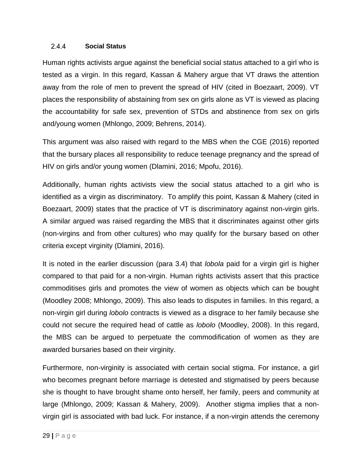#### $2.4.4$ **Social Status**

Human rights activists argue against the beneficial social status attached to a girl who is tested as a virgin. In this regard, Kassan & Mahery argue that VT draws the attention away from the role of men to prevent the spread of HIV (cited in Boezaart, 2009). VT places the responsibility of abstaining from sex on girls alone as VT is viewed as placing the accountability for safe sex, prevention of STDs and abstinence from sex on girls and/young women (Mhlongo, 2009; Behrens, 2014).

This argument was also raised with regard to the MBS when the CGE (2016) reported that the bursary places all responsibility to reduce teenage pregnancy and the spread of HIV on girls and/or young women (Dlamini, 2016; Mpofu, 2016).

Additionally, human rights activists view the social status attached to a girl who is identified as a virgin as discriminatory. To amplify this point, Kassan & Mahery (cited in Boezaart, 2009) states that the practice of VT is discriminatory against non-virgin girls. A similar argued was raised regarding the MBS that it discriminates against other girls (non-virgins and from other cultures) who may qualify for the bursary based on other criteria except virginity (Dlamini, 2016).

It is noted in the earlier discussion (para 3.4) that *lobola* paid for a virgin girl is higher compared to that paid for a non-virgin. Human rights activists assert that this practice commoditises girls and promotes the view of women as objects which can be bought (Moodley 2008; Mhlongo, 2009). This also leads to disputes in families. In this regard, a non-virgin girl during *lobolo* contracts is viewed as a disgrace to her family because she could not secure the required head of cattle as *lobolo* (Moodley, 2008). In this regard, the MBS can be argued to perpetuate the commodification of women as they are awarded bursaries based on their virginity.

Furthermore, non-virginity is associated with certain social stigma. For instance, a girl who becomes pregnant before marriage is detested and stigmatised by peers because she is thought to have brought shame onto herself, her family, peers and community at large (Mhlongo, 2009; Kassan & Mahery, 2009). Another stigma implies that a nonvirgin girl is associated with bad luck. For instance, if a non-virgin attends the ceremony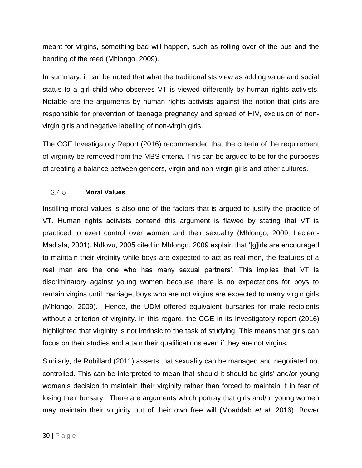meant for virgins, something bad will happen, such as rolling over of the bus and the bending of the reed (Mhlongo, 2009).

In summary, it can be noted that what the traditionalists view as adding value and social status to a girl child who observes VT is viewed differently by human rights activists. Notable are the arguments by human rights activists against the notion that girls are responsible for prevention of teenage pregnancy and spread of HIV, exclusion of nonvirgin girls and negative labelling of non-virgin girls.

The CGE Investigatory Report (2016) recommended that the criteria of the requirement of virginity be removed from the MBS criteria. This can be argued to be for the purposes of creating a balance between genders, virgin and non-virgin girls and other cultures.

#### $2.4.5$ **Moral Values**

Instilling moral values is also one of the factors that is argued to justify the practice of VT. Human rights activists contend this argument is flawed by stating that VT is practiced to exert control over women and their sexuality (Mhlongo, 2009; Leclerc-Madlala, 2001). Ndlovu, 2005 cited in Mhlongo, 2009 explain that '[g]irls are encouraged to maintain their virginity while boys are expected to act as real men, the features of a real man are the one who has many sexual partners'. This implies that VT is discriminatory against young women because there is no expectations for boys to remain virgins until marriage, boys who are not virgins are expected to marry virgin girls (Mhlongo, 2009). Hence, the UDM offered equivalent bursaries for male recipients without a criterion of virginity. In this regard, the CGE in its Investigatory report (2016) highlighted that virginity is not intrinsic to the task of studying. This means that girls can focus on their studies and attain their qualifications even if they are not virgins.

Similarly, de Robillard (2011) asserts that sexuality can be managed and negotiated not controlled. This can be interpreted to mean that should it should be girls' and/or young women's decision to maintain their virginity rather than forced to maintain it in fear of losing their bursary. There are arguments which portray that girls and/or young women may maintain their virginity out of their own free will (Moaddab *et al*, 2016). Bower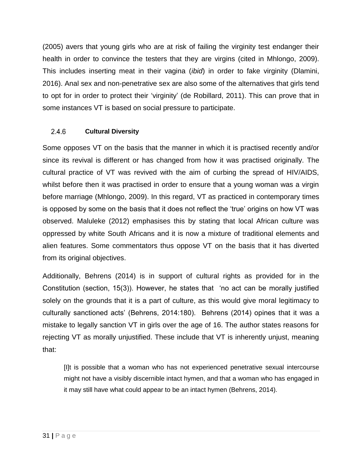(2005) avers that young girls who are at risk of failing the virginity test endanger their health in order to convince the testers that they are virgins (cited in Mhlongo, 2009). This includes inserting meat in their vagina (*ibid*) in order to fake virginity (Dlamini, 2016). Anal sex and non-penetrative sex are also some of the alternatives that girls tend to opt for in order to protect their 'virginity' (de Robillard, 2011). This can prove that in some instances VT is based on social pressure to participate.

#### $2.4.6$ **Cultural Diversity**

Some opposes VT on the basis that the manner in which it is practised recently and/or since its revival is different or has changed from how it was practised originally. The cultural practice of VT was revived with the aim of curbing the spread of HIV/AIDS, whilst before then it was practised in order to ensure that a young woman was a virgin before marriage (Mhlongo, 2009). In this regard, VT as practiced in contemporary times is opposed by some on the basis that it does not reflect the 'true' origins on how VT was observed. Maluleke (2012) emphasises this by stating that local African culture was oppressed by white South Africans and it is now a mixture of traditional elements and alien features. Some commentators thus oppose VT on the basis that it has diverted from its original objectives.

Additionally, Behrens (2014) is in support of cultural rights as provided for in the Constitution (section, 15(3)). However, he states that 'no act can be morally justified solely on the grounds that it is a part of culture, as this would give moral legitimacy to culturally sanctioned acts' (Behrens, 2014:180). Behrens (2014) opines that it was a mistake to legally sanction VT in girls over the age of 16. The author states reasons for rejecting VT as morally unjustified. These include that VT is inherently unjust, meaning that:

[I]t is possible that a woman who has not experienced penetrative sexual intercourse might not have a visibly discernible intact hymen, and that a woman who has engaged in it may still have what could appear to be an intact hymen (Behrens, 2014).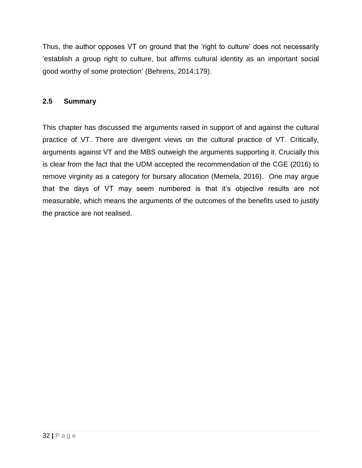Thus, the author opposes VT on ground that the 'right to culture' does not necessarily 'establish a group right to culture, but affirms cultural identity as an important social good worthy of some protection' (Behrens, 2014:179).

## **2.5 Summary**

This chapter has discussed the arguments raised in support of and against the cultural practice of VT. There are divergent views on the cultural practice of VT. Critically, arguments against VT and the MBS outweigh the arguments supporting it. Crucially this is clear from the fact that the UDM accepted the recommendation of the CGE (2016) to remove virginity as a category for bursary allocation (Memela, 2016). One may argue that the days of VT may seem numbered is that it's objective results are not measurable, which means the arguments of the outcomes of the benefits used to justify the practice are not realised.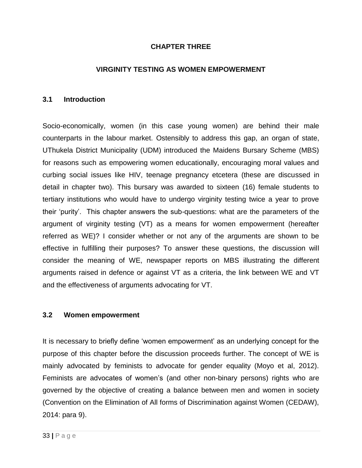## **CHAPTER THREE**

### **VIRGINITY TESTING AS WOMEN EMPOWERMENT**

### **3.1 Introduction**

Socio-economically, women (in this case young women) are behind their male counterparts in the labour market. Ostensibly to address this gap, an organ of state, UThukela District Municipality (UDM) introduced the Maidens Bursary Scheme (MBS) for reasons such as empowering women educationally, encouraging moral values and curbing social issues like HIV, teenage pregnancy etcetera (these are discussed in detail in chapter two). This bursary was awarded to sixteen (16) female students to tertiary institutions who would have to undergo virginity testing twice a year to prove their 'purity'. This chapter answers the sub-questions: what are the parameters of the argument of virginity testing (VT) as a means for women empowerment (hereafter referred as WE)? I consider whether or not any of the arguments are shown to be effective in fulfilling their purposes? To answer these questions, the discussion will consider the meaning of WE, newspaper reports on MBS illustrating the different arguments raised in defence or against VT as a criteria, the link between WE and VT and the effectiveness of arguments advocating for VT.

### **3.2 Women empowerment**

It is necessary to briefly define 'women empowerment' as an underlying concept for the purpose of this chapter before the discussion proceeds further. The concept of WE is mainly advocated by feminists to advocate for gender equality (Moyo et al, 2012). Feminists are advocates of women's (and other non-binary persons) rights who are governed by the objective of creating a balance between men and women in society (Convention on the Elimination of All forms of Discrimination against Women (CEDAW), 2014: para 9).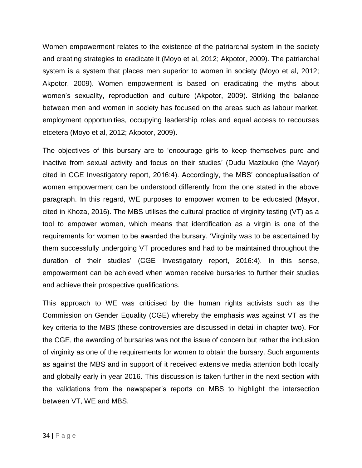Women empowerment relates to the existence of the patriarchal system in the society and creating strategies to eradicate it (Moyo et al, 2012; Akpotor, 2009). The patriarchal system is a system that places men superior to women in society (Moyo et al, 2012; Akpotor, 2009). Women empowerment is based on eradicating the myths about women's sexuality, reproduction and culture (Akpotor, 2009). Striking the balance between men and women in society has focused on the areas such as labour market, employment opportunities, occupying leadership roles and equal access to recourses etcetera (Moyo et al, 2012; Akpotor, 2009).

The objectives of this bursary are to 'encourage girls to keep themselves pure and inactive from sexual activity and focus on their studies' (Dudu Mazibuko (the Mayor) cited in CGE Investigatory report, 2016:4). Accordingly, the MBS' conceptualisation of women empowerment can be understood differently from the one stated in the above paragraph. In this regard, WE purposes to empower women to be educated (Mayor, cited in Khoza, 2016). The MBS utilises the cultural practice of virginity testing (VT) as a tool to empower women, which means that identification as a virgin is one of the requirements for women to be awarded the bursary. 'Virginity was to be ascertained by them successfully undergoing VT procedures and had to be maintained throughout the duration of their studies' (CGE Investigatory report, 2016:4). In this sense, empowerment can be achieved when women receive bursaries to further their studies and achieve their prospective qualifications.

This approach to WE was criticised by the human rights activists such as the Commission on Gender Equality (CGE) whereby the emphasis was against VT as the key criteria to the MBS (these controversies are discussed in detail in chapter two). For the CGE, the awarding of bursaries was not the issue of concern but rather the inclusion of virginity as one of the requirements for women to obtain the bursary. Such arguments as against the MBS and in support of it received extensive media attention both locally and globally early in year 2016. This discussion is taken further in the next section with the validations from the newspaper's reports on MBS to highlight the intersection between VT, WE and MBS.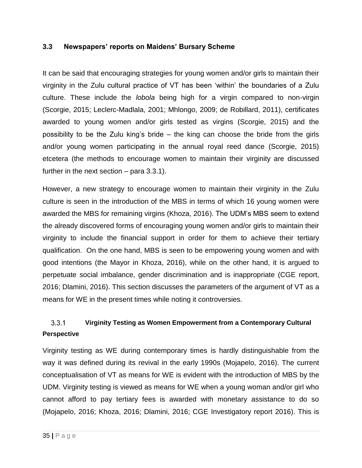### **3.3 Newspapers' reports on Maidens' Bursary Scheme**

It can be said that encouraging strategies for young women and/or girls to maintain their virginity in the Zulu cultural practice of VT has been 'within' the boundaries of a Zulu culture. These include the *lobola* being high for a virgin compared to non-virgin (Scorgie, 2015; Leclerc-Madlala, 2001; Mhlongo, 2009; de Robillard, 2011), certificates awarded to young women and/or girls tested as virgins (Scorgie, 2015) and the possibility to be the Zulu king's bride – the king can choose the bride from the girls and/or young women participating in the annual royal reed dance (Scorgie, 2015) etcetera (the methods to encourage women to maintain their virginity are discussed further in the next section – para 3.3.1).

However, a new strategy to encourage women to maintain their virginity in the Zulu culture is seen in the introduction of the MBS in terms of which 16 young women were awarded the MBS for remaining virgins (Khoza, 2016). The UDM's MBS seem to extend the already discovered forms of encouraging young women and/or girls to maintain their virginity to include the financial support in order for them to achieve their tertiary qualification. On the one hand, MBS is seen to be empowering young women and with good intentions (the Mayor in Khoza, 2016), while on the other hand, it is argued to perpetuate social imbalance, gender discrimination and is inappropriate (CGE report, 2016; Dlamini, 2016). This section discusses the parameters of the argument of VT as a means for WE in the present times while noting it controversies.

#### $3.3.1$ **Virginity Testing as Women Empowerment from a Contemporary Cultural Perspective**

Virginity testing as WE during contemporary times is hardly distinguishable from the way it was defined during its revival in the early 1990s (Mojapelo, 2016). The current conceptualisation of VT as means for WE is evident with the introduction of MBS by the UDM. Virginity testing is viewed as means for WE when a young woman and/or girl who cannot afford to pay tertiary fees is awarded with monetary assistance to do so (Mojapelo, 2016; Khoza, 2016; Dlamini, 2016; CGE Investigatory report 2016). This is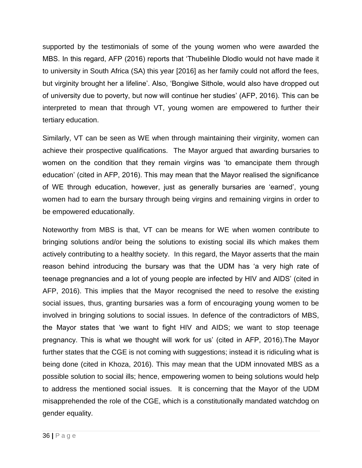supported by the testimonials of some of the young women who were awarded the MBS. In this regard, AFP (2016) reports that 'Thubelihle Dlodlo would not have made it to university in South Africa (SA) this year [2016] as her family could not afford the fees, but virginity brought her a lifeline'. Also, 'Bongiwe Sithole, would also have dropped out of university due to poverty, but now will continue her studies' (AFP, 2016). This can be interpreted to mean that through VT, young women are empowered to further their tertiary education.

Similarly, VT can be seen as WE when through maintaining their virginity, women can achieve their prospective qualifications. The Mayor argued that awarding bursaries to women on the condition that they remain virgins was 'to emancipate them through education' (cited in AFP, 2016). This may mean that the Mayor realised the significance of WE through education, however, just as generally bursaries are 'earned', young women had to earn the bursary through being virgins and remaining virgins in order to be empowered educationally.

Noteworthy from MBS is that, VT can be means for WE when women contribute to bringing solutions and/or being the solutions to existing social ills which makes them actively contributing to a healthy society. In this regard, the Mayor asserts that the main reason behind introducing the bursary was that the UDM has 'a very high rate of teenage pregnancies and a lot of young people are infected by HIV and AIDS' (cited in AFP, 2016). This implies that the Mayor recognised the need to resolve the existing social issues, thus, granting bursaries was a form of encouraging young women to be involved in bringing solutions to social issues. In defence of the contradictors of MBS, the Mayor states that 'we want to fight HIV and AIDS; we want to stop teenage pregnancy. This is what we thought will work for us' (cited in AFP, 2016).The Mayor further states that the CGE is not coming with suggestions; instead it is ridiculing what is being done (cited in Khoza, 2016). This may mean that the UDM innovated MBS as a possible solution to social ills; hence, empowering women to being solutions would help to address the mentioned social issues. It is concerning that the Mayor of the UDM misapprehended the role of the CGE, which is a constitutionally mandated watchdog on gender equality.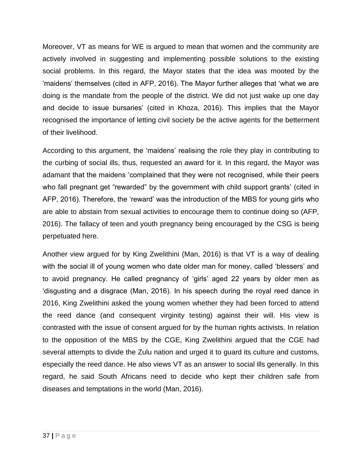Moreover, VT as means for WE is argued to mean that women and the community are actively involved in suggesting and implementing possible solutions to the existing social problems. In this regard, the Mayor states that the idea was mooted by the 'maidens' themselves (cited in AFP, 2016). The Mayor further alleges that 'what we are doing is the mandate from the people of the district. We did not just wake up one day and decide to issue bursaries' (cited in Khoza, 2016). This implies that the Mayor recognised the importance of letting civil society be the active agents for the betterment of their livelihood.

According to this argument, the 'maidens' realising the role they play in contributing to the curbing of social ills, thus, requested an award for it. In this regard, the Mayor was adamant that the maidens 'complained that they were not recognised, while their peers who fall pregnant get "rewarded" by the government with child support grants' (cited in AFP, 2016). Therefore, the 'reward' was the introduction of the MBS for young girls who are able to abstain from sexual activities to encourage them to continue doing so (AFP, 2016). The fallacy of teen and youth pregnancy being encouraged by the CSG is being perpetuated here.

Another view argued for by King Zwelithini (Man, 2016) is that VT is a way of dealing with the social ill of young women who date older man for money, called 'blessers' and to avoid pregnancy. He called pregnancy of 'girls' aged 22 years by older men as 'disgusting and a disgrace (Man, 2016). In his speech during the royal reed dance in 2016, King Zwelithini asked the young women whether they had been forced to attend the reed dance (and consequent virginity testing) against their will. His view is contrasted with the issue of consent argued for by the human rights activists. In relation to the opposition of the MBS by the CGE, King Zwelithini argued that the CGE had several attempts to divide the Zulu nation and urged it to guard its culture and customs, especially the reed dance. He also views VT as an answer to social ills generally. In this regard, he said South Africans need to decide who kept their children safe from diseases and temptations in the world (Man, 2016).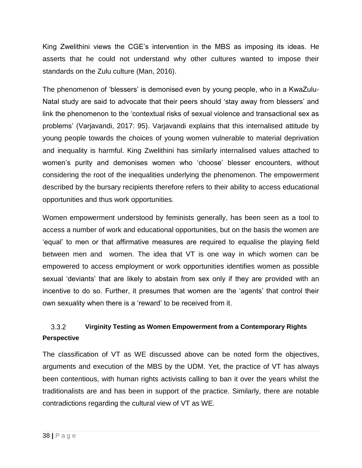King Zwelithini views the CGE's intervention in the MBS as imposing its ideas. He asserts that he could not understand why other cultures wanted to impose their standards on the Zulu culture (Man, 2016).

The phenomenon of 'blessers' is demonised even by young people, who in a KwaZulu-Natal study are said to advocate that their peers should 'stay away from blessers' and link the phenomenon to the 'contextual risks of sexual violence and transactional sex as problems' (Varjavandi, 2017: 95). Varjavandi explains that this internalised attitude by young people towards the choices of young women vulnerable to material deprivation and inequality is harmful. King Zwelithini has similarly internalised values attached to women's purity and demonises women who 'choose' blesser encounters, without considering the root of the inequalities underlying the phenomenon. The empowerment described by the bursary recipients therefore refers to their ability to access educational opportunities and thus work opportunities.

Women empowerment understood by feminists generally, has been seen as a tool to access a number of work and educational opportunities, but on the basis the women are 'equal' to men or that affirmative measures are required to equalise the playing field between men and women. The idea that VT is one way in which women can be empowered to access employment or work opportunities identifies women as possible sexual 'deviants' that are likely to abstain from sex only if they are provided with an incentive to do so. Further, it presumes that women are the 'agents' that control their own sexuality when there is a 'reward' to be received from it.

#### $3.3.2$ **Virginity Testing as Women Empowerment from a Contemporary Rights Perspective**

The classification of VT as WE discussed above can be noted form the objectives, arguments and execution of the MBS by the UDM. Yet, the practice of VT has always been contentious, with human rights activists calling to ban it over the years whilst the traditionalists are and has been in support of the practice. Similarly, there are notable contradictions regarding the cultural view of VT as WE.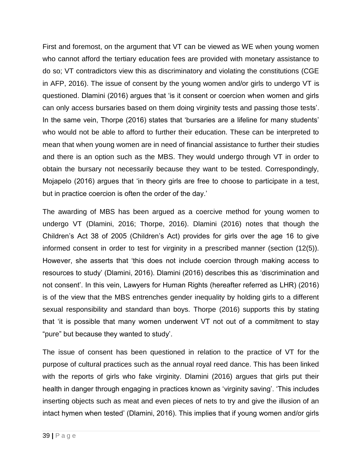First and foremost, on the argument that VT can be viewed as WE when young women who cannot afford the tertiary education fees are provided with monetary assistance to do so; VT contradictors view this as discriminatory and violating the constitutions (CGE in AFP, 2016). The issue of consent by the young women and/or girls to undergo VT is questioned. Dlamini (2016) argues that 'is it consent or coercion when women and girls can only access bursaries based on them doing virginity tests and passing those tests'. In the same vein, Thorpe (2016) states that 'bursaries are a lifeline for many students' who would not be able to afford to further their education. These can be interpreted to mean that when young women are in need of financial assistance to further their studies and there is an option such as the MBS. They would undergo through VT in order to obtain the bursary not necessarily because they want to be tested. Correspondingly, Mojapelo (2016) argues that 'in theory girls are free to choose to participate in a test, but in practice coercion is often the order of the day.'

The awarding of MBS has been argued as a coercive method for young women to undergo VT (Dlamini, 2016; Thorpe, 2016). Dlamini (2016) notes that though the Children's Act 38 of 2005 (Children's Act) provides for girls over the age 16 to give informed consent in order to test for virginity in a prescribed manner (section (12(5)). However, she asserts that 'this does not include coercion through making access to resources to study' (Dlamini, 2016). Dlamini (2016) describes this as 'discrimination and not consent'. In this vein, Lawyers for Human Rights (hereafter referred as LHR) (2016) is of the view that the MBS entrenches gender inequality by holding girls to a different sexual responsibility and standard than boys. Thorpe (2016) supports this by stating that 'it is possible that many women underwent VT not out of a commitment to stay "pure" but because they wanted to study'.

The issue of consent has been questioned in relation to the practice of VT for the purpose of cultural practices such as the annual royal reed dance. This has been linked with the reports of girls who fake virginity. Dlamini (2016) argues that girls put their health in danger through engaging in practices known as 'virginity saving'. 'This includes inserting objects such as meat and even pieces of nets to try and give the illusion of an intact hymen when tested' (Dlamini, 2016). This implies that if young women and/or girls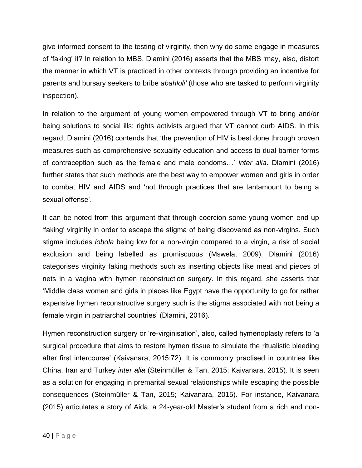give informed consent to the testing of virginity, then why do some engage in measures of 'faking' it? In relation to MBS, Dlamini (2016) asserts that the MBS 'may, also, distort the manner in which VT is practiced in other contexts through providing an incentive for parents and bursary seekers to bribe *abahloli'* (those who are tasked to perform virginity inspection).

In relation to the argument of young women empowered through VT to bring and/or being solutions to social ills; rights activists argued that VT cannot curb AIDS. In this regard, Dlamini (2016) contends that 'the prevention of HIV is best done through proven measures such as comprehensive sexuality education and access to dual barrier forms of contraception such as the female and male condoms…' *inter alia*. Dlamini (2016) further states that such methods are the best way to empower women and girls in order to combat HIV and AIDS and 'not through practices that are tantamount to being a sexual offense'.

It can be noted from this argument that through coercion some young women end up 'faking' virginity in order to escape the stigma of being discovered as non-virgins. Such stigma includes *lobola* being low for a non-virgin compared to a virgin, a risk of social exclusion and being labelled as promiscuous (Mswela, 2009). Dlamini (2016) categorises virginity faking methods such as inserting objects like meat and pieces of nets in a vagina with hymen reconstruction surgery. In this regard, she asserts that 'Middle class women and girls in places like Egypt have the opportunity to go for rather expensive hymen reconstructive surgery such is the stigma associated with not being a female virgin in patriarchal countries' (Dlamini, 2016).

Hymen reconstruction surgery or 're-virginisation', also, called hymenoplasty refers to 'a surgical procedure that aims to restore hymen tissue to simulate the ritualistic bleeding after first intercourse' (Kaivanara, 2015:72). It is commonly practised in countries like China, Iran and Turkey *inter alia* (Steinmüller & Tan, 2015; Kaivanara, 2015). It is seen as a solution for engaging in premarital sexual relationships while escaping the possible consequences (Steinmüller & Tan, 2015; Kaivanara, 2015). For instance, Kaivanara (2015) articulates a story of Aida, a 24-year-old Master's student from a rich and non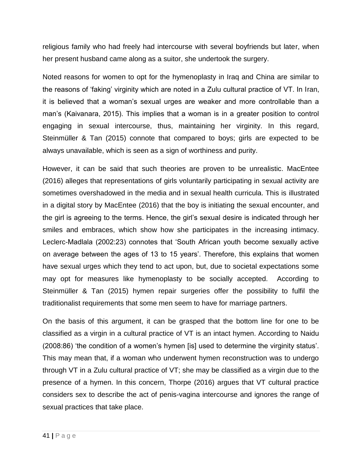religious family who had freely had intercourse with several boyfriends but later, when her present husband came along as a suitor, she undertook the surgery.

Noted reasons for women to opt for the hymenoplasty in Iraq and China are similar to the reasons of 'faking' virginity which are noted in a Zulu cultural practice of VT. In Iran, it is believed that a woman's sexual urges are weaker and more controllable than a man's (Kaivanara, 2015). This implies that a woman is in a greater position to control engaging in sexual intercourse, thus, maintaining her virginity. In this regard, Steinmüller & Tan (2015) connote that compared to boys; girls are expected to be always unavailable, which is seen as a sign of worthiness and purity.

However, it can be said that such theories are proven to be unrealistic. MacEntee (2016) alleges that representations of girls voluntarily participating in sexual activity are sometimes overshadowed in the media and in sexual health curricula. This is illustrated in a digital story by MacEntee (2016) that the boy is initiating the sexual encounter, and the girl is agreeing to the terms. Hence, the girl's sexual desire is indicated through her smiles and embraces, which show how she participates in the increasing intimacy. Leclerc-Madlala (2002:23) connotes that 'South African youth become sexually active on average between the ages of 13 to 15 years'. Therefore, this explains that women have sexual urges which they tend to act upon, but, due to societal expectations some may opt for measures like hymenoplasty to be socially accepted. According to Steinmüller & Tan (2015) hymen repair surgeries offer the possibility to fulfil the traditionalist requirements that some men seem to have for marriage partners.

On the basis of this argument, it can be grasped that the bottom line for one to be classified as a virgin in a cultural practice of VT is an intact hymen. According to Naidu (2008:86) 'the condition of a women's hymen [is] used to determine the virginity status'. This may mean that, if a woman who underwent hymen reconstruction was to undergo through VT in a Zulu cultural practice of VT; she may be classified as a virgin due to the presence of a hymen. In this concern, Thorpe (2016) argues that VT cultural practice considers sex to describe the act of penis-vagina intercourse and ignores the range of sexual practices that take place.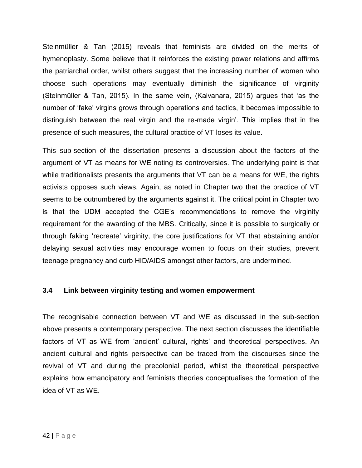Steinmüller & Tan (2015) reveals that feminists are divided on the merits of hymenoplasty. Some believe that it reinforces the existing power relations and affirms the patriarchal order, whilst others suggest that the increasing number of women who choose such operations may eventually diminish the significance of virginity (Steinmüller & Tan, 2015). In the same vein, (Kaivanara, 2015) argues that 'as the number of 'fake' virgins grows through operations and tactics, it becomes impossible to distinguish between the real virgin and the re-made virgin'. This implies that in the presence of such measures, the cultural practice of VT loses its value.

This sub-section of the dissertation presents a discussion about the factors of the argument of VT as means for WE noting its controversies. The underlying point is that while traditionalists presents the arguments that VT can be a means for WE, the rights activists opposes such views. Again, as noted in Chapter two that the practice of VT seems to be outnumbered by the arguments against it. The critical point in Chapter two is that the UDM accepted the CGE's recommendations to remove the virginity requirement for the awarding of the MBS. Critically, since it is possible to surgically or through faking 'recreate' virginity, the core justifications for VT that abstaining and/or delaying sexual activities may encourage women to focus on their studies, prevent teenage pregnancy and curb HID/AIDS amongst other factors, are undermined.

## **3.4 Link between virginity testing and women empowerment**

The recognisable connection between VT and WE as discussed in the sub-section above presents a contemporary perspective. The next section discusses the identifiable factors of VT as WE from 'ancient' cultural, rights' and theoretical perspectives. An ancient cultural and rights perspective can be traced from the discourses since the revival of VT and during the precolonial period, whilst the theoretical perspective explains how emancipatory and feminists theories conceptualises the formation of the idea of VT as WE.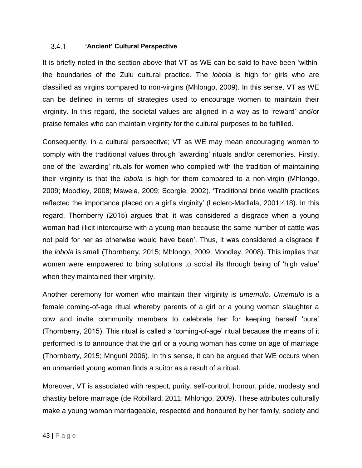#### $3.4.1$ **'Ancient' Cultural Perspective**

It is briefly noted in the section above that VT as WE can be said to have been 'within' the boundaries of the Zulu cultural practice. The *lobola* is high for girls who are classified as virgins compared to non-virgins (Mhlongo, 2009). In this sense, VT as WE can be defined in terms of strategies used to encourage women to maintain their virginity. In this regard, the societal values are aligned in a way as to 'reward' and/or praise females who can maintain virginity for the cultural purposes to be fulfilled.

Consequently, in a cultural perspective; VT as WE may mean encouraging women to comply with the traditional values through 'awarding' rituals and/or ceremonies. Firstly, one of the 'awarding' rituals for women who complied with the tradition of maintaining their virginity is that the *lobola* is high for them compared to a non-virgin (Mhlongo, 2009; Moodley, 2008; Mswela, 2009; Scorgie, 2002). 'Traditional bride wealth practices reflected the importance placed on a girl's virginity' (Leclerc-Madlala, 2001:418). In this regard, Thornberry (2015) argues that 'it was considered a disgrace when a young woman had illicit intercourse with a young man because the same number of cattle was not paid for her as otherwise would have been'. Thus, it was considered a disgrace if the *lobola* is small (Thornberry, 2015; Mhlongo, 2009; Moodley, 2008). This implies that women were empowered to bring solutions to social ills through being of 'high value' when they maintained their virginity.

Another ceremony for women who maintain their virginity is *umemulo. Umemulo* is a female coming-of-age ritual whereby parents of a girl or a young woman slaughter a cow and invite community members to celebrate her for keeping herself 'pure' (Thornberry, 2015). This ritual is called a 'coming-of-age' ritual because the means of it performed is to announce that the girl or a young woman has come on age of marriage (Thornberry, 2015; Mnguni 2006). In this sense, it can be argued that WE occurs when an unmarried young woman finds a suitor as a result of a ritual.

Moreover, VT is associated with respect, purity, self-control, honour, pride, modesty and chastity before marriage (de Robillard, 2011; Mhlongo, 2009). These attributes culturally make a young woman marriageable, respected and honoured by her family, society and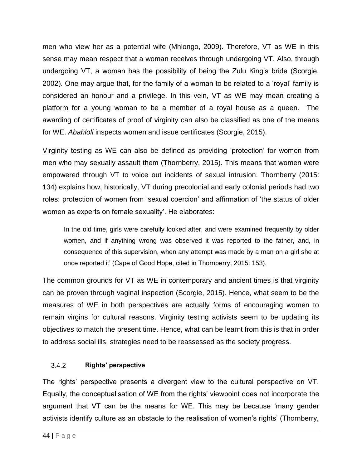men who view her as a potential wife (Mhlongo, 2009). Therefore, VT as WE in this sense may mean respect that a woman receives through undergoing VT. Also, through undergoing VT, a woman has the possibility of being the Zulu King's bride (Scorgie, 2002). One may argue that, for the family of a woman to be related to a 'royal' family is considered an honour and a privilege. In this vein, VT as WE may mean creating a platform for a young woman to be a member of a royal house as a queen. The awarding of certificates of proof of virginity can also be classified as one of the means for WE. *Abahloli* inspects women and issue certificates (Scorgie, 2015).

Virginity testing as WE can also be defined as providing 'protection' for women from men who may sexually assault them (Thornberry, 2015). This means that women were empowered through VT to voice out incidents of sexual intrusion. Thornberry (2015: 134) explains how, historically, VT during precolonial and early colonial periods had two roles: protection of women from 'sexual coercion' and affirmation of 'the status of older women as experts on female sexuality'. He elaborates:

In the old time, girls were carefully looked after, and were examined frequently by older women, and if anything wrong was observed it was reported to the father, and, in consequence of this supervision, when any attempt was made by a man on a girl she at once reported it' (Cape of Good Hope, cited in Thornberry, 2015: 153).

The common grounds for VT as WE in contemporary and ancient times is that virginity can be proven through vaginal inspection (Scorgie, 2015). Hence, what seem to be the measures of WE in both perspectives are actually forms of encouraging women to remain virgins for cultural reasons. Virginity testing activists seem to be updating its objectives to match the present time. Hence, what can be learnt from this is that in order to address social ills, strategies need to be reassessed as the society progress.

#### **Rights' perspective**  $3.4.2$

The rights' perspective presents a divergent view to the cultural perspective on VT. Equally, the conceptualisation of WE from the rights' viewpoint does not incorporate the argument that VT can be the means for WE. This may be because 'many gender activists identify culture as an obstacle to the realisation of women's rights' (Thornberry,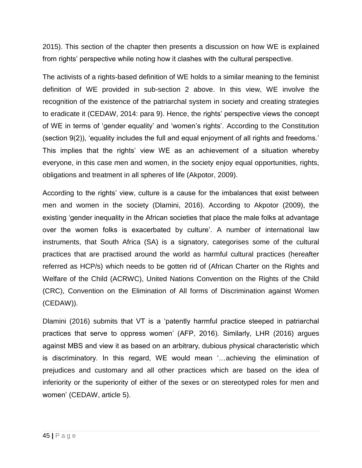2015). This section of the chapter then presents a discussion on how WE is explained from rights' perspective while noting how it clashes with the cultural perspective.

The activists of a rights-based definition of WE holds to a similar meaning to the feminist definition of WE provided in sub-section 2 above. In this view, WE involve the recognition of the existence of the patriarchal system in society and creating strategies to eradicate it (CEDAW, 2014: para 9). Hence, the rights' perspective views the concept of WE in terms of 'gender equality' and 'women's rights'. According to the Constitution (section 9(2)), 'equality includes the full and equal enjoyment of all rights and freedoms.' This implies that the rights' view WE as an achievement of a situation whereby everyone, in this case men and women, in the society enjoy equal opportunities, rights, obligations and treatment in all spheres of life (Akpotor, 2009).

According to the rights' view, culture is a cause for the imbalances that exist between men and women in the society (Dlamini, 2016). According to Akpotor (2009), the existing 'gender inequality in the African societies that place the male folks at advantage over the women folks is exacerbated by culture'. A number of international law instruments, that South Africa (SA) is a signatory, categorises some of the cultural practices that are practised around the world as harmful cultural practices (hereafter referred as HCP/s) which needs to be gotten rid of (African Charter on the Rights and Welfare of the Child (ACRWC), United Nations Convention on the Rights of the Child (CRC), Convention on the Elimination of All forms of Discrimination against Women (CEDAW)).

Dlamini (2016) submits that VT is a 'patently harmful practice steeped in patriarchal practices that serve to oppress women' (AFP, 2016). Similarly, LHR (2016) argues against MBS and view it as based on an arbitrary, dubious physical characteristic which is discriminatory. In this regard, WE would mean '…achieving the elimination of prejudices and customary and all other practices which are based on the idea of inferiority or the superiority of either of the sexes or on stereotyped roles for men and women' (CEDAW, article 5).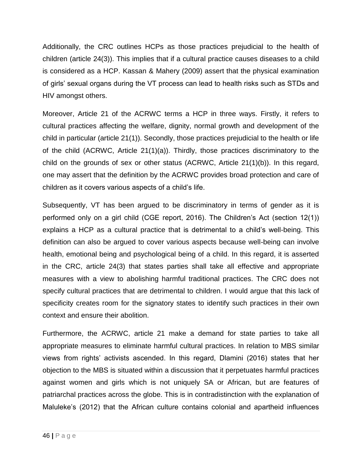Additionally, the CRC outlines HCPs as those practices prejudicial to the health of children (article 24(3)). This implies that if a cultural practice causes diseases to a child is considered as a HCP. Kassan & Mahery (2009) assert that the physical examination of girls' sexual organs during the VT process can lead to health risks such as STDs and HIV amongst others.

Moreover, Article 21 of the ACRWC terms a HCP in three ways. Firstly, it refers to cultural practices affecting the welfare, dignity, normal growth and development of the child in particular (article 21(1)). Secondly, those practices prejudicial to the health or life of the child (ACRWC, Article 21(1)(a)). Thirdly, those practices discriminatory to the child on the grounds of sex or other status (ACRWC, Article 21(1)(b)). In this regard, one may assert that the definition by the ACRWC provides broad protection and care of children as it covers various aspects of a child's life.

Subsequently, VT has been argued to be discriminatory in terms of gender as it is performed only on a girl child (CGE report, 2016). The Children's Act (section 12(1)) explains a HCP as a cultural practice that is detrimental to a child's well-being. This definition can also be argued to cover various aspects because well-being can involve health, emotional being and psychological being of a child. In this regard, it is asserted in the CRC, article 24(3) that states parties shall take all effective and appropriate measures with a view to abolishing harmful traditional practices. The CRC does not specify cultural practices that are detrimental to children. I would argue that this lack of specificity creates room for the signatory states to identify such practices in their own context and ensure their abolition.

Furthermore, the ACRWC, article 21 make a demand for state parties to take all appropriate measures to eliminate harmful cultural practices. In relation to MBS similar views from rights' activists ascended. In this regard, Dlamini (2016) states that her objection to the MBS is situated within a discussion that it perpetuates harmful practices against women and girls which is not uniquely SA or African, but are features of patriarchal practices across the globe. This is in contradistinction with the explanation of Maluleke's (2012) that the African culture contains colonial and apartheid influences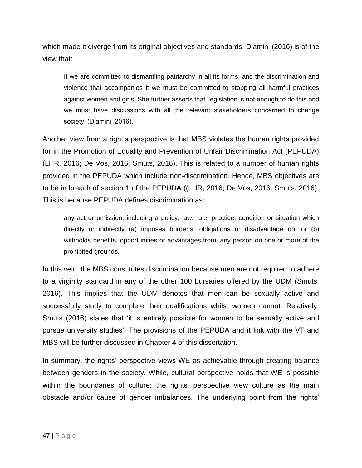which made it diverge from its original objectives and standards. Dlamini (2016) is of the view that:

If we are committed to dismantling patriarchy in all its forms, and the discrimination and violence that accompanies it we must be committed to stopping all harmful practices against women and girls. She further asserts that 'legislation is not enough to do this and we must have discussions with all the relevant stakeholders concerned to change society' (Dlamini, 2016).

Another view from a right's perspective is that MBS violates the human rights provided for in the Promotion of Equality and Prevention of Unfair Discrimination Act (PEPUDA) (LHR, 2016; De Vos, 2016; Smuts, 2016). This is related to a number of human rights provided in the PEPUDA which include non-discrimination. Hence, MBS objectives are to be in breach of section 1 of the PEPUDA ((LHR, 2016; De Vos, 2016; Smuts, 2016). This is because PEPUDA defines discrimination as:

any act or omission, including a policy, law, rule, practice, condition or situation which directly or indirectly (a) imposes burdens, obligations or disadvantage on; or (b) withholds benefits, opportunities or advantages from, any person on one or more of the prohibited grounds.

In this vein, the MBS constitutes discrimination because men are not required to adhere to a virginity standard in any of the other 100 bursaries offered by the UDM (Smuts, 2016). This implies that the UDM denotes that men can be sexually active and successfully study to complete their qualifications whilst women cannot. Relatively, Smuts (2016) states that 'it is entirely possible for women to be sexually active and pursue university studies'. The provisions of the PEPUDA and it link with the VT and MBS will be further discussed in Chapter 4 of this dissertation.

In summary, the rights' perspective views WE as achievable through creating balance between genders in the society. While, cultural perspective holds that WE is possible within the boundaries of culture; the rights' perspective view culture as the main obstacle and/or cause of gender imbalances. The underlying point from the rights'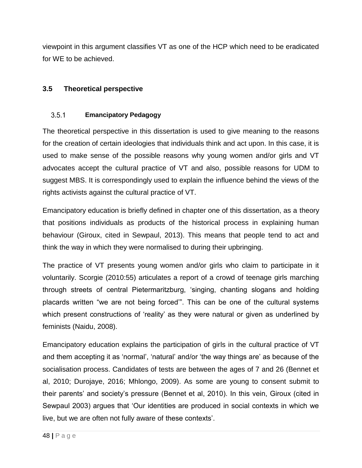viewpoint in this argument classifies VT as one of the HCP which need to be eradicated for WE to be achieved.

# **3.5 Theoretical perspective**

#### $3.5.1$ **Emancipatory Pedagogy**

The theoretical perspective in this dissertation is used to give meaning to the reasons for the creation of certain ideologies that individuals think and act upon. In this case, it is used to make sense of the possible reasons why young women and/or girls and VT advocates accept the cultural practice of VT and also, possible reasons for UDM to suggest MBS. It is correspondingly used to explain the influence behind the views of the rights activists against the cultural practice of VT.

Emancipatory education is briefly defined in chapter one of this dissertation, as a theory that positions individuals as products of the historical process in explaining human behaviour (Giroux, cited in Sewpaul, 2013). This means that people tend to act and think the way in which they were normalised to during their upbringing.

The practice of VT presents young women and/or girls who claim to participate in it voluntarily. Scorgie (2010:55) articulates a report of a crowd of teenage girls marching through streets of central Pietermaritzburg, 'singing, chanting slogans and holding placards written "we are not being forced'". This can be one of the cultural systems which present constructions of 'reality' as they were natural or given as underlined by feminists (Naidu, 2008).

Emancipatory education explains the participation of girls in the cultural practice of VT and them accepting it as 'normal', 'natural' and/or 'the way things are' as because of the socialisation process. Candidates of tests are between the ages of 7 and 26 (Bennet et al, 2010; Durojaye, 2016; Mhlongo, 2009). As some are young to consent submit to their parents' and society's pressure (Bennet et al, 2010). In this vein, Giroux (cited in Sewpaul 2003) argues that 'Our identities are produced in social contexts in which we live, but we are often not fully aware of these contexts'.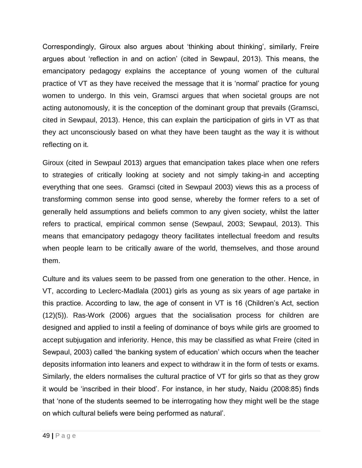Correspondingly, Giroux also argues about 'thinking about thinking', similarly, Freire argues about 'reflection in and on action' (cited in Sewpaul, 2013). This means, the emancipatory pedagogy explains the acceptance of young women of the cultural practice of VT as they have received the message that it is 'normal' practice for young women to undergo. In this vein, Gramsci argues that when societal groups are not acting autonomously, it is the conception of the dominant group that prevails (Gramsci, cited in Sewpaul, 2013). Hence, this can explain the participation of girls in VT as that they act unconsciously based on what they have been taught as the way it is without reflecting on it.

Giroux (cited in Sewpaul 2013) argues that emancipation takes place when one refers to strategies of critically looking at society and not simply taking-in and accepting everything that one sees. Gramsci (cited in Sewpaul 2003) views this as a process of transforming common sense into good sense, whereby the former refers to a set of generally held assumptions and beliefs common to any given society, whilst the latter refers to practical, empirical common sense (Sewpaul, 2003; Sewpaul, 2013). This means that emancipatory pedagogy theory facilitates intellectual freedom and results when people learn to be critically aware of the world, themselves, and those around them.

Culture and its values seem to be passed from one generation to the other. Hence, in VT, according to Leclerc-Madlala (2001) girls as young as six years of age partake in this practice. According to law, the age of consent in VT is 16 (Children's Act, section (12)(5)). Ras-Work (2006) argues that the socialisation process for children are designed and applied to instil a feeling of dominance of boys while girls are groomed to accept subjugation and inferiority. Hence, this may be classified as what Freire (cited in Sewpaul, 2003) called 'the banking system of education' which occurs when the teacher deposits information into leaners and expect to withdraw it in the form of tests or exams. Similarly, the elders normalises the cultural practice of VT for girls so that as they grow it would be 'inscribed in their blood'. For instance, in her study, Naidu (2008:85) finds that 'none of the students seemed to be interrogating how they might well be the stage on which cultural beliefs were being performed as natural'.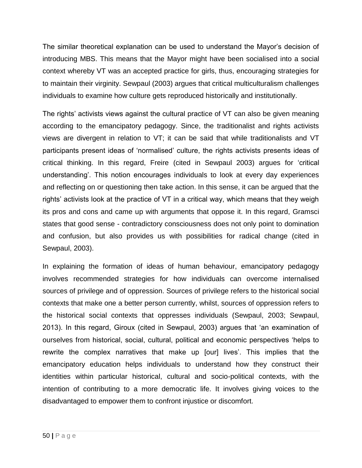The similar theoretical explanation can be used to understand the Mayor's decision of introducing MBS. This means that the Mayor might have been socialised into a social context whereby VT was an accepted practice for girls, thus, encouraging strategies for to maintain their virginity. Sewpaul (2003) argues that critical multiculturalism challenges individuals to examine how culture gets reproduced historically and institutionally.

The rights' activists views against the cultural practice of VT can also be given meaning according to the emancipatory pedagogy. Since, the traditionalist and rights activists views are divergent in relation to VT; it can be said that while traditionalists and VT participants present ideas of 'normalised' culture, the rights activists presents ideas of critical thinking. In this regard, Freire (cited in Sewpaul 2003) argues for 'critical understanding'. This notion encourages individuals to look at every day experiences and reflecting on or questioning then take action. In this sense, it can be argued that the rights' activists look at the practice of VT in a critical way, which means that they weigh its pros and cons and came up with arguments that oppose it. In this regard, Gramsci states that good sense - contradictory consciousness does not only point to domination and confusion, but also provides us with possibilities for radical change (cited in Sewpaul, 2003).

In explaining the formation of ideas of human behaviour, emancipatory pedagogy involves recommended strategies for how individuals can overcome internalised sources of privilege and of oppression. Sources of privilege refers to the historical social contexts that make one a better person currently, whilst, sources of oppression refers to the historical social contexts that oppresses individuals (Sewpaul, 2003; Sewpaul, 2013). In this regard, Giroux (cited in Sewpaul, 2003) argues that 'an examination of ourselves from historical, social, cultural, political and economic perspectives 'helps to rewrite the complex narratives that make up [our] lives'. This implies that the emancipatory education helps individuals to understand how they construct their identities within particular historical, cultural and socio-political contexts, with the intention of contributing to a more democratic life. It involves giving voices to the disadvantaged to empower them to confront injustice or discomfort.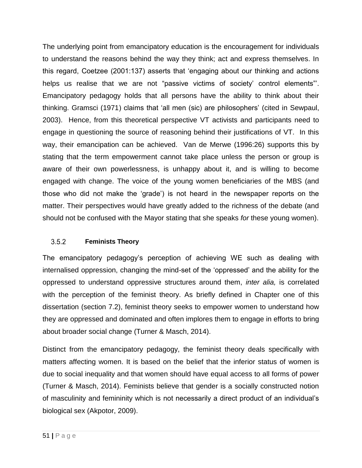The underlying point from emancipatory education is the encouragement for individuals to understand the reasons behind the way they think; act and express themselves. In this regard, Coetzee (2001:137) asserts that 'engaging about our thinking and actions helps us realise that we are not "passive victims of society' control elements"'. Emancipatory pedagogy holds that all persons have the ability to think about their thinking. Gramsci (1971) claims that 'all men (sic) are philosophers' (cited in Sewpaul, 2003). Hence, from this theoretical perspective VT activists and participants need to engage in questioning the source of reasoning behind their justifications of VT. In this way, their emancipation can be achieved. Van de Merwe (1996:26) supports this by stating that the term empowerment cannot take place unless the person or group is aware of their own powerlessness, is unhappy about it, and is willing to become engaged with change. The voice of the young women beneficiaries of the MBS (and those who did not make the 'grade') is not heard in the newspaper reports on the matter. Their perspectives would have greatly added to the richness of the debate (and should not be confused with the Mayor stating that she speaks *for* these young women).

#### $3.5.2$ **Feminists Theory**

The emancipatory pedagogy's perception of achieving WE such as dealing with internalised oppression, changing the mind-set of the 'oppressed' and the ability for the oppressed to understand oppressive structures around them, *inter alia,* is correlated with the perception of the feminist theory. As briefly defined in Chapter one of this dissertation (section 7.2), feminist theory seeks to empower women to understand how they are oppressed and dominated and often implores them to engage in efforts to bring about broader social change (Turner & Masch, 2014).

Distinct from the emancipatory pedagogy, the feminist theory deals specifically with matters affecting women. It is based on the belief that the inferior status of women is due to social inequality and that women should have equal access to all forms of power (Turner & Masch, 2014). Feminists believe that gender is a socially constructed notion of masculinity and femininity which is not necessarily a direct product of an individual's biological sex (Akpotor, 2009).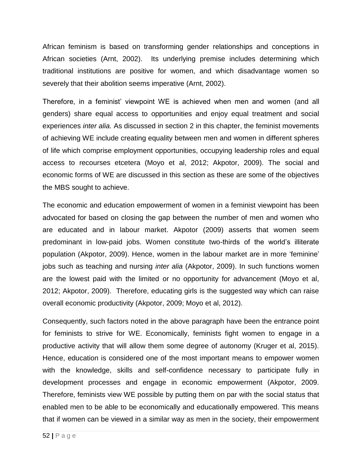African feminism is based on transforming gender relationships and conceptions in African societies (Arnt, 2002). Its underlying premise includes determining which traditional institutions are positive for women, and which disadvantage women so severely that their abolition seems imperative (Arnt, 2002).

Therefore, in a feminist' viewpoint WE is achieved when men and women (and all genders) share equal access to opportunities and enjoy equal treatment and social experiences *inter alia.* As discussed in section 2 in this chapter, the feminist movements of achieving WE include creating equality between men and women in different spheres of life which comprise employment opportunities, occupying leadership roles and equal access to recourses etcetera (Moyo et al, 2012; Akpotor, 2009). The social and economic forms of WE are discussed in this section as these are some of the objectives the MBS sought to achieve.

The economic and education empowerment of women in a feminist viewpoint has been advocated for based on closing the gap between the number of men and women who are educated and in labour market. Akpotor (2009) asserts that women seem predominant in low-paid jobs. Women constitute two-thirds of the world's illiterate population (Akpotor, 2009). Hence, women in the labour market are in more 'feminine' jobs such as teaching and nursing *inter alia* (Akpotor, 2009). In such functions women are the lowest paid with the limited or no opportunity for advancement (Moyo et al, 2012; Akpotor, 2009). Therefore, educating girls is the suggested way which can raise overall economic productivity (Akpotor, 2009; Moyo et al, 2012).

Consequently, such factors noted in the above paragraph have been the entrance point for feminists to strive for WE. Economically, feminists fight women to engage in a productive activity that will allow them some degree of autonomy (Kruger et al, 2015). Hence, education is considered one of the most important means to empower women with the knowledge, skills and self-confidence necessary to participate fully in development processes and engage in economic empowerment (Akpotor, 2009. Therefore, feminists view WE possible by putting them on par with the social status that enabled men to be able to be economically and educationally empowered. This means that if women can be viewed in a similar way as men in the society, their empowerment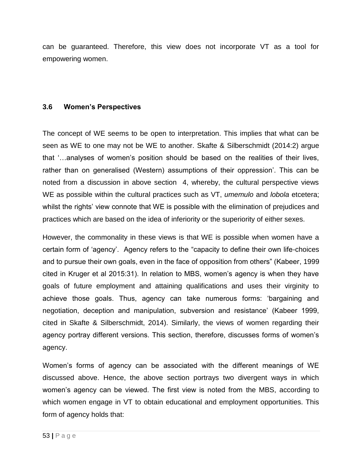can be guaranteed. Therefore, this view does not incorporate VT as a tool for empowering women.

### **3.6 Women's Perspectives**

The concept of WE seems to be open to interpretation. This implies that what can be seen as WE to one may not be WE to another. Skafte & Silberschmidt (2014:2) argue that '…analyses of women's position should be based on the realities of their lives, rather than on generalised (Western) assumptions of their oppression'. This can be noted from a discussion in above section 4, whereby, the cultural perspective views WE as possible within the cultural practices such as VT, *umemulo* and *lobola* etcetera; whilst the rights' view connote that WE is possible with the elimination of prejudices and practices which are based on the idea of inferiority or the superiority of either sexes.

However, the commonality in these views is that WE is possible when women have a certain form of 'agency'. Agency refers to the "capacity to define their own life-choices and to pursue their own goals, even in the face of opposition from others" (Kabeer, 1999 cited in Kruger et al 2015:31). In relation to MBS, women's agency is when they have goals of future employment and attaining qualifications and uses their virginity to achieve those goals. Thus, agency can take numerous forms: 'bargaining and negotiation, deception and manipulation, subversion and resistance' (Kabeer 1999, cited in Skafte & Silberschmidt, 2014). Similarly, the views of women regarding their agency portray different versions. This section, therefore, discusses forms of women's agency.

Women's forms of agency can be associated with the different meanings of WE discussed above. Hence, the above section portrays two divergent ways in which women's agency can be viewed. The first view is noted from the MBS, according to which women engage in VT to obtain educational and employment opportunities. This form of agency holds that: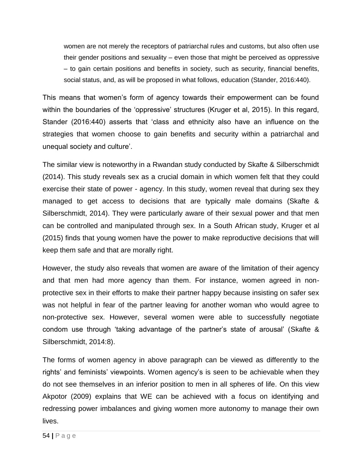women are not merely the receptors of patriarchal rules and customs, but also often use their gender positions and sexuality – even those that might be perceived as oppressive – to gain certain positions and benefits in society, such as security, financial benefits, social status, and, as will be proposed in what follows, education (Stander, 2016:440).

This means that women's form of agency towards their empowerment can be found within the boundaries of the 'oppressive' structures (Kruger et al, 2015). In this regard, Stander (2016:440) asserts that 'class and ethnicity also have an influence on the strategies that women choose to gain benefits and security within a patriarchal and unequal society and culture'.

The similar view is noteworthy in a Rwandan study conducted by Skafte & Silberschmidt (2014). This study reveals sex as a crucial domain in which women felt that they could exercise their state of power - agency. In this study, women reveal that during sex they managed to get access to decisions that are typically male domains (Skafte & Silberschmidt, 2014). They were particularly aware of their sexual power and that men can be controlled and manipulated through sex. In a South African study, Kruger et al (2015) finds that young women have the power to make reproductive decisions that will keep them safe and that are morally right.

However, the study also reveals that women are aware of the limitation of their agency and that men had more agency than them. For instance, women agreed in nonprotective sex in their efforts to make their partner happy because insisting on safer sex was not helpful in fear of the partner leaving for another woman who would agree to non-protective sex. However, several women were able to successfully negotiate condom use through 'taking advantage of the partner's state of arousal' (Skafte & Silberschmidt, 2014:8).

The forms of women agency in above paragraph can be viewed as differently to the rights' and feminists' viewpoints. Women agency's is seen to be achievable when they do not see themselves in an inferior position to men in all spheres of life. On this view Akpotor (2009) explains that WE can be achieved with a focus on identifying and redressing power imbalances and giving women more autonomy to manage their own lives.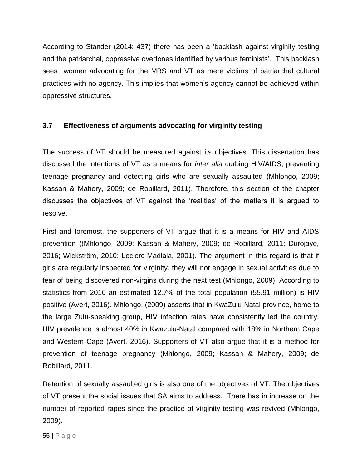According to Stander (2014: 437) there has been a 'backlash against virginity testing and the patriarchal, oppressive overtones identified by various feminists'. This backlash sees women advocating for the MBS and VT as mere victims of patriarchal cultural practices with no agency. This implies that women's agency cannot be achieved within oppressive structures.

# **3.7 Effectiveness of arguments advocating for virginity testing**

The success of VT should be measured against its objectives. This dissertation has discussed the intentions of VT as a means for *inter alia* curbing HIV/AIDS, preventing teenage pregnancy and detecting girls who are sexually assaulted (Mhlongo, 2009; Kassan & Mahery, 2009; de Robillard, 2011). Therefore, this section of the chapter discusses the objectives of VT against the 'realities' of the matters it is argued to resolve.

First and foremost, the supporters of VT argue that it is a means for HIV and AIDS prevention ((Mhlongo, 2009; Kassan & Mahery, 2009; de Robillard, 2011; Durojaye, 2016; Wickström, 2010; Leclerc-Madlala, 2001). The argument in this regard is that if girls are regularly inspected for virginity, they will not engage in sexual activities due to fear of being discovered non-virgins during the next test (Mhlongo, 2009). According to statistics from 2016 an estimated 12.7% of the total population (55.91 million) is HIV positive (Avert, 2016). Mhlongo, (2009) asserts that in KwaZulu-Natal province, home to the large Zulu-speaking group, HIV infection rates have consistently led the country. HIV prevalence is almost 40% in Kwazulu-Natal compared with 18% in Northern Cape and Western Cape (Avert, 2016). Supporters of VT also argue that it is a method for prevention of teenage pregnancy (Mhlongo, 2009; Kassan & Mahery, 2009; de Robillard, 2011.

Detention of sexually assaulted girls is also one of the objectives of VT. The objectives of VT present the social issues that SA aims to address. There has in increase on the number of reported rapes since the practice of virginity testing was revived (Mhlongo, 2009).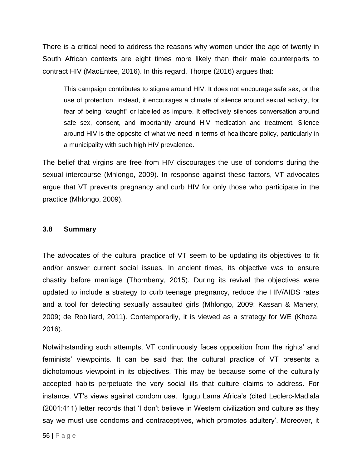There is a critical need to address the reasons why women under the age of twenty in South African contexts are eight times more likely than their male counterparts to contract HIV (MacEntee, 2016). In this regard, Thorpe (2016) argues that:

This campaign contributes to stigma around HIV. It does not encourage safe sex, or the use of protection. Instead, it encourages a climate of silence around sexual activity, for fear of being "caught" or labelled as impure. It effectively silences conversation around safe sex, consent, and importantly around HIV medication and treatment. Silence around HIV is the opposite of what we need in terms of healthcare policy, particularly in a municipality with such high HIV prevalence.

The belief that virgins are free from HIV discourages the use of condoms during the sexual intercourse (Mhlongo, 2009). In response against these factors, VT advocates argue that VT prevents pregnancy and curb HIV for only those who participate in the practice (Mhlongo, 2009).

### **3.8 Summary**

The advocates of the cultural practice of VT seem to be updating its objectives to fit and/or answer current social issues. In ancient times, its objective was to ensure chastity before marriage (Thornberry, 2015). During its revival the objectives were updated to include a strategy to curb teenage pregnancy, reduce the HIV/AIDS rates and a tool for detecting sexually assaulted girls (Mhlongo, 2009; Kassan & Mahery, 2009; de Robillard, 2011). Contemporarily, it is viewed as a strategy for WE (Khoza, 2016).

Notwithstanding such attempts, VT continuously faces opposition from the rights' and feminists' viewpoints. It can be said that the cultural practice of VT presents a dichotomous viewpoint in its objectives. This may be because some of the culturally accepted habits perpetuate the very social ills that culture claims to address. For instance, VT's views against condom use. Igugu Lama Africa's (cited Leclerc-Madlala (2001:411) letter records that 'I don't believe in Western civilization and culture as they say we must use condoms and contraceptives, which promotes adultery'. Moreover, it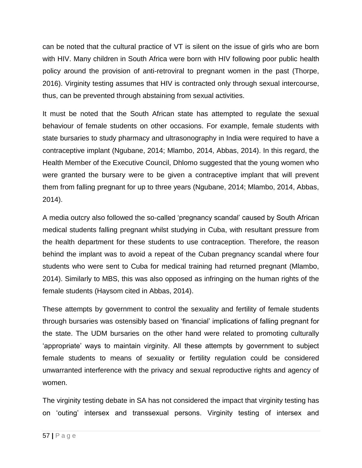can be noted that the cultural practice of VT is silent on the issue of girls who are born with HIV. Many children in South Africa were born with HIV following poor public health policy around the provision of anti-retroviral to pregnant women in the past (Thorpe, 2016). Virginity testing assumes that HIV is contracted only through sexual intercourse, thus, can be prevented through abstaining from sexual activities.

It must be noted that the South African state has attempted to regulate the sexual behaviour of female students on other occasions. For example, female students with state bursaries to study pharmacy and ultrasonography in India were required to have a contraceptive implant (Ngubane, 2014; Mlambo, 2014, Abbas, 2014). In this regard, the Health Member of the Executive Council, Dhlomo suggested that the young women who were granted the bursary were to be given a contraceptive implant that will prevent them from falling pregnant for up to three years (Ngubane, 2014; Mlambo, 2014, Abbas, 2014).

A media outcry also followed the so-called 'pregnancy scandal' caused by South African medical students falling pregnant whilst studying in Cuba, with resultant pressure from the health department for these students to use contraception. Therefore, the reason behind the implant was to avoid a repeat of the Cuban pregnancy scandal where four students who were sent to Cuba for medical training had returned pregnant (Mlambo, 2014). Similarly to MBS, this was also opposed as infringing on the human rights of the female students (Haysom cited in Abbas, 2014).

These attempts by government to control the sexuality and fertility of female students through bursaries was ostensibly based on 'financial' implications of falling pregnant for the state. The UDM bursaries on the other hand were related to promoting culturally 'appropriate' ways to maintain virginity. All these attempts by government to subject female students to means of sexuality or fertility regulation could be considered unwarranted interference with the privacy and sexual reproductive rights and agency of women.

The virginity testing debate in SA has not considered the impact that virginity testing has on 'outing' intersex and transsexual persons. Virginity testing of intersex and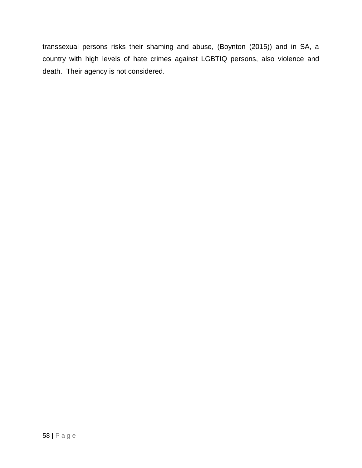transsexual persons risks their shaming and abuse, (Boynton (2015)) and in SA, a country with high levels of hate crimes against LGBTIQ persons, also violence and death. Their agency is not considered.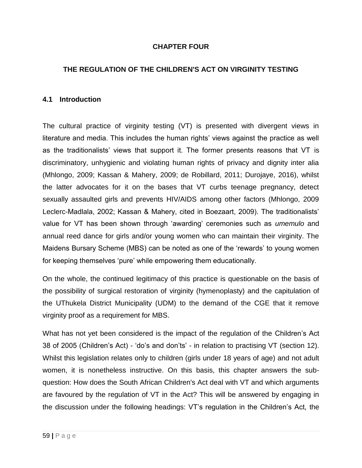# **CHAPTER FOUR**

# **THE REGULATION OF THE CHILDREN'S ACT ON VIRGINITY TESTING**

### **4.1 Introduction**

The cultural practice of virginity testing (VT) is presented with divergent views in literature and media. This includes the human rights' views against the practice as well as the traditionalists' views that support it. The former presents reasons that VT is discriminatory, unhygienic and violating human rights of privacy and dignity inter alia (Mhlongo, 2009; Kassan & Mahery, 2009; de Robillard, 2011; Durojaye, 2016), whilst the latter advocates for it on the bases that VT curbs teenage pregnancy, detect sexually assaulted girls and prevents HIV/AIDS among other factors (Mhlongo, 2009 Leclerc-Madlala, 2002; Kassan & Mahery, cited in Boezaart, 2009). The traditionalists' value for VT has been shown through 'awarding' ceremonies such as *umemulo* and annual reed dance for girls and/or young women who can maintain their virginity. The Maidens Bursary Scheme (MBS) can be noted as one of the 'rewards' to young women for keeping themselves 'pure' while empowering them educationally.

On the whole, the continued legitimacy of this practice is questionable on the basis of the possibility of surgical restoration of virginity (hymenoplasty) and the capitulation of the UThukela District Municipality (UDM) to the demand of the CGE that it remove virginity proof as a requirement for MBS.

What has not yet been considered is the impact of the regulation of the Children's Act 38 of 2005 (Children's Act) - 'do's and don'ts' - in relation to practising VT (section 12). Whilst this legislation relates only to children (girls under 18 years of age) and not adult women, it is nonetheless instructive. On this basis, this chapter answers the subquestion: How does the South African Children's Act deal with VT and which arguments are favoured by the regulation of VT in the Act? This will be answered by engaging in the discussion under the following headings: VT's regulation in the Children's Act, the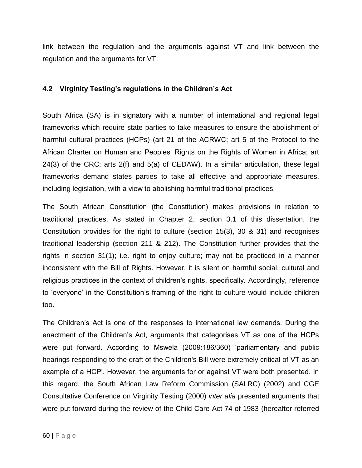link between the regulation and the arguments against VT and link between the regulation and the arguments for VT.

# **4.2 Virginity Testing's regulations in the Children's Act**

South Africa (SA) is in signatory with a number of international and regional legal frameworks which require state parties to take measures to ensure the abolishment of harmful cultural practices (HCPs) (art 21 of the ACRWC; art 5 of the Protocol to the African Charter on Human and Peoples' Rights on the Rights of Women in Africa; art 24(3) of the CRC; arts 2(f) and 5(a) of CEDAW). In a similar articulation, these legal frameworks demand states parties to take all effective and appropriate measures, including legislation, with a view to abolishing harmful traditional practices.

The South African Constitution (the Constitution) makes provisions in relation to traditional practices. As stated in Chapter 2, section 3.1 of this dissertation, the Constitution provides for the right to culture (section 15(3), 30 & 31) and recognises traditional leadership (section 211 & 212). The Constitution further provides that the rights in section 31(1); i.e. right to enjoy culture; may not be practiced in a manner inconsistent with the Bill of Rights. However, it is silent on harmful social, cultural and religious practices in the context of children's rights, specifically. Accordingly, reference to 'everyone' in the Constitution's framing of the right to culture would include children too.

The Children's Act is one of the responses to international law demands. During the enactment of the Children's Act, arguments that categorises VT as one of the HCPs were put forward. According to Mswela (2009:186/360) 'parliamentary and public hearings responding to the draft of the Children's Bill were extremely critical of VT as an example of a HCP'. However, the arguments for or against VT were both presented. In this regard, the South African Law Reform Commission (SALRC) (2002) and CGE Consultative Conference on Virginity Testing (2000) *inter alia* presented arguments that were put forward during the review of the Child Care Act 74 of 1983 (hereafter referred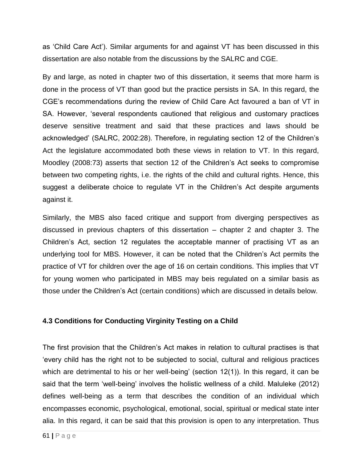as 'Child Care Act'). Similar arguments for and against VT has been discussed in this dissertation are also notable from the discussions by the SALRC and CGE.

By and large, as noted in chapter two of this dissertation, it seems that more harm is done in the process of VT than good but the practice persists in SA. In this regard, the CGE's recommendations during the review of Child Care Act favoured a ban of VT in SA. However, 'several respondents cautioned that religious and customary practices deserve sensitive treatment and said that these practices and laws should be acknowledged' (SALRC, 2002:28). Therefore, in regulating section 12 of the Children's Act the legislature accommodated both these views in relation to VT. In this regard, Moodley (2008:73) asserts that section 12 of the Children's Act seeks to compromise between two competing rights, i.e. the rights of the child and cultural rights. Hence, this suggest a deliberate choice to regulate VT in the Children's Act despite arguments against it.

Similarly, the MBS also faced critique and support from diverging perspectives as discussed in previous chapters of this dissertation – chapter 2 and chapter 3. The Children's Act, section 12 regulates the acceptable manner of practising VT as an underlying tool for MBS. However, it can be noted that the Children's Act permits the practice of VT for children over the age of 16 on certain conditions. This implies that VT for young women who participated in MBS may beis regulated on a similar basis as those under the Children's Act (certain conditions) which are discussed in details below.

## **4.3 Conditions for Conducting Virginity Testing on a Child**

The first provision that the Children's Act makes in relation to cultural practises is that 'every child has the right not to be subjected to social, cultural and religious practices which are detrimental to his or her well-being' (section 12(1)). In this regard, it can be said that the term 'well-being' involves the holistic wellness of a child. Maluleke (2012) defines well-being as a term that describes the condition of an individual which encompasses economic, psychological, emotional, social, spiritual or medical state inter alia. In this regard, it can be said that this provision is open to any interpretation. Thus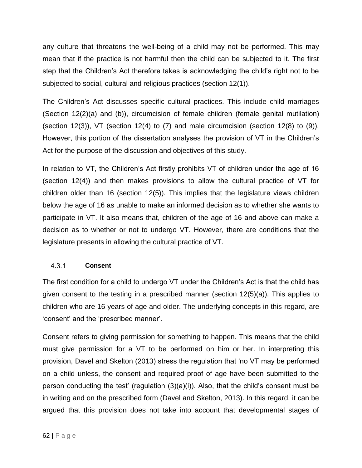any culture that threatens the well-being of a child may not be performed. This may mean that if the practice is not harmful then the child can be subjected to it. The first step that the Children's Act therefore takes is acknowledging the child's right not to be subjected to social, cultural and religious practices (section 12(1)).

The Children's Act discusses specific cultural practices. This include child marriages (Section 12(2)(a) and (b)), circumcision of female children (female genital mutilation) (section 12(3)), VT (section 12(4) to  $(7)$  and male circumcision (section 12(8) to  $(9)$ ). However, this portion of the dissertation analyses the provision of VT in the Children's Act for the purpose of the discussion and objectives of this study.

In relation to VT, the Children's Act firstly prohibits VT of children under the age of 16 (section 12(4)) and then makes provisions to allow the cultural practice of VT for children older than 16 (section 12(5)). This implies that the legislature views children below the age of 16 as unable to make an informed decision as to whether she wants to participate in VT. It also means that, children of the age of 16 and above can make a decision as to whether or not to undergo VT. However, there are conditions that the legislature presents in allowing the cultural practice of VT.

#### $4.3.1$ **Consent**

The first condition for a child to undergo VT under the Children's Act is that the child has given consent to the testing in a prescribed manner (section 12(5)(a)). This applies to children who are 16 years of age and older. The underlying concepts in this regard, are 'consent' and the 'prescribed manner'.

Consent refers to giving permission for something to happen. This means that the child must give permission for a VT to be performed on him or her. In interpreting this provision, Davel and Skelton (2013) stress the regulation that 'no VT may be performed on a child unless, the consent and required proof of age have been submitted to the person conducting the test' (regulation (3)(a)(i)). Also, that the child's consent must be in writing and on the prescribed form (Davel and Skelton, 2013). In this regard, it can be argued that this provision does not take into account that developmental stages of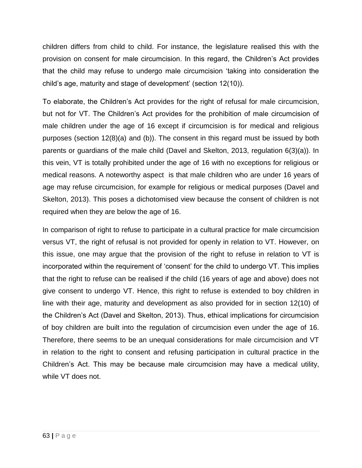children differs from child to child. For instance, the legislature realised this with the provision on consent for male circumcision. In this regard, the Children's Act provides that the child may refuse to undergo male circumcision 'taking into consideration the child's age, maturity and stage of development' (section 12(10)).

To elaborate, the Children's Act provides for the right of refusal for male circumcision, but not for VT. The Children's Act provides for the prohibition of male circumcision of male children under the age of 16 except if circumcision is for medical and religious purposes (section 12(8)(a) and (b)). The consent in this regard must be issued by both parents or guardians of the male child (Davel and Skelton, 2013, regulation 6(3)(a)). In this vein, VT is totally prohibited under the age of 16 with no exceptions for religious or medical reasons. A noteworthy aspect is that male children who are under 16 years of age may refuse circumcision, for example for religious or medical purposes (Davel and Skelton, 2013). This poses a dichotomised view because the consent of children is not required when they are below the age of 16.

In comparison of right to refuse to participate in a cultural practice for male circumcision versus VT, the right of refusal is not provided for openly in relation to VT. However, on this issue, one may argue that the provision of the right to refuse in relation to VT is incorporated within the requirement of 'consent' for the child to undergo VT. This implies that the right to refuse can be realised if the child (16 years of age and above) does not give consent to undergo VT. Hence, this right to refuse is extended to boy children in line with their age, maturity and development as also provided for in section 12(10) of the Children's Act (Davel and Skelton, 2013). Thus, ethical implications for circumcision of boy children are built into the regulation of circumcision even under the age of 16. Therefore, there seems to be an unequal considerations for male circumcision and VT in relation to the right to consent and refusing participation in cultural practice in the Children's Act. This may be because male circumcision may have a medical utility, while VT does not.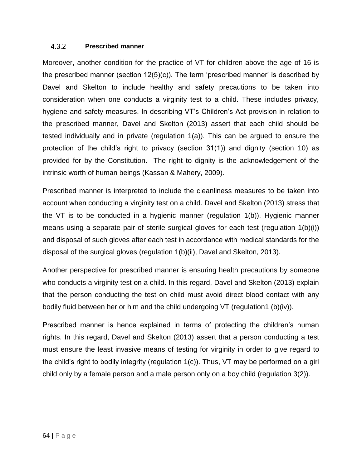#### $4.3.2$ **Prescribed manner**

Moreover, another condition for the practice of VT for children above the age of 16 is the prescribed manner (section 12(5)(c)). The term 'prescribed manner' is described by Davel and Skelton to include healthy and safety precautions to be taken into consideration when one conducts a virginity test to a child. These includes privacy, hygiene and safety measures. In describing VT's Children's Act provision in relation to the prescribed manner, Davel and Skelton (2013) assert that each child should be tested individually and in private (regulation 1(a)). This can be argued to ensure the protection of the child's right to privacy (section 31(1)) and dignity (section 10) as provided for by the Constitution. The right to dignity is the acknowledgement of the intrinsic worth of human beings (Kassan & Mahery, 2009).

Prescribed manner is interpreted to include the cleanliness measures to be taken into account when conducting a virginity test on a child. Davel and Skelton (2013) stress that the VT is to be conducted in a hygienic manner (regulation 1(b)). Hygienic manner means using a separate pair of sterile surgical gloves for each test (regulation 1(b)(i)) and disposal of such gloves after each test in accordance with medical standards for the disposal of the surgical gloves (regulation 1(b)(ii), Davel and Skelton, 2013).

Another perspective for prescribed manner is ensuring health precautions by someone who conducts a virginity test on a child. In this regard, Davel and Skelton (2013) explain that the person conducting the test on child must avoid direct blood contact with any bodily fluid between her or him and the child undergoing VT (regulation1 (b)(iv)).

Prescribed manner is hence explained in terms of protecting the children's human rights. In this regard, Davel and Skelton (2013) assert that a person conducting a test must ensure the least invasive means of testing for virginity in order to give regard to the child's right to bodily integrity (regulation 1(c)). Thus, VT may be performed on a girl child only by a female person and a male person only on a boy child (regulation 3(2)).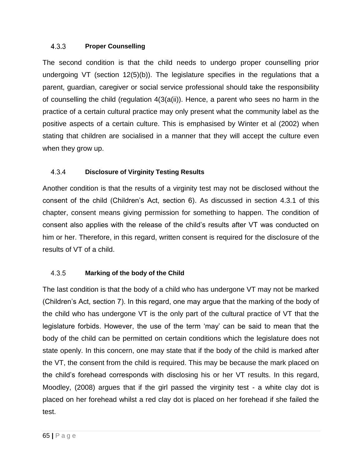#### $4.3.3$ **Proper Counselling**

The second condition is that the child needs to undergo proper counselling prior undergoing VT (section 12(5)(b)). The legislature specifies in the regulations that a parent, guardian, caregiver or social service professional should take the responsibility of counselling the child (regulation  $4(3(a(ii))$ ). Hence, a parent who sees no harm in the practice of a certain cultural practice may only present what the community label as the positive aspects of a certain culture. This is emphasised by Winter et al (2002) when stating that children are socialised in a manner that they will accept the culture even when they grow up.

#### 4.3.4 **Disclosure of Virginity Testing Results**

Another condition is that the results of a virginity test may not be disclosed without the consent of the child (Children's Act, section 6). As discussed in section 4.3.1 of this chapter, consent means giving permission for something to happen. The condition of consent also applies with the release of the child's results after VT was conducted on him or her. Therefore, in this regard, written consent is required for the disclosure of the results of VT of a child.

#### $4.3.5$ **Marking of the body of the Child**

The last condition is that the body of a child who has undergone VT may not be marked (Children's Act, section 7). In this regard, one may argue that the marking of the body of the child who has undergone VT is the only part of the cultural practice of VT that the legislature forbids. However, the use of the term 'may' can be said to mean that the body of the child can be permitted on certain conditions which the legislature does not state openly. In this concern, one may state that if the body of the child is marked after the VT, the consent from the child is required. This may be because the mark placed on the child's forehead corresponds with disclosing his or her VT results. In this regard, Moodley, (2008) argues that if the girl passed the virginity test - a white clay dot is placed on her forehead whilst a red clay dot is placed on her forehead if she failed the test.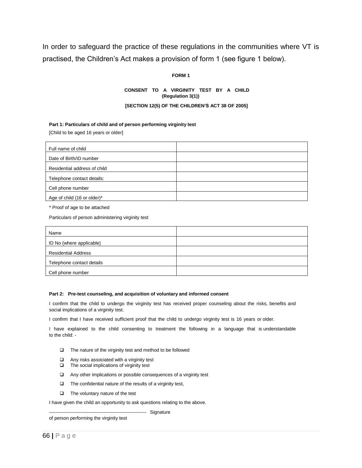In order to safeguard the practice of these regulations in the communities where VT is practised, the Children's Act makes a provision of form 1 (see figure 1 below).

### **FORM 1**

### **CONSENT TO A VIRGINITY TEST BY A CHILD (Regulation 3(1))**

### **[SECTION 12(5) OF THE CHILDREN'S ACT 38 OF 2005]**

### **Part 1: Particulars of child and of person performing virginity test**

[Child to be aged 16 years or older]

| Full name of child           |  |
|------------------------------|--|
| Date of Birth/ID number      |  |
| Residential address of child |  |
| Telephone contact details:   |  |
| Cell phone number            |  |
| Age of child (16 or older)*  |  |

\* Proof of age to be attached

Particulars of person administering virginity test

| Name                       |  |
|----------------------------|--|
| ID No (where applicable)   |  |
| <b>Residential Address</b> |  |
| Telephone contact details  |  |
| Cell phone number          |  |

### **Part 2: Pre-test counseling, and acquisition of voluntary and informed consent**

I confirm that the child to undergo the virginity test has received proper counseling about the risks, benefits and social implications of a virginity test.

I confirm that I have received sufficient proof that the child to undergo virginity test is 16 years or older.

I have explained to the child consenting to treatment the following in a language that is understandable to the child: -

- $\Box$  The nature of the virginity test and method to be followed
- $\Box$  Any risks associated with a virginity test
- $\Box$  The social implications of virginity test
- Any other implications or possible consequences of a virginity test
- $\Box$  The confidential nature of the results of a virginity test,
- $\Box$  The voluntary nature of the test

I have given the child an opportunity to ask questions relating to the above.

-------------------------------------------------------------- Signature

of person performing the virginity test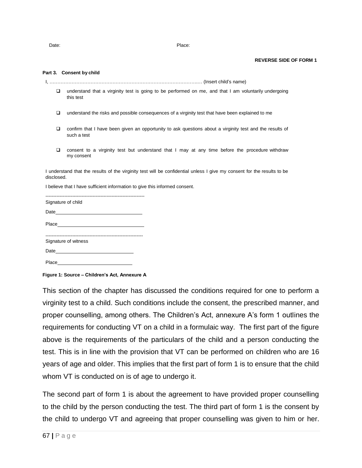Date: **Place:** Place:

### **REVERSE SIDE OF FORM 1**

### **Part 3. Consent by child**

- I, ………………………………………………………………………………….… (Insert child's name)
	- understand that a virginity test is going to be performed on me, and that I am voluntarily undergoing this test
	- $\Box$  understand the risks and possible consequences of a virginity test that have been explained to me
	- confirm that I have been given an opportunity to ask questions about a virginity test and the results of such a test
	- consent to a virginity test but understand that I may at any time before the procedure withdraw my consent

I understand that the results of the virginity test will be confidential unless I give my consent for the results to be disclosed.

I believe that I have sufficient information to give this informed consent.

| Signature of child   |  |
|----------------------|--|
|                      |  |
|                      |  |
| Signature of witness |  |
|                      |  |
|                      |  |

**Figure 1: Source – Children's Act, Annexure A**

This section of the chapter has discussed the conditions required for one to perform a virginity test to a child. Such conditions include the consent, the prescribed manner, and proper counselling, among others. The Children's Act, annexure A's form 1 outlines the requirements for conducting VT on a child in a formulaic way. The first part of the figure above is the requirements of the particulars of the child and a person conducting the test. This is in line with the provision that VT can be performed on children who are 16 years of age and older. This implies that the first part of form 1 is to ensure that the child whom VT is conducted on is of age to undergo it.

The second part of form 1 is about the agreement to have provided proper counselling to the child by the person conducting the test. The third part of form 1 is the consent by the child to undergo VT and agreeing that proper counselling was given to him or her.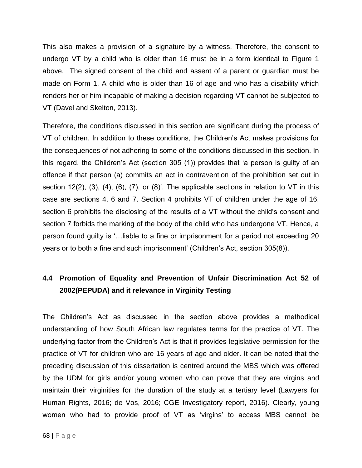This also makes a provision of a signature by a witness. Therefore, the consent to undergo VT by a child who is older than 16 must be in a form identical to Figure 1 above. The signed consent of the child and assent of a parent or guardian must be made on Form 1. A child who is older than 16 of age and who has a disability which renders her or him incapable of making a decision regarding VT cannot be subjected to VT (Davel and Skelton, 2013).

Therefore, the conditions discussed in this section are significant during the process of VT of children. In addition to these conditions, the Children's Act makes provisions for the consequences of not adhering to some of the conditions discussed in this section. In this regard, the Children's Act (section 305 (1)) provides that 'a person is guilty of an offence if that person (a) commits an act in contravention of the prohibition set out in section 12(2), (3), (4), (6), (7), or (8)'. The applicable sections in relation to VT in this case are sections 4, 6 and 7. Section 4 prohibits VT of children under the age of 16, section 6 prohibits the disclosing of the results of a VT without the child's consent and section 7 forbids the marking of the body of the child who has undergone VT. Hence, a person found guilty is '…liable to a fine or imprisonment for a period not exceeding 20 years or to both a fine and such imprisonment' (Children's Act, section 305(8)).

# **4.4 Promotion of Equality and Prevention of Unfair Discrimination Act 52 of 2002(PEPUDA) and it relevance in Virginity Testing**

The Children's Act as discussed in the section above provides a methodical understanding of how South African law regulates terms for the practice of VT. The underlying factor from the Children's Act is that it provides legislative permission for the practice of VT for children who are 16 years of age and older. It can be noted that the preceding discussion of this dissertation is centred around the MBS which was offered by the UDM for girls and/or young women who can prove that they are virgins and maintain their virginities for the duration of the study at a tertiary level (Lawyers for Human Rights, 2016; de Vos, 2016; CGE Investigatory report, 2016). Clearly, young women who had to provide proof of VT as 'virgins' to access MBS cannot be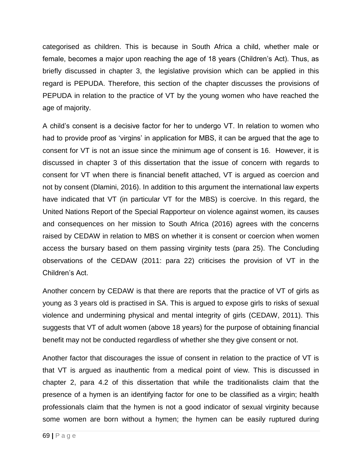categorised as children. This is because in South Africa a child, whether male or female, becomes a major upon reaching the age of 18 years (Children's Act). Thus, as briefly discussed in chapter 3, the legislative provision which can be applied in this regard is PEPUDA. Therefore, this section of the chapter discusses the provisions of PEPUDA in relation to the practice of VT by the young women who have reached the age of majority.

A child's consent is a decisive factor for her to undergo VT. In relation to women who had to provide proof as 'virgins' in application for MBS, it can be argued that the age to consent for VT is not an issue since the minimum age of consent is 16. However, it is discussed in chapter 3 of this dissertation that the issue of concern with regards to consent for VT when there is financial benefit attached, VT is argued as coercion and not by consent (Dlamini, 2016). In addition to this argument the international law experts have indicated that VT (in particular VT for the MBS) is coercive. In this regard, the United Nations Report of the Special Rapporteur on violence against women, its causes and consequences on her mission to South Africa (2016) agrees with the concerns raised by CEDAW in relation to MBS on whether it is consent or coercion when women access the bursary based on them passing virginity tests (para 25). The Concluding observations of the CEDAW (2011: para 22) criticises the provision of VT in the Children's Act.

Another concern by CEDAW is that there are reports that the practice of VT of girls as young as 3 years old is practised in SA. This is argued to expose girls to risks of sexual violence and undermining physical and mental integrity of girls (CEDAW, 2011). This suggests that VT of adult women (above 18 years) for the purpose of obtaining financial benefit may not be conducted regardless of whether she they give consent or not.

Another factor that discourages the issue of consent in relation to the practice of VT is that VT is argued as inauthentic from a medical point of view. This is discussed in chapter 2, para 4.2 of this dissertation that while the traditionalists claim that the presence of a hymen is an identifying factor for one to be classified as a virgin; health professionals claim that the hymen is not a good indicator of sexual virginity because some women are born without a hymen; the hymen can be easily ruptured during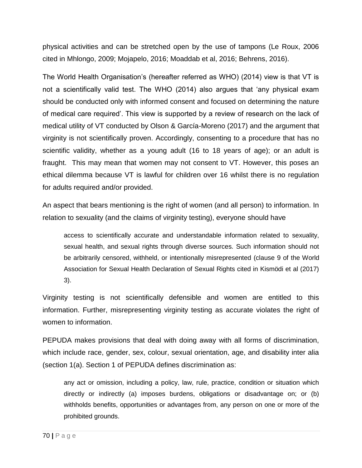physical activities and can be stretched open by the use of tampons (Le Roux, 2006 cited in Mhlongo, 2009; Mojapelo, 2016; Moaddab et al, 2016; Behrens, 2016).

The World Health Organisation's (hereafter referred as WHO) (2014) view is that VT is not a scientifically valid test. The WHO (2014) also argues that 'any physical exam should be conducted only with informed consent and focused on determining the nature of medical care required'. This view is supported by a review of research on the lack of medical utility of VT conducted by Olson & García-Moreno (2017) and the argument that virginity is not scientifically proven. Accordingly, consenting to a procedure that has no scientific validity, whether as a young adult (16 to 18 years of age); or an adult is fraught. This may mean that women may not consent to VT. However, this poses an ethical dilemma because VT is lawful for children over 16 whilst there is no regulation for adults required and/or provided.

An aspect that bears mentioning is the right of women (and all person) to information. In relation to sexuality (and the claims of virginity testing), everyone should have

access to scientifically accurate and understandable information related to sexuality, sexual health, and sexual rights through diverse sources. Such information should not be arbitrarily censored, withheld, or intentionally misrepresented (clause 9 of the World Association for Sexual Health Declaration of Sexual Rights cited in Kismödi et al (2017) 3).

Virginity testing is not scientifically defensible and women are entitled to this information. Further, misrepresenting virginity testing as accurate violates the right of women to information.

PEPUDA makes provisions that deal with doing away with all forms of discrimination, which include race, gender, sex, colour, sexual orientation, age, and disability inter alia (section 1(a). Section 1 of PEPUDA defines discrimination as:

any act or omission, including a policy, law, rule, practice, condition or situation which directly or indirectly (a) imposes burdens, obligations or disadvantage on; or (b) withholds benefits, opportunities or advantages from, any person on one or more of the prohibited grounds.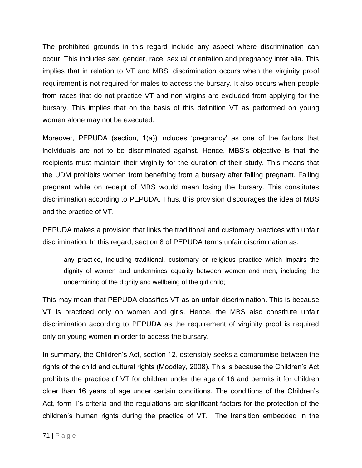The prohibited grounds in this regard include any aspect where discrimination can occur. This includes sex, gender, race, sexual orientation and pregnancy inter alia. This implies that in relation to VT and MBS, discrimination occurs when the virginity proof requirement is not required for males to access the bursary. It also occurs when people from races that do not practice VT and non-virgins are excluded from applying for the bursary. This implies that on the basis of this definition VT as performed on young women alone may not be executed.

Moreover, PEPUDA (section, 1(a)) includes 'pregnancy' as one of the factors that individuals are not to be discriminated against. Hence, MBS's objective is that the recipients must maintain their virginity for the duration of their study. This means that the UDM prohibits women from benefiting from a bursary after falling pregnant. Falling pregnant while on receipt of MBS would mean losing the bursary. This constitutes discrimination according to PEPUDA. Thus, this provision discourages the idea of MBS and the practice of VT.

PEPUDA makes a provision that links the traditional and customary practices with unfair discrimination. In this regard, section 8 of PEPUDA terms unfair discrimination as:

any practice, including traditional, customary or religious practice which impairs the dignity of women and undermines equality between women and men, including the undermining of the dignity and wellbeing of the girl child;

This may mean that PEPUDA classifies VT as an unfair discrimination. This is because VT is practiced only on women and girls. Hence, the MBS also constitute unfair discrimination according to PEPUDA as the requirement of virginity proof is required only on young women in order to access the bursary.

In summary, the Children's Act, section 12, ostensibly seeks a compromise between the rights of the child and cultural rights (Moodley, 2008). This is because the Children's Act prohibits the practice of VT for children under the age of 16 and permits it for children older than 16 years of age under certain conditions. The conditions of the Children's Act, form 1's criteria and the regulations are significant factors for the protection of the children's human rights during the practice of VT. The transition embedded in the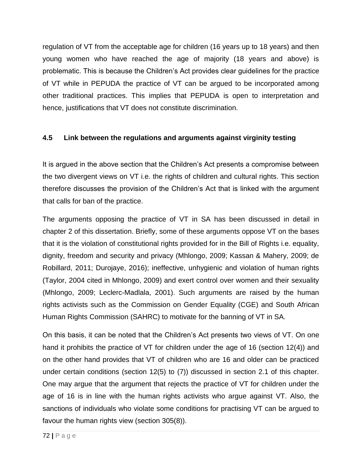regulation of VT from the acceptable age for children (16 years up to 18 years) and then young women who have reached the age of majority (18 years and above) is problematic. This is because the Children's Act provides clear guidelines for the practice of VT while in PEPUDA the practice of VT can be argued to be incorporated among other traditional practices. This implies that PEPUDA is open to interpretation and hence, justifications that VT does not constitute discrimination.

## **4.5 Link between the regulations and arguments against virginity testing**

It is argued in the above section that the Children's Act presents a compromise between the two divergent views on VT i.e. the rights of children and cultural rights. This section therefore discusses the provision of the Children's Act that is linked with the argument that calls for ban of the practice.

The arguments opposing the practice of VT in SA has been discussed in detail in chapter 2 of this dissertation. Briefly, some of these arguments oppose VT on the bases that it is the violation of constitutional rights provided for in the Bill of Rights i.e. equality, dignity, freedom and security and privacy (Mhlongo, 2009; Kassan & Mahery, 2009; de Robillard, 2011; Durojaye, 2016); ineffective, unhygienic and violation of human rights (Taylor, 2004 cited in Mhlongo, 2009) and exert control over women and their sexuality (Mhlongo, 2009; Leclerc-Madlala, 2001). Such arguments are raised by the human rights activists such as the Commission on Gender Equality (CGE) and South African Human Rights Commission (SAHRC) to motivate for the banning of VT in SA.

On this basis, it can be noted that the Children's Act presents two views of VT. On one hand it prohibits the practice of VT for children under the age of 16 (section 12(4)) and on the other hand provides that VT of children who are 16 and older can be practiced under certain conditions (section 12(5) to (7)) discussed in section 2.1 of this chapter. One may argue that the argument that rejects the practice of VT for children under the age of 16 is in line with the human rights activists who argue against VT. Also, the sanctions of individuals who violate some conditions for practising VT can be argued to favour the human rights view (section 305(8)).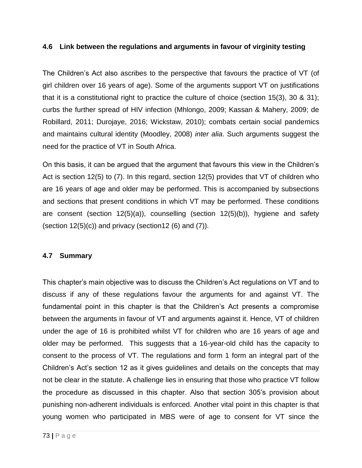### **4.6 Link between the regulations and arguments in favour of virginity testing**

The Children's Act also ascribes to the perspective that favours the practice of VT (of girl children over 16 years of age). Some of the arguments support VT on justifications that it is a constitutional right to practice the culture of choice (section 15(3), 30 & 31); curbs the further spread of HIV infection (Mhlongo, 2009; Kassan & Mahery, 2009; de Robillard, 2011; Durojaye, 2016; Wickstaw, 2010); combats certain social pandemics and maintains cultural identity (Moodley, 2008) *inter alia*. Such arguments suggest the need for the practice of VT in South Africa.

On this basis, it can be argued that the argument that favours this view in the Children's Act is section 12(5) to (7). In this regard, section 12(5) provides that VT of children who are 16 years of age and older may be performed. This is accompanied by subsections and sections that present conditions in which VT may be performed. These conditions are consent (section 12(5)(a)), counselling (section 12(5)(b)), hygiene and safety (section  $12(5)(c)$ ) and privacy (section 12 (6) and (7)).

## **4.7 Summary**

This chapter's main objective was to discuss the Children's Act regulations on VT and to discuss if any of these regulations favour the arguments for and against VT. The fundamental point in this chapter is that the Children's Act presents a compromise between the arguments in favour of VT and arguments against it. Hence, VT of children under the age of 16 is prohibited whilst VT for children who are 16 years of age and older may be performed. This suggests that a 16-year-old child has the capacity to consent to the process of VT. The regulations and form 1 form an integral part of the Children's Act's section 12 as it gives guidelines and details on the concepts that may not be clear in the statute. A challenge lies in ensuring that those who practice VT follow the procedure as discussed in this chapter. Also that section 305's provision about punishing non-adherent individuals is enforced. Another vital point in this chapter is that young women who participated in MBS were of age to consent for VT since the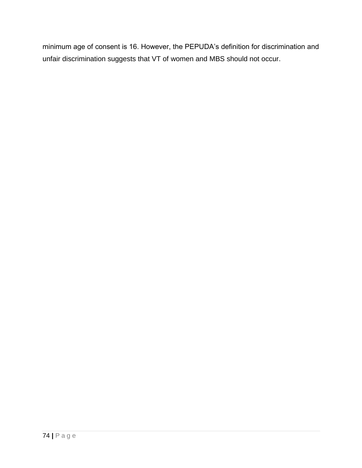minimum age of consent is 16. However, the PEPUDA's definition for discrimination and unfair discrimination suggests that VT of women and MBS should not occur.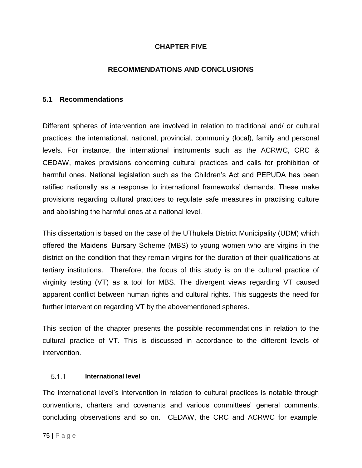## **CHAPTER FIVE**

## **RECOMMENDATIONS AND CONCLUSIONS**

### **5.1 Recommendations**

Different spheres of intervention are involved in relation to traditional and/ or cultural practices: the international, national, provincial, community (local), family and personal levels. For instance, the international instruments such as the ACRWC, CRC & CEDAW, makes provisions concerning cultural practices and calls for prohibition of harmful ones. National legislation such as the Children's Act and PEPUDA has been ratified nationally as a response to international frameworks' demands. These make provisions regarding cultural practices to regulate safe measures in practising culture and abolishing the harmful ones at a national level.

This dissertation is based on the case of the UThukela District Municipality (UDM) which offered the Maidens' Bursary Scheme (MBS) to young women who are virgins in the district on the condition that they remain virgins for the duration of their qualifications at tertiary institutions. Therefore, the focus of this study is on the cultural practice of virginity testing (VT) as a tool for MBS. The divergent views regarding VT caused apparent conflict between human rights and cultural rights. This suggests the need for further intervention regarding VT by the abovementioned spheres.

This section of the chapter presents the possible recommendations in relation to the cultural practice of VT. This is discussed in accordance to the different levels of intervention.

#### $5.1.1$ **International level**

The international level's intervention in relation to cultural practices is notable through conventions, charters and covenants and various committees' general comments, concluding observations and so on. CEDAW, the CRC and ACRWC for example,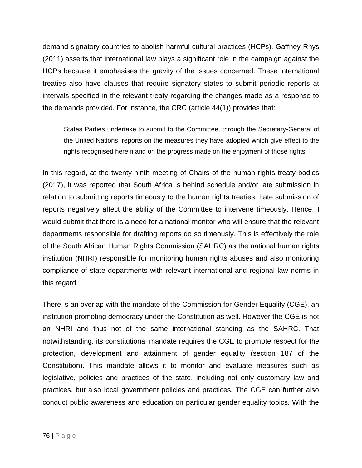demand signatory countries to abolish harmful cultural practices (HCPs). Gaffney-Rhys (2011) asserts that international law plays a significant role in the campaign against the HCPs because it emphasises the gravity of the issues concerned. These international treaties also have clauses that require signatory states to submit periodic reports at intervals specified in the relevant treaty regarding the changes made as a response to the demands provided. For instance, the CRC (article 44(1)) provides that:

States Parties undertake to submit to the Committee, through the Secretary-General of the United Nations, reports on the measures they have adopted which give effect to the rights recognised herein and on the progress made on the enjoyment of those rights.

In this regard, at the twenty-ninth meeting of Chairs of the human rights treaty bodies (2017), it was reported that South Africa is behind schedule and/or late submission in relation to submitting reports timeously to the human rights treaties. Late submission of reports negatively affect the ability of the Committee to intervene timeously. Hence, I would submit that there is a need for a national monitor who will ensure that the relevant departments responsible for drafting reports do so timeously. This is effectively the role of the South African Human Rights Commission (SAHRC) as the national human rights institution (NHRI) responsible for monitoring human rights abuses and also monitoring compliance of state departments with relevant international and regional law norms in this regard.

There is an overlap with the mandate of the Commission for Gender Equality (CGE), an institution promoting democracy under the Constitution as well. However the CGE is not an NHRI and thus not of the same international standing as the SAHRC. That notwithstanding, its constitutional mandate requires the CGE to promote respect for the protection, development and attainment of gender equality (section 187 of the Constitution). This mandate allows it to monitor and evaluate measures such as legislative, policies and practices of the state, including not only customary law and practices, but also local government policies and practices. The CGE can further also conduct public awareness and education on particular gender equality topics. With the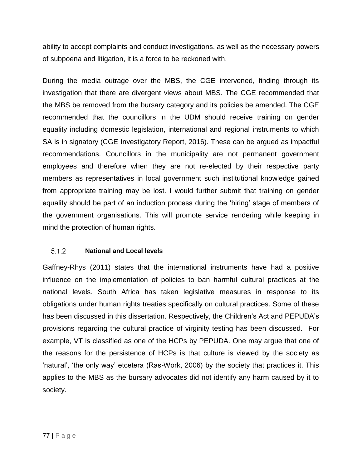ability to accept complaints and conduct investigations, as well as the necessary powers of subpoena and litigation, it is a force to be reckoned with.

During the media outrage over the MBS, the CGE intervened, finding through its investigation that there are divergent views about MBS. The CGE recommended that the MBS be removed from the bursary category and its policies be amended. The CGE recommended that the councillors in the UDM should receive training on gender equality including domestic legislation, international and regional instruments to which SA is in signatory (CGE Investigatory Report, 2016). These can be argued as impactful recommendations. Councillors in the municipality are not permanent government employees and therefore when they are not re-elected by their respective party members as representatives in local government such institutional knowledge gained from appropriate training may be lost. I would further submit that training on gender equality should be part of an induction process during the 'hiring' stage of members of the government organisations. This will promote service rendering while keeping in mind the protection of human rights.

#### **National and Local levels**  $5.1.2$

Gaffney-Rhys (2011) states that the international instruments have had a positive influence on the implementation of policies to ban harmful cultural practices at the national levels. South Africa has taken legislative measures in response to its obligations under human rights treaties specifically on cultural practices. Some of these has been discussed in this dissertation. Respectively, the Children's Act and PEPUDA's provisions regarding the cultural practice of virginity testing has been discussed. For example, VT is classified as one of the HCPs by PEPUDA. One may argue that one of the reasons for the persistence of HCPs is that culture is viewed by the society as 'natural', 'the only way' etcetera (Ras-Work, 2006) by the society that practices it. This applies to the MBS as the bursary advocates did not identify any harm caused by it to society.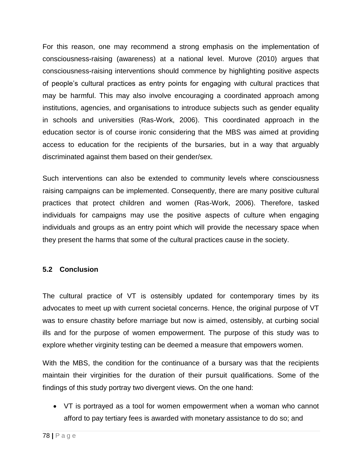For this reason, one may recommend a strong emphasis on the implementation of consciousness-raising (awareness) at a national level. Murove (2010) argues that consciousness-raising interventions should commence by highlighting positive aspects of people's cultural practices as entry points for engaging with cultural practices that may be harmful. This may also involve encouraging a coordinated approach among institutions, agencies, and organisations to introduce subjects such as gender equality in schools and universities (Ras-Work, 2006). This coordinated approach in the education sector is of course ironic considering that the MBS was aimed at providing access to education for the recipients of the bursaries, but in a way that arguably discriminated against them based on their gender/sex.

Such interventions can also be extended to community levels where consciousness raising campaigns can be implemented. Consequently, there are many positive cultural practices that protect children and women (Ras-Work, 2006). Therefore, tasked individuals for campaigns may use the positive aspects of culture when engaging individuals and groups as an entry point which will provide the necessary space when they present the harms that some of the cultural practices cause in the society.

## **5.2 Conclusion**

The cultural practice of VT is ostensibly updated for contemporary times by its advocates to meet up with current societal concerns. Hence, the original purpose of VT was to ensure chastity before marriage but now is aimed, ostensibly, at curbing social ills and for the purpose of women empowerment. The purpose of this study was to explore whether virginity testing can be deemed a measure that empowers women.

With the MBS, the condition for the continuance of a bursary was that the recipients maintain their virginities for the duration of their pursuit qualifications. Some of the findings of this study portray two divergent views. On the one hand:

 VT is portrayed as a tool for women empowerment when a woman who cannot afford to pay tertiary fees is awarded with monetary assistance to do so; and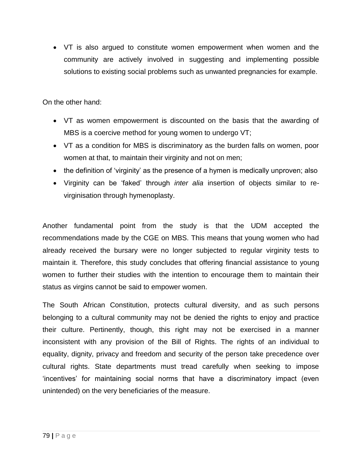VT is also argued to constitute women empowerment when women and the community are actively involved in suggesting and implementing possible solutions to existing social problems such as unwanted pregnancies for example.

On the other hand:

- VT as women empowerment is discounted on the basis that the awarding of MBS is a coercive method for young women to undergo VT;
- VT as a condition for MBS is discriminatory as the burden falls on women, poor women at that, to maintain their virginity and not on men;
- the definition of 'virginity' as the presence of a hymen is medically unproven; also
- Virginity can be 'faked' through *inter alia* insertion of objects similar to revirginisation through hymenoplasty.

Another fundamental point from the study is that the UDM accepted the recommendations made by the CGE on MBS. This means that young women who had already received the bursary were no longer subjected to regular virginity tests to maintain it. Therefore, this study concludes that offering financial assistance to young women to further their studies with the intention to encourage them to maintain their status as virgins cannot be said to empower women.

The South African Constitution, protects cultural diversity, and as such persons belonging to a cultural community may not be denied the rights to enjoy and practice their culture. Pertinently, though, this right may not be exercised in a manner inconsistent with any provision of the Bill of Rights. The rights of an individual to equality, dignity, privacy and freedom and security of the person take precedence over cultural rights. State departments must tread carefully when seeking to impose 'incentives' for maintaining social norms that have a discriminatory impact (even unintended) on the very beneficiaries of the measure.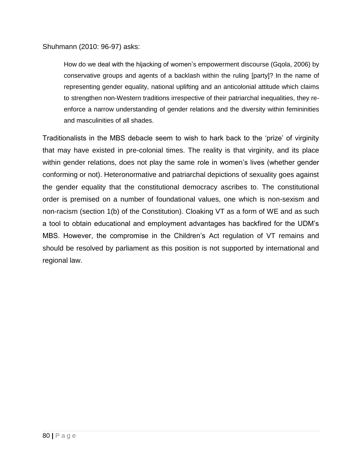Shuhmann (2010: 96-97) asks:

How do we deal with the hijacking of women's empowerment discourse (Gqola, 2006) by conservative groups and agents of a backlash within the ruling [party]? In the name of representing gender equality, national uplifting and an anticolonial attitude which claims to strengthen non-Western traditions irrespective of their patriarchal inequalities, they reenforce a narrow understanding of gender relations and the diversity within femininities and masculinities of all shades.

Traditionalists in the MBS debacle seem to wish to hark back to the 'prize' of virginity that may have existed in pre-colonial times. The reality is that virginity, and its place within gender relations, does not play the same role in women's lives (whether gender conforming or not). Heteronormative and patriarchal depictions of sexuality goes against the gender equality that the constitutional democracy ascribes to. The constitutional order is premised on a number of foundational values, one which is non-sexism and non-racism (section 1(b) of the Constitution). Cloaking VT as a form of WE and as such a tool to obtain educational and employment advantages has backfired for the UDM's MBS. However, the compromise in the Children's Act regulation of VT remains and should be resolved by parliament as this position is not supported by international and regional law.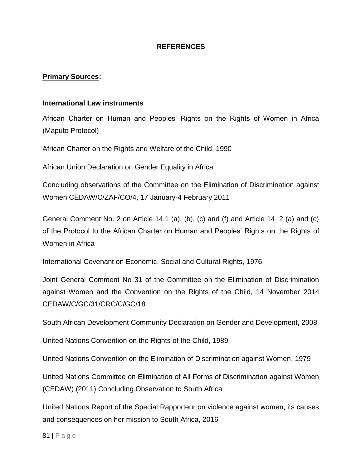### **REFERENCES**

### **Primary Sources:**

### **International Law instruments**

African Charter on Human and Peoples' Rights on the Rights of Women in Africa (Maputo Protocol)

African Charter on the Rights and Welfare of the Child, 1990

African Union Declaration on Gender Equality in Africa

Concluding observations of the Committee on the Elimination of Discrimination against Women CEDAW/C/ZAF/CO/4, 17 January-4 February 2011

General Comment No. 2 on Article 14.1 (a), (b), (c) and (f) and Article 14, 2 (a) and (c) of the Protocol to the African Charter on Human and Peoples' Rights on the Rights of Women in Africa

International Covenant on Economic, Social and Cultural Rights, 1976

Joint General Comment No 31 of the Committee on the Elimination of Discrimination against Women and the Convention on the Rights of the Child, 14 November 2014 CEDAW/C/GC/31/CRC/C/GC/18

South African Development Community Declaration on Gender and Development, 2008

United Nations Convention on the Rights of the Child, 1989

United Nations Convention on the Elimination of Discrimination against Women, 1979

United Nations Committee on Elimination of All Forms of Discrimination against Women (CEDAW) (2011) Concluding Observation to South Africa

United Nations Report of the Special Rapporteur on violence against women, its causes and consequences on her mission to South Africa, 2016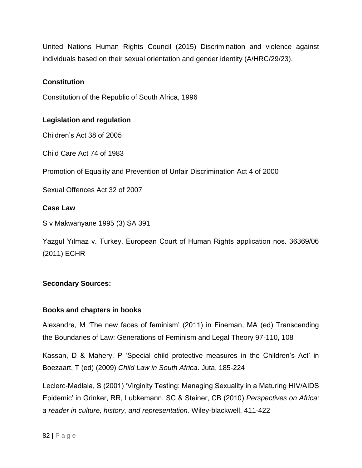United Nations Human Rights Council (2015) Discrimination and violence against individuals based on their sexual orientation and gender identity (A/HRC/29/23).

### **Constitution**

Constitution of the Republic of South Africa, 1996

### **Legislation and regulation**

Children's Act 38 of 2005

Child Care Act 74 of 1983

Promotion of Equality and Prevention of Unfair Discrimination Act 4 of 2000

Sexual Offences Act 32 of 2007

### **Case Law**

S v Makwanyane 1995 (3) SA 391

Yazgul Yılmaz v. Turkey. European Court of Human Rights application nos. 36369/06 (2011) ECHR

## **Secondary Sources:**

### **Books and chapters in books**

Alexandre, M 'The new faces of feminism' (2011) in Fineman, MA (ed) Transcending the Boundaries of Law: Generations of Feminism and Legal Theory 97-110, 108

Kassan, D & Mahery, P 'Special child protective measures in the Children's Act' in Boezaart, T (ed) (2009) *Child Law in South Africa*. Juta, 185-224

Leclerc-Madlala, S (2001) 'Virginity Testing: Managing Sexuality in a Maturing HIV/AIDS Epidemic' in Grinker, RR, Lubkemann, SC & Steiner, CB (2010) *Perspectives on Africa: a reader in culture, history, and representation.* Wiley-blackwell, 411-422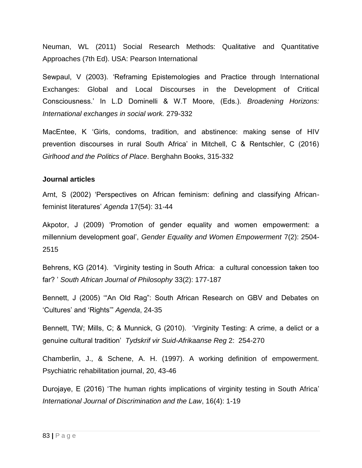Neuman, WL (2011) Social Research Methods: Qualitative and Quantitative Approaches (7th Ed). USA: Pearson International

Sewpaul, V (2003). 'Reframing Epistemologies and Practice through International Exchanges: Global and Local Discourses in the Development of Critical Consciousness.' In L.D Dominelli & W.T Moore, (Eds.). *Broadening Horizons: International exchanges in social work.* 279-332

MacEntee, K 'Girls, condoms, tradition, and abstinence: making sense of HIV prevention discourses in rural South Africa' in Mitchell, C & Rentschler, C (2016) *Girlhood and the Politics of Place*. Berghahn Books, 315-332

### **Journal articles**

Arnt, S (2002) 'Perspectives on African feminism: defining and classifying Africanfeminist literatures' *Agenda* 17(54): 31-44

Akpotor, J (2009) 'Promotion of gender equality and women empowerment: a millennium development goal', *Gender Equality and Women Empowerment* 7(2): 2504- 2515

Behrens, KG (2014). 'Virginity testing in South Africa: a cultural concession taken too far? ' *South African Journal of Philosophy* 33(2): 177-187

Bennett, J (2005) '"An Old Rag": South African Research on GBV and Debates on 'Cultures' and 'Rights'" *Agenda*, 24-35

Bennett, TW; Mills, C; & Munnick, G (2010). 'Virginity Testing: A crime, a delict or a genuine cultural tradition' *Tydskrif vir Suid-Afrikaanse Reg* 2: 254-270

Chamberlin, J., & Schene, A. H. (1997). A working definition of empowerment. Psychiatric rehabilitation journal, 20, 43-46

Durojaye, E (2016) 'The human rights implications of virginity testing in South Africa' *International Journal of Discrimination and the Law*, 16(4): 1-19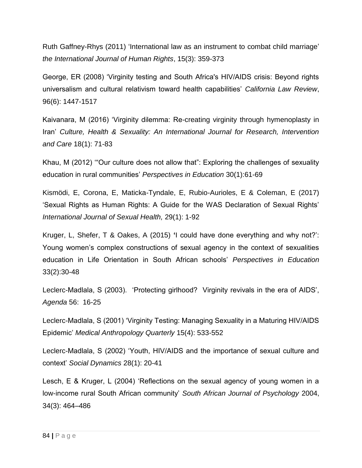Ruth Gaffney-Rhys (2011) 'International law as an instrument to combat child marriage' *the International Journal of Human Rights*, 15(3): 359-373

George, ER (2008) 'Virginity testing and South Africa's HIV/AIDS crisis: Beyond rights universalism and cultural relativism toward health capabilities' *California Law Review*, 96(6): 1447-1517

Kaivanara, M (2016) 'Virginity dilemma: Re-creating virginity through hymenoplasty in Iran' *Culture, Health & Sexuality: An International Journal for Research, Intervention and Care* 18(1): 71-83

Khau, M (2012) '"Our culture does not allow that": Exploring the challenges of sexuality education in rural communities' *Perspectives in Education* 30(1):61-69

Kismödi, E, Corona, E, Maticka-Tyndale, E, Rubio-Aurioles, E & Coleman, E (2017) 'Sexual Rights as Human Rights: A Guide for the WAS Declaration of Sexual Rights' *International Journal of Sexual Health,* 29(1): 1-92

Kruger, L, Shefer, T & Oakes, A (2015) **'**I could have done everything and why not?': Young women's complex constructions of sexual agency in the context of sexualities education in Life Orientation in South African schools' *Perspectives in Education*  33(2):30-48

Leclerc-Madlala, S (2003). 'Protecting girlhood? Virginity revivals in the era of AIDS', *Agenda* 56: 16-25

Leclerc-Madlala, S (2001) 'Virginity Testing: Managing Sexuality in a Maturing HIV/AIDS Epidemic' *Medical Anthropology Quarterly* 15(4): 533-552

Leclerc-Madlala, S (2002) 'Youth, HIV/AIDS and the importance of sexual culture and context' *Social Dynamics* 28(1): 20-41

Lesch, E & Kruger, L (2004) 'Reflections on the sexual agency of young women in a low-income rural South African community' *South African Journal of Psychology* 2004, 34(3): 464–486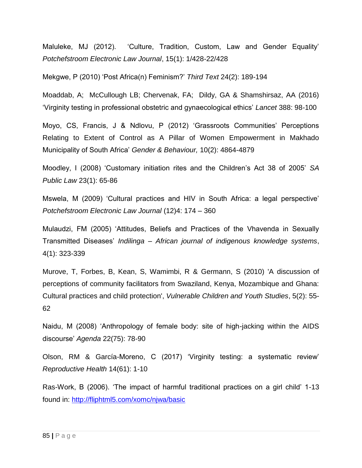Maluleke, MJ (2012). 'Culture, Tradition, Custom, Law and Gender Equality' *Potchefstroom Electronic Law Journal*, 15(1): 1/428-22/428

Mekgwe, P (2010) 'Post Africa(n) Feminism?' *Third Text* 24(2): 189-194

Moaddab, A; McCullough LB; Chervenak, FA; Dildy, GA & Shamshirsaz, AA (2016) 'Virginity testing in professional obstetric and gynaecological ethics' *Lancet* 388: 98-100

Moyo, CS, Francis, J & Ndlovu, P (2012) 'Grassroots Communities' Perceptions Relating to Extent of Control as A Pillar of Women Empowerment in Makhado Municipality of South Africa' *Gender & Behaviour,* 10(2): 4864-4879

Moodley, I (2008) 'Customary initiation rites and the Children's Act 38 of 2005' *SA Public Law* 23(1): 65-86

Mswela, M (2009) 'Cultural practices and HIV in South Africa: a legal perspective' *Potchefstroom Electronic Law Journal* (12)4: 174 – 360

Mulaudzi, FM (2005) 'Attitudes, Beliefs and Practices of the Vhavenda in Sexually Transmitted Diseases' *Indilinga – African journal of indigenous knowledge systems*, 4(1): 323-339

Murove, T, Forbes, B, Kean, S, Wamimbi, R & Germann, S (2010) 'A discussion of perceptions of community facilitators from Swaziland, Kenya, Mozambique and Ghana: Cultural practices and child protection', *Vulnerable Children and Youth Studies*, 5(2): 55- 62

Naidu, M (2008) 'Anthropology of female body: site of high-jacking within the AIDS discourse' *Agenda* 22(75): 78-90

Olson, RM & García-Moreno, C (2017) 'Virginity testing: a systematic review' *Reproductive Health* 14(61): 1-10

Ras-Work, B (2006). 'The impact of harmful traditional practices on a girl child' 1-13 found in:<http://fliphtml5.com/xomc/njwa/basic>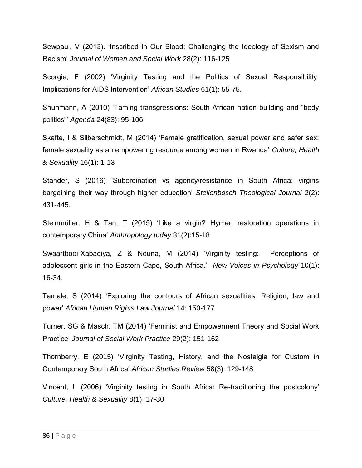Sewpaul, V (2013). 'Inscribed in Our Blood: Challenging the Ideology of Sexism and Racism' *Journal of Women and Social Work* 28(2): 116-125

Scorgie, F (2002) 'Virginity Testing and the Politics of Sexual Responsibility: Implications for AIDS Intervention' *African Studies* 61(1): 55-75.

Shuhmann, A (2010) 'Taming transgressions: South African nation building and "body politics"' *Agenda* 24(83): 95-106.

Skafte, I & Silberschmidt, M (2014) 'Female gratification, sexual power and safer sex: female sexuality as an empowering resource among women in Rwanda' *Culture, Health & Sexuality* 16(1): 1-13

Stander, S (2016) 'Subordination vs agency/resistance in South Africa: virgins bargaining their way through higher education' *Stellenbosch Theological Journal* 2(2): 431-445.

Steinmüller, H & Tan, T (2015) 'Like a virgin? Hymen restoration operations in contemporary China' *Anthropology today* 31(2):15-18

Swaartbooi-Xabadiya, Z & Nduna, M (2014) 'Virginity testing: Perceptions of adolescent girls in the Eastern Cape, South Africa.' *New Voices in Psychology* 10(1): 16-34.

Tamale, S (2014) 'Exploring the contours of African sexualities: Religion, law and power' *African Human Rights Law Journal* 14: 150-177

Turner, SG & Masch, TM (2014) 'Feminist and Empowerment Theory and Social Work Practice' *Journal of Social Work Practice* 29(2): 151-162

Thornberry, E (2015) 'Virginity Testing, History, and the Nostalgia for Custom in Contemporary South Africa' *African Studies Review* 58(3): 129-148

Vincent, L (2006) 'Virginity testing in South Africa: Re-traditioning the postcolony' *Culture, Health & Sexuality* 8(1): 17-30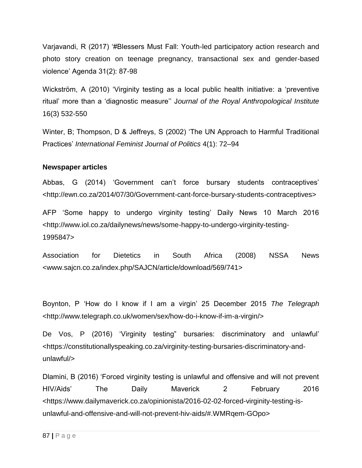Varjavandi, R (2017) '#Blessers Must Fall: Youth-led participatory action research and photo story creation on teenage pregnancy, transactional sex and gender-based violence' Agenda 31(2): 87-98

Wickström, A (2010) 'Virginity testing as a local public health initiative: a 'preventive ritual' more than a 'diagnostic measure'' J*ournal of the Royal Anthropological Institute*  16(3) 532-550

Winter, B; Thompson, D & Jeffreys, S (2002) 'The UN Approach to Harmful Traditional Practices' *International Feminist Journal of Politics* 4(1): 72–94

### **Newspaper articles**

Abbas, G (2014) 'Government can't force bursary students contraceptives' [<http://ewn.co.za/2014/07/30/Government-cant-force-bursary-students-contraceptives>](http://ewn.co.za/2014/07/30/Government-cant-force-bursary-students-contraceptives)

AFP 'Some happy to undergo virginity testing' Daily News 10 March 2016 <http://www.iol.co.za/dailynews/news/some-happy-to-undergo-virginity-testing-1995847>

Association for Dietetics in South Africa (2008) NSSA News <www.sajcn.co.za/index.php/SAJCN/article/download/569/741>

Boynton, P 'How do I know if I am a virgin' 25 December 2015 *The Telegraph*  <http://www.telegraph.co.uk/women/sex/how-do-i-know-if-im-a-virgin/>

De Vos, P (2016) 'Virginity testing" bursaries: discriminatory and unlawful' [<https://constitutionallyspeaking.co.za/virginity-testing-bursaries-discriminatory-and](https://constitutionallyspeaking.co.za/virginity-testing-bursaries-discriminatory-and-unlawful/)[unlawful/>](https://constitutionallyspeaking.co.za/virginity-testing-bursaries-discriminatory-and-unlawful/)

Dlamini, B (2016) 'Forced virginity testing is unlawful and offensive and will not prevent HIV/Aids' The Daily Maverick 2 February 2016 <https://www.dailymaverick.co.za/opinionista/2016-02-02-forced-virginity-testing-isunlawful-and-offensive-and-will-not-prevent-hiv-aids/#.WMRqem-GOpo>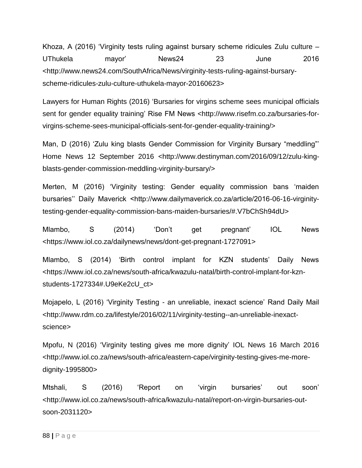Khoza, A (2016) 'Virginity tests ruling against bursary scheme ridicules Zulu culture – UThukela mayor' News24 23 June 2016 <http://www.news24.com/SouthAfrica/News/virginity-tests-ruling-against-bursaryscheme-ridicules-zulu-culture-uthukela-mayor-20160623>

Lawyers for Human Rights (2016) 'Bursaries for virgins scheme sees municipal officials sent for gender equality training' Rise FM News [<http://www.risefm.co.za/bursaries-for](http://www.risefm.co.za/bursaries-for-virgins-scheme-sees-municipal-officials-sent-for-gender-equality-training/)[virgins-scheme-sees-municipal-officials-sent-for-gender-equality-training/>](http://www.risefm.co.za/bursaries-for-virgins-scheme-sees-municipal-officials-sent-for-gender-equality-training/)

Man, D (2016) 'Zulu king blasts Gender Commission for Virginity Bursary "meddling"' Home News 12 September 2016 [<http://www.destinyman.com/2016/09/12/zulu-king](http://www.destinyman.com/2016/09/12/zulu-king-blasts-gender-commission-meddling-virginity-bursary/)[blasts-gender-commission-meddling-virginity-bursary/>](http://www.destinyman.com/2016/09/12/zulu-king-blasts-gender-commission-meddling-virginity-bursary/)

Merten, M (2016) 'Virginity testing: Gender equality commission bans 'maiden bursaries'' Daily Maverick <http://www.dailymaverick.co.za/article/2016-06-16-virginitytesting-gender-equality-commission-bans-maiden-bursaries/#.V7bChSh94dU>

Mlambo, S (2014) 'Don't get pregnant' IOL News [<https://www.iol.co.za/dailynews/news/dont-get-pregnant-1727091>](https://www.iol.co.za/dailynews/news/dont-get-pregnant-1727091)

Mlambo, S (2014) 'Birth control implant for KZN students' Daily News [<https://www.iol.co.za/news/south-africa/kwazulu-natal/birth-control-implant-for-kzn](https://www.iol.co.za/news/south-africa/kwazulu-natal/birth-control-implant-for-kzn-students-1727334#.U9eKe2cU_ct)[students-1727334#.U9eKe2cU\\_ct>](https://www.iol.co.za/news/south-africa/kwazulu-natal/birth-control-implant-for-kzn-students-1727334#.U9eKe2cU_ct)

Mojapelo, L (2016) 'Virginity Testing - an unreliable, inexact science' Rand Daily Mail [<http://www.rdm.co.za/lifestyle/2016/02/11/virginity-testing--an-unreliable-inexact](http://www.rdm.co.za/lifestyle/2016/02/11/virginity-testing--an-unreliable-inexact-science)[science>](http://www.rdm.co.za/lifestyle/2016/02/11/virginity-testing--an-unreliable-inexact-science)

Mpofu, N (2016) 'Virginity testing gives me more dignity' IOL News 16 March 2016 [<http://www.iol.co.za/news/south-africa/eastern-cape/virginity-testing-gives-me-more](http://www.iol.co.za/news/south-africa/eastern-cape/virginity-testing-gives-me-more-dignity-1995800)[dignity-1995800>](http://www.iol.co.za/news/south-africa/eastern-cape/virginity-testing-gives-me-more-dignity-1995800)

Mtshali, S (2016) 'Report on 'virgin bursaries' out soon' <http://www.iol.co.za/news/south-africa/kwazulu-natal/report-on-virgin-bursaries-outsoon-2031120>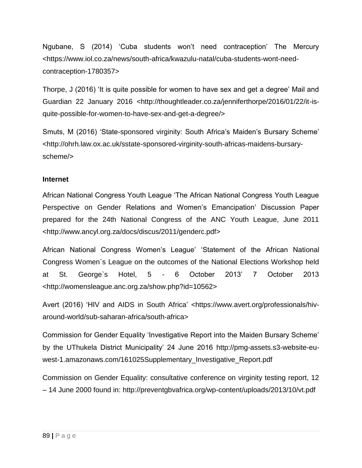Ngubane, S (2014) 'Cuba students won't need contraception' The Mercury [<https://www.iol.co.za/news/south-africa/kwazulu-natal/cuba-students-wont-need](https://www.iol.co.za/news/south-africa/kwazulu-natal/cuba-students-wont-need-contraception-1780357)[contraception-1780357>](https://www.iol.co.za/news/south-africa/kwazulu-natal/cuba-students-wont-need-contraception-1780357)

Thorpe, J (2016) 'It is quite possible for women to have sex and get a degree' Mail and Guardian 22 January 2016 <http://thoughtleader.co.za/jenniferthorpe/2016/01/22/it-isquite-possible-for-women-to-have-sex-and-get-a-degree/>

Smuts, M (2016) 'State-sponsored virginity: South Africa's Maiden's Bursary Scheme' <http://ohrh.law.ox.ac.uk/sstate-sponsored-virginity-south-africas-maidens-bursaryscheme/>

## **Internet**

African National Congress Youth League 'The African National Congress Youth League Perspective on Gender Relations and Women's Emancipation' Discussion Paper prepared for the 24th National Congress of the ANC Youth League, June 2011 <http://www.ancyl.org.za/docs/discus/2011/genderc.pdf>

African National Congress Women's League' 'Statement of the African National Congress Women`s League on the outcomes of the National Elections Workshop held at St. George`s Hotel, 5 - 6 October 2013' 7 October 2013 <http://womensleague.anc.org.za/show.php?id=10562>

Avert (2016) 'HIV and AIDS in South Africa' <https://www.avert.org/professionals/hivaround-world/sub-saharan-africa/south-africa>

Commission for Gender Equality 'Investigative Report into the Maiden Bursary Scheme' by the UThukela District Municipality' 24 June 2016 http://pmg-assets.s3-website-euwest-1.amazonaws.com/161025Supplementary\_Investigative\_Report.pdf

Commission on Gender Equality: consultative conference on virginity testing report, 12 – 14 June 2000 found in: http://preventgbvafrica.org/wp-content/uploads/2013/10/vt.pdf